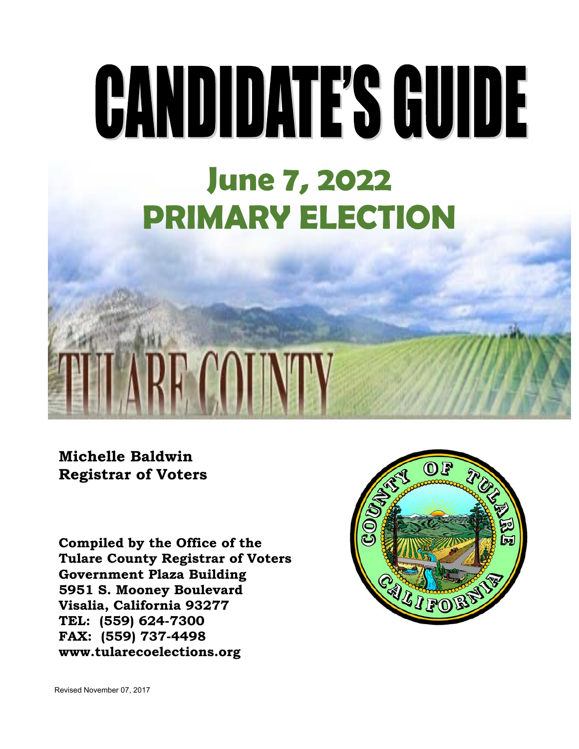## GANDIDATE'S GUIDE **June 7, 2022 PRIMARY ELECTION**

**Michelle Baldwin Registrar of Voters**

ł

**Compiled by the Office of the Tulare County Registrar of Voters Government Plaza Building 5951 S. Mooney Boulevard Visalia, California 93277 TEL: (559) 624-7300 FAX: (559) 737-4498 www.tularecoelections.org** 

**RE COTNTY** 



Revised November 07, 2017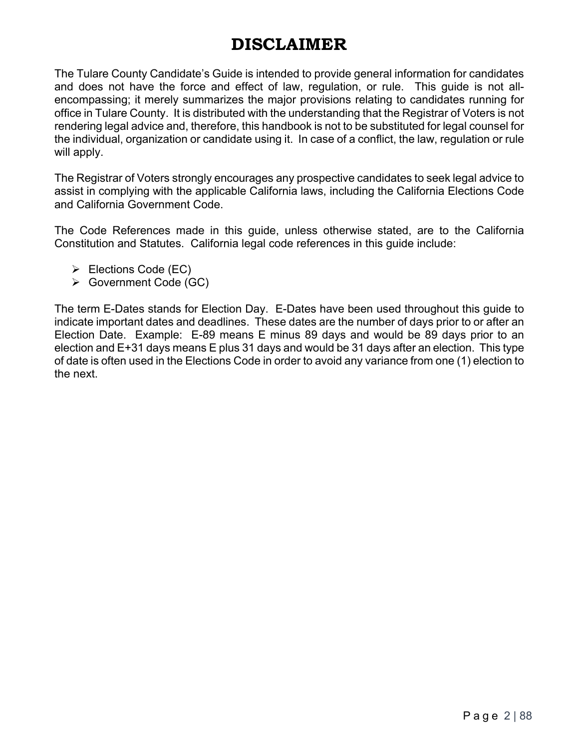## **DISCLAIMER**

The Tulare County Candidate's Guide is intended to provide general information for candidates and does not have the force and effect of law, regulation, or rule. This guide is not allencompassing; it merely summarizes the major provisions relating to candidates running for office in Tulare County. It is distributed with the understanding that the Registrar of Voters is not rendering legal advice and, therefore, this handbook is not to be substituted for legal counsel for the individual, organization or candidate using it. In case of a conflict, the law, regulation or rule will apply.

The Registrar of Voters strongly encourages any prospective candidates to seek legal advice to assist in complying with the applicable California laws, including the California Elections Code and California Government Code.

The Code References made in this guide, unless otherwise stated, are to the California Constitution and Statutes. California legal code references in this guide include:

- $\triangleright$  Elections Code (EC)
- Government Code (GC)

The term E-Dates stands for Election Day. E-Dates have been used throughout this guide to indicate important dates and deadlines. These dates are the number of days prior to or after an Election Date. Example: E-89 means E minus 89 days and would be 89 days prior to an election and E+31 days means E plus 31 days and would be 31 days after an election. This type of date is often used in the Elections Code in order to avoid any variance from one (1) election to the next.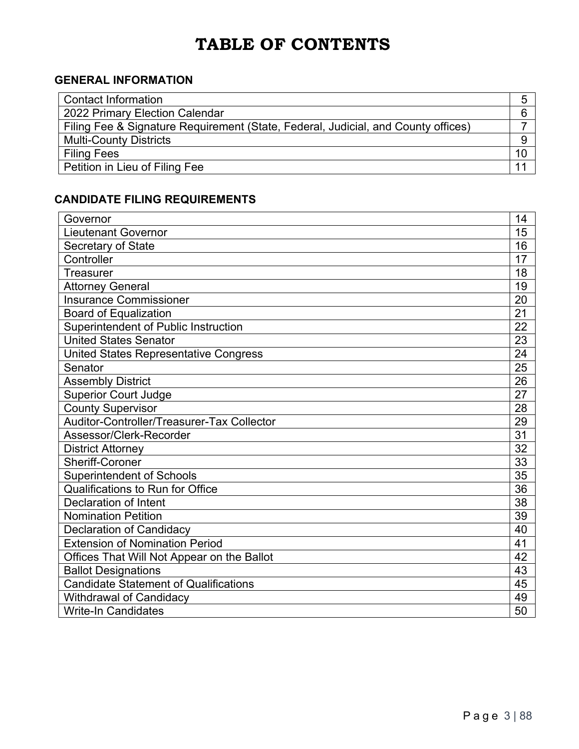## **TABLE OF CONTENTS**

## **GENERAL INFORMATION**

| <b>Contact Information</b>                                                        |  |
|-----------------------------------------------------------------------------------|--|
| 2022 Primary Election Calendar                                                    |  |
| Filing Fee & Signature Requirement (State, Federal, Judicial, and County offices) |  |
| <b>Multi-County Districts</b>                                                     |  |
| <b>Filing Fees</b>                                                                |  |
| Petition in Lieu of Filing Fee                                                    |  |

## **CANDIDATE FILING REQUIREMENTS**

| Governor                                     | 14 |
|----------------------------------------------|----|
| Lieutenant Governor                          | 15 |
| Secretary of State                           | 16 |
| Controller                                   | 17 |
| <b>Treasurer</b>                             | 18 |
| <b>Attorney General</b>                      | 19 |
| <b>Insurance Commissioner</b>                | 20 |
| <b>Board of Equalization</b>                 | 21 |
| Superintendent of Public Instruction         | 22 |
| <b>United States Senator</b>                 | 23 |
| <b>United States Representative Congress</b> | 24 |
| Senator                                      | 25 |
| <b>Assembly District</b>                     | 26 |
| <b>Superior Court Judge</b>                  | 27 |
| <b>County Supervisor</b>                     | 28 |
| Auditor-Controller/Treasurer-Tax Collector   | 29 |
| Assessor/Clerk-Recorder                      | 31 |
| <b>District Attorney</b>                     | 32 |
| <b>Sheriff-Coroner</b>                       | 33 |
| <b>Superintendent of Schools</b>             | 35 |
| <b>Qualifications to Run for Office</b>      | 36 |
| Declaration of Intent                        | 38 |
| <b>Nomination Petition</b>                   | 39 |
| <b>Declaration of Candidacy</b>              | 40 |
| <b>Extension of Nomination Period</b>        | 41 |
| Offices That Will Not Appear on the Ballot   | 42 |
| <b>Ballot Designations</b>                   | 43 |
| <b>Candidate Statement of Qualifications</b> | 45 |
| <b>Withdrawal of Candidacy</b>               | 49 |
| <b>Write-In Candidates</b>                   | 50 |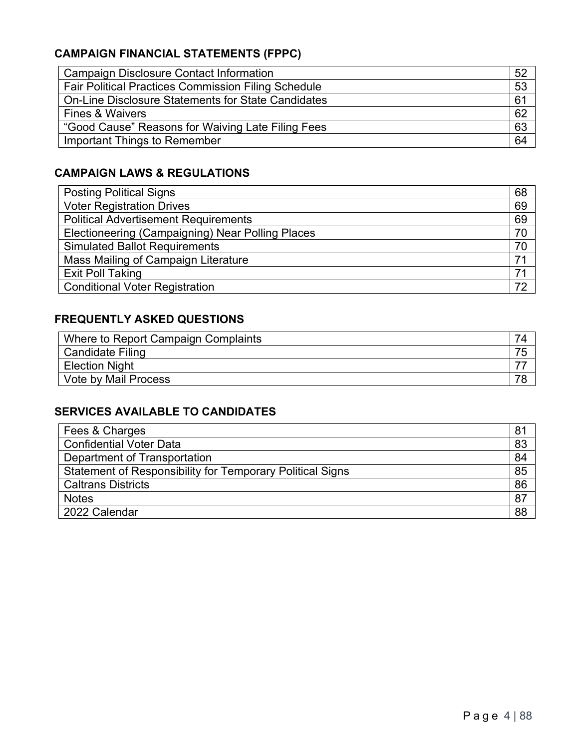## **CAMPAIGN FINANCIAL STATEMENTS (FPPC)**

| 52 |
|----|
| 53 |
| 61 |
| 62 |
| 63 |
| 64 |
|    |

## **CAMPAIGN LAWS & REGULATIONS**

| <b>Posting Political Signs</b>                   | 68 |
|--------------------------------------------------|----|
| <b>Voter Registration Drives</b>                 | 69 |
| <b>Political Advertisement Requirements</b>      | 69 |
| Electioneering (Campaigning) Near Polling Places | 70 |
| <b>Simulated Ballot Requirements</b>             | 70 |
| Mass Mailing of Campaign Literature              | 71 |
| <b>Exit Poll Taking</b>                          | 71 |
| <b>Conditional Voter Registration</b>            | 72 |

## **FREQUENTLY ASKED QUESTIONS**

| Where to Report Campaign Complaints |    |
|-------------------------------------|----|
| Candidate Filing                    |    |
| <b>Election Night</b>               | -- |
| Vote by Mail Process                |    |

## **SERVICES AVAILABLE TO CANDIDATES**

| Fees & Charges                                                   | 81 |
|------------------------------------------------------------------|----|
| <b>Confidential Voter Data</b>                                   | 83 |
| Department of Transportation                                     | 84 |
| <b>Statement of Responsibility for Temporary Political Signs</b> | 85 |
| <b>Caltrans Districts</b>                                        | 86 |
| <b>Notes</b>                                                     | 87 |
| 2022 Calendar                                                    | 88 |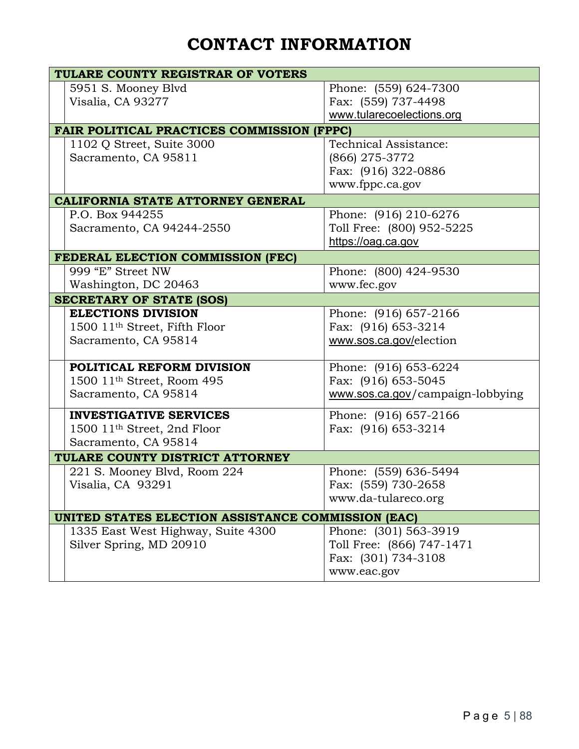## **CONTACT INFORMATION**

| TULARE COUNTY REGISTRAR OF VOTERS                  |                                  |  |  |  |  |  |
|----------------------------------------------------|----------------------------------|--|--|--|--|--|
| 5951 S. Mooney Blvd                                | Phone: (559) 624-7300            |  |  |  |  |  |
| Visalia, CA 93277                                  | Fax: (559) 737-4498              |  |  |  |  |  |
|                                                    | www.tularecoelections.org        |  |  |  |  |  |
| <b>FAIR POLITICAL PRACTICES COMMISSION (FPPC)</b>  |                                  |  |  |  |  |  |
| 1102 Q Street, Suite 3000                          | Technical Assistance:            |  |  |  |  |  |
| Sacramento, CA 95811                               | (866) 275-3772                   |  |  |  |  |  |
|                                                    | Fax: (916) 322-0886              |  |  |  |  |  |
|                                                    | www.fppc.ca.gov                  |  |  |  |  |  |
| <b>CALIFORNIA STATE ATTORNEY GENERAL</b>           |                                  |  |  |  |  |  |
| P.O. Box 944255                                    | Phone: (916) 210-6276            |  |  |  |  |  |
| Sacramento, CA 94244-2550                          | Toll Free: (800) 952-5225        |  |  |  |  |  |
|                                                    | https://oag.ca.gov               |  |  |  |  |  |
| FEDERAL ELECTION COMMISSION (FEC)                  |                                  |  |  |  |  |  |
| 999 "E" Street NW                                  | Phone: (800) 424-9530            |  |  |  |  |  |
| Washington, DC 20463                               | www.fec.gov                      |  |  |  |  |  |
| <b>SECRETARY OF STATE (SOS)</b>                    |                                  |  |  |  |  |  |
| <b>ELECTIONS DIVISION</b>                          | Phone: (916) 657-2166            |  |  |  |  |  |
| 1500 11 <sup>th</sup> Street, Fifth Floor          | Fax: (916) 653-3214              |  |  |  |  |  |
| Sacramento, CA 95814                               | www.sos.ca.gov/election          |  |  |  |  |  |
|                                                    |                                  |  |  |  |  |  |
| POLITICAL REFORM DIVISION                          | Phone: (916) 653-6224            |  |  |  |  |  |
| 1500 11 <sup>th</sup> Street, Room 495             | Fax: (916) 653-5045              |  |  |  |  |  |
| Sacramento, CA 95814                               | www.sos.ca.gov/campaign-lobbying |  |  |  |  |  |
| <b>INVESTIGATIVE SERVICES</b>                      | Phone: (916) 657-2166            |  |  |  |  |  |
| 1500 11 <sup>th</sup> Street, 2nd Floor            | Fax: (916) 653-3214              |  |  |  |  |  |
| Sacramento, CA 95814                               |                                  |  |  |  |  |  |
| TULARE COUNTY DISTRICT ATTORNEY                    |                                  |  |  |  |  |  |
| 221 S. Mooney Blvd, Room 224                       | Phone: (559) 636-5494            |  |  |  |  |  |
| Visalia, CA 93291                                  | Fax: (559) 730-2658              |  |  |  |  |  |
|                                                    | www.da-tulareco.org              |  |  |  |  |  |
| UNITED STATES ELECTION ASSISTANCE COMMISSION (EAC) |                                  |  |  |  |  |  |
| 1335 East West Highway, Suite 4300                 | Phone: (301) 563-3919            |  |  |  |  |  |
| Silver Spring, MD 20910                            | Toll Free: (866) 747-1471        |  |  |  |  |  |
|                                                    | Fax: (301) 734-3108              |  |  |  |  |  |
|                                                    | www.eac.gov                      |  |  |  |  |  |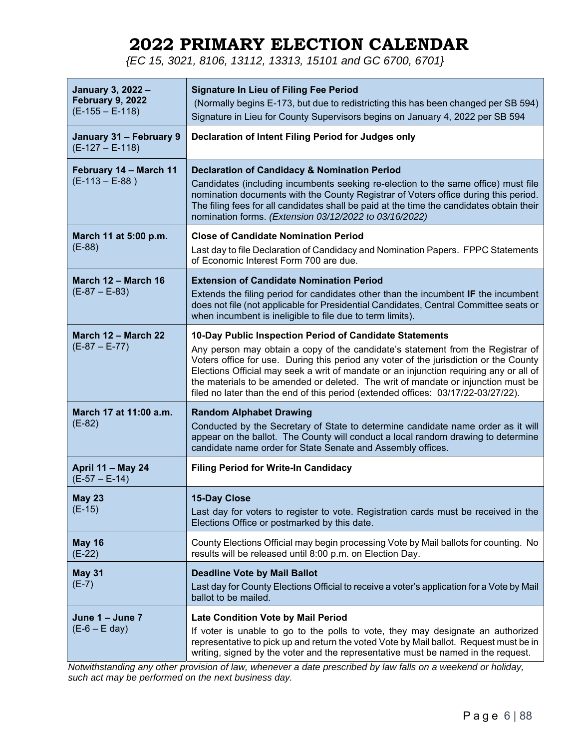## **2022 PRIMARY ELECTION CALENDAR**

*{EC 15, 3021, 8106, 13112, 13313, 15101 and GC 6700, 6701}* 

| January 3, 2022 -<br><b>February 9, 2022</b><br>$(E-155 - E-118)$ | <b>Signature In Lieu of Filing Fee Period</b><br>(Normally begins E-173, but due to redistricting this has been changed per SB 594)<br>Signature in Lieu for County Supervisors begins on January 4, 2022 per SB 594                                                                                                                                                                                                                                                                                    |
|-------------------------------------------------------------------|---------------------------------------------------------------------------------------------------------------------------------------------------------------------------------------------------------------------------------------------------------------------------------------------------------------------------------------------------------------------------------------------------------------------------------------------------------------------------------------------------------|
| January 31 - February 9<br>$(E-127 - E-118)$                      | Declaration of Intent Filing Period for Judges only                                                                                                                                                                                                                                                                                                                                                                                                                                                     |
| February 14 - March 11<br>$(E-113 - E-88)$                        | <b>Declaration of Candidacy &amp; Nomination Period</b><br>Candidates (including incumbents seeking re-election to the same office) must file<br>nomination documents with the County Registrar of Voters office during this period.<br>The filing fees for all candidates shall be paid at the time the candidates obtain their<br>nomination forms. (Extension 03/12/2022 to 03/16/2022)                                                                                                              |
| March 11 at 5:00 p.m.<br>$(E-88)$                                 | <b>Close of Candidate Nomination Period</b><br>Last day to file Declaration of Candidacy and Nomination Papers. FPPC Statements<br>of Economic Interest Form 700 are due.                                                                                                                                                                                                                                                                                                                               |
| March 12 - March 16<br>$(E-87 - E-83)$                            | <b>Extension of Candidate Nomination Period</b><br>Extends the filing period for candidates other than the incumbent IF the incumbent<br>does not file (not applicable for Presidential Candidates, Central Committee seats or<br>when incumbent is ineligible to file due to term limits).                                                                                                                                                                                                             |
| March 12 – March 22<br>$(E-87 - E-77)$                            | 10-Day Public Inspection Period of Candidate Statements<br>Any person may obtain a copy of the candidate's statement from the Registrar of<br>Voters office for use. During this period any voter of the jurisdiction or the County<br>Elections Official may seek a writ of mandate or an injunction requiring any or all of<br>the materials to be amended or deleted. The writ of mandate or injunction must be<br>filed no later than the end of this period (extended offices: 03/17/22-03/27/22). |
| March 17 at 11:00 a.m.<br>$(E-82)$                                | <b>Random Alphabet Drawing</b><br>Conducted by the Secretary of State to determine candidate name order as it will<br>appear on the ballot. The County will conduct a local random drawing to determine<br>candidate name order for State Senate and Assembly offices.                                                                                                                                                                                                                                  |
| <b>April 11 - May 24</b><br>$(E-57 - E-14)$                       | <b>Filing Period for Write-In Candidacy</b>                                                                                                                                                                                                                                                                                                                                                                                                                                                             |
| <b>May 23</b><br>$(E-15)$                                         | <b>15-Day Close</b><br>Last day for voters to register to vote. Registration cards must be received in the<br>Elections Office or postmarked by this date.                                                                                                                                                                                                                                                                                                                                              |
| <b>May 16</b><br>$(E-22)$                                         | County Elections Official may begin processing Vote by Mail ballots for counting. No<br>results will be released until 8:00 p.m. on Election Day.                                                                                                                                                                                                                                                                                                                                                       |
| <b>May 31</b><br>$(E-7)$                                          | <b>Deadline Vote by Mail Ballot</b><br>Last day for County Elections Official to receive a voter's application for a Vote by Mail<br>ballot to be mailed.                                                                                                                                                                                                                                                                                                                                               |
| June $1 -$ June $7$<br>$(E-6 - E \text{ day})$                    | <b>Late Condition Vote by Mail Period</b><br>If voter is unable to go to the polls to vote, they may designate an authorized<br>representative to pick up and return the voted Vote by Mail ballot. Request must be in<br>writing, signed by the voter and the representative must be named in the request.                                                                                                                                                                                             |

*Notwithstanding any other provision of law, whenever a date prescribed by law falls on a weekend or holiday, such act may be performed on the next business day.*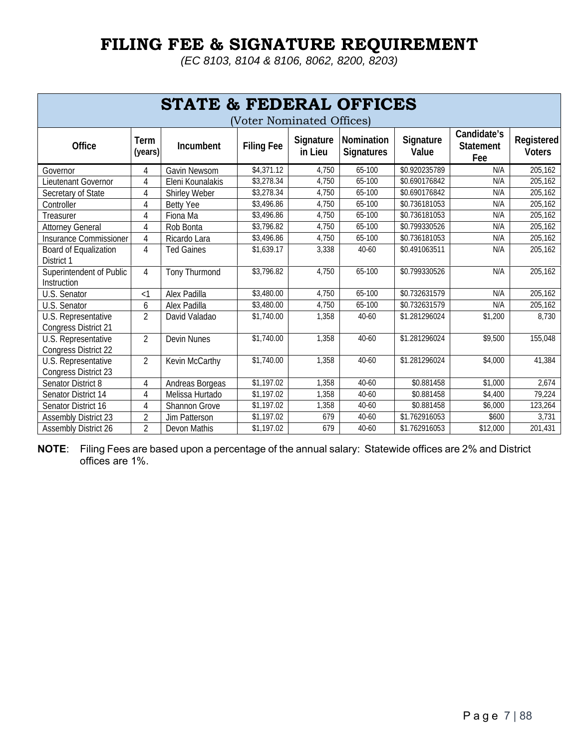## **FILING FEE & SIGNATURE REQUIREMENT**

*(EC 8103, 8104 & 8106, 8062, 8200, 8203)*

| <b>STATE &amp; FEDERAL OFFICES</b><br>Voter Nominated Offices) |                 |                      |                   |                      |                                 |                    |                                        |                             |
|----------------------------------------------------------------|-----------------|----------------------|-------------------|----------------------|---------------------------------|--------------------|----------------------------------------|-----------------------------|
| Office                                                         | Term<br>(years) | Incumbent            | <b>Filing Fee</b> | Signature<br>in Lieu | Nomination<br><b>Signatures</b> | Signature<br>Value | Candidate's<br><b>Statement</b><br>Fee | Registered<br><b>Voters</b> |
| Governor                                                       | 4               | Gavin Newsom         | \$4,371.12        | 4,750                | 65-100                          | \$0.920235789      | N/A                                    | 205,162                     |
| Lieutenant Governor                                            | 4               | Eleni Kounalakis     | \$3,278.34        | 4,750                | 65-100                          | \$0.690176842      | N/A                                    | 205,162                     |
| Secretary of State                                             | 4               | Shirley Weber        | \$3,278.34        | 4,750                | 65-100                          | \$0.690176842      | N/A                                    | 205,162                     |
| Controller                                                     | 4               | <b>Betty Yee</b>     | \$3,496.86        | 4,750                | 65-100                          | \$0.736181053      | N/A                                    | 205,162                     |
| Treasurer                                                      | 4               | Fiona Ma             | \$3,496.86        | 4,750                | 65-100                          | \$0.736181053      | N/A                                    | 205,162                     |
| <b>Attorney General</b>                                        | 4               | Rob Bonta            | \$3,796.82        | 4,750                | 65-100                          | \$0.799330526      | N/A                                    | 205,162                     |
| Insurance Commissioner                                         | 4               | Ricardo Lara         | \$3,496.86        | 4,750                | 65-100                          | \$0.736181053      | N/A                                    | 205,162                     |
| Board of Equalization<br>District 1                            | $\overline{4}$  | <b>Ted Gaines</b>    | \$1,639.17        | 3,338                | 40-60                           | \$0.491063511      | N/A                                    | 205,162                     |
| Superintendent of Public<br>Instruction                        | $\overline{4}$  | <b>Tony Thurmond</b> | \$3,796.82        | 4,750                | 65-100                          | \$0.799330526      | N/A                                    | 205,162                     |
| U.S. Senator                                                   | $\leq$ 1        | Alex Padilla         | \$3,480.00        | 4,750                | 65-100                          | \$0.732631579      | N/A                                    | 205,162                     |
| U.S. Senator                                                   | 6               | Alex Padilla         | \$3,480.00        | 4,750                | 65-100                          | \$0.732631579      | N/A                                    | 205,162                     |
| U.S. Representative<br><b>Congress District 21</b>             | $\overline{2}$  | David Valadao        | \$1,740.00        | 1,358                | 40-60                           | \$1.281296024      | \$1,200                                | 8,730                       |
| U.S. Representative<br><b>Congress District 22</b>             | $\overline{2}$  | <b>Devin Nunes</b>   | \$1,740.00        | 1,358                | 40-60                           | \$1.281296024      | \$9,500                                | 155,048                     |
| U.S. Representative<br><b>Congress District 23</b>             | $\overline{2}$  | Kevin McCarthy       | \$1,740.00        | 1,358                | $40 - 60$                       | \$1.281296024      | \$4,000                                | 41,384                      |
| Senator District 8                                             | 4               | Andreas Borgeas      | \$1,197.02        | 1,358                | $40 - 60$                       | \$0.881458         | \$1,000                                | 2,674                       |
| Senator District 14                                            | $\overline{4}$  | Melissa Hurtado      | \$1,197.02        | 1,358                | $40 - 60$                       | \$0.881458         | \$4,400                                | 79,224                      |
| Senator District 16                                            | 4               | Shannon Grove        | \$1,197.02        | 1,358                | 40-60                           | \$0.881458         | \$6,000                                | 123,264                     |
| <b>Assembly District 23</b>                                    | $\overline{2}$  | <b>Jim Patterson</b> | \$1,197.02        | 679                  | 40-60                           | \$1.762916053      | \$600                                  | 3,731                       |
| <b>Assembly District 26</b>                                    | $\overline{2}$  | Devon Mathis         | \$1,197.02        | 679                  | 40-60                           | \$1.762916053      | \$12,000                               | 201,431                     |

**NOTE**: Filing Fees are based upon a percentage of the annual salary: Statewide offices are 2% and District offices are 1%.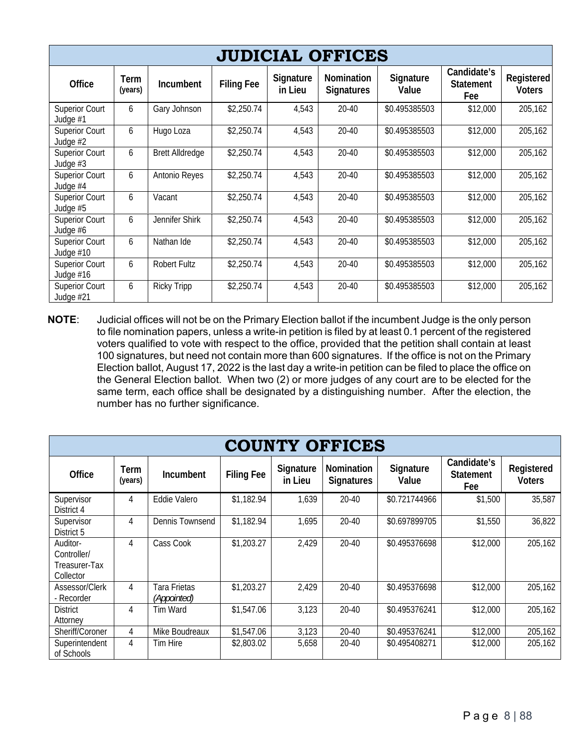| <b>JUDICIAL OFFICES</b>            |                 |                        |                   |                      |                                        |                    |                                        |                             |
|------------------------------------|-----------------|------------------------|-------------------|----------------------|----------------------------------------|--------------------|----------------------------------------|-----------------------------|
| Office                             | Term<br>(years) | Incumbent              | <b>Filing Fee</b> | Signature<br>in Lieu | <b>Nomination</b><br><b>Signatures</b> | Signature<br>Value | Candidate's<br><b>Statement</b><br>Fee | Registered<br><b>Voters</b> |
| <b>Superior Court</b><br>Judge #1  | 6               | Gary Johnson           | \$2,250.74        | 4,543                | $20 - 40$                              | \$0.495385503      | \$12,000                               | 205,162                     |
| <b>Superior Court</b><br>Judge #2  | 6               | Hugo Loza              | \$2,250.74        | 4,543                | 20-40                                  | \$0.495385503      | \$12,000                               | 205,162                     |
| <b>Superior Court</b><br>Judge #3  | 6               | <b>Brett Alldredge</b> | \$2,250.74        | 4,543                | $20 - 40$                              | \$0.495385503      | \$12,000                               | 205,162                     |
| <b>Superior Court</b><br>Judge #4  | 6               | Antonio Reyes          | \$2,250.74        | 4,543                | 20-40                                  | \$0.495385503      | \$12,000                               | 205,162                     |
| <b>Superior Court</b><br>Judge #5  | 6               | Vacant                 | \$2,250.74        | 4,543                | 20-40                                  | \$0.495385503      | \$12,000                               | 205,162                     |
| <b>Superior Court</b><br>Judge #6  | 6               | Jennifer Shirk         | \$2,250.74        | 4,543                | 20-40                                  | \$0.495385503      | \$12,000                               | 205,162                     |
| <b>Superior Court</b><br>Judge #10 | 6               | Nathan Ide             | \$2,250.74        | 4,543                | $20 - 40$                              | \$0.495385503      | \$12,000                               | 205,162                     |
| <b>Superior Court</b><br>Judge #16 | 6               | <b>Robert Fultz</b>    | \$2,250.74        | 4,543                | $20 - 40$                              | \$0.495385503      | \$12,000                               | 205,162                     |
| <b>Superior Court</b><br>Judge #21 | 6               | <b>Ricky Tripp</b>     | \$2,250.74        | 4,543                | $20 - 40$                              | \$0.495385503      | \$12,000                               | 205,162                     |

**NOTE**: Judicial offices will not be on the Primary Election ballot if the incumbent Judge is the only person to file nomination papers, unless a write-in petition is filed by at least 0.1 percent of the registered voters qualified to vote with respect to the office, provided that the petition shall contain at least 100 signatures, but need not contain more than 600 signatures. If the office is not on the Primary Election ballot, August 17, 2022 is the last day a write-in petition can be filed to place the office on the General Election ballot. When two (2) or more judges of any court are to be elected for the same term, each office shall be designated by a distinguishing number. After the election, the number has no further significance.

|                                                       | <b>COUNTY OFFICES</b> |                                           |                   |                      |                                        |                    |                                        |                             |
|-------------------------------------------------------|-----------------------|-------------------------------------------|-------------------|----------------------|----------------------------------------|--------------------|----------------------------------------|-----------------------------|
| Office                                                | Term<br>(years)       | <b>Incumbent</b>                          | <b>Filing Fee</b> | Signature<br>in Lieu | <b>Nomination</b><br><b>Signatures</b> | Signature<br>Value | Candidate's<br><b>Statement</b><br>Fee | Registered<br><b>Voters</b> |
| Supervisor<br>District 4                              | 4                     | Eddie Valero                              | \$1,182.94        | 1,639                | 20-40                                  | \$0.721744966      | \$1,500                                | 35,587                      |
| Supervisor<br>District 5                              | 4                     | Dennis Townsend                           | \$1,182.94        | 1,695                | $20 - 40$                              | \$0.697899705      | \$1,550                                | 36,822                      |
| Auditor-<br>Controller/<br>Treasurer-Tax<br>Collector | 4                     | Cass Cook                                 | \$1,203.27        | 2,429                | $20 - 40$                              | \$0.495376698      | \$12,000                               | 205,162                     |
| Assessor/Clerk<br>- Recorder                          | 4                     | <b>Tara Frietas</b><br><i>(Appointed)</i> | \$1,203.27        | 2,429                | $20 - 40$                              | \$0.495376698      | \$12,000                               | 205,162                     |
| <b>District</b><br>Attorney                           | 4                     | Tim Ward                                  | \$1,547.06        | 3,123                | $20-40$                                | \$0.495376241      | \$12,000                               | 205,162                     |
| Sheriff/Coroner                                       | 4                     | Mike Boudreaux                            | \$1,547.06        | 3,123                | $20 - 40$                              | \$0.495376241      | \$12,000                               | 205,162                     |
| Superintendent<br>of Schools                          | 4                     | Tim Hire                                  | \$2,803.02        | 5,658                | 20-40                                  | \$0.495408271      | \$12,000                               | 205,162                     |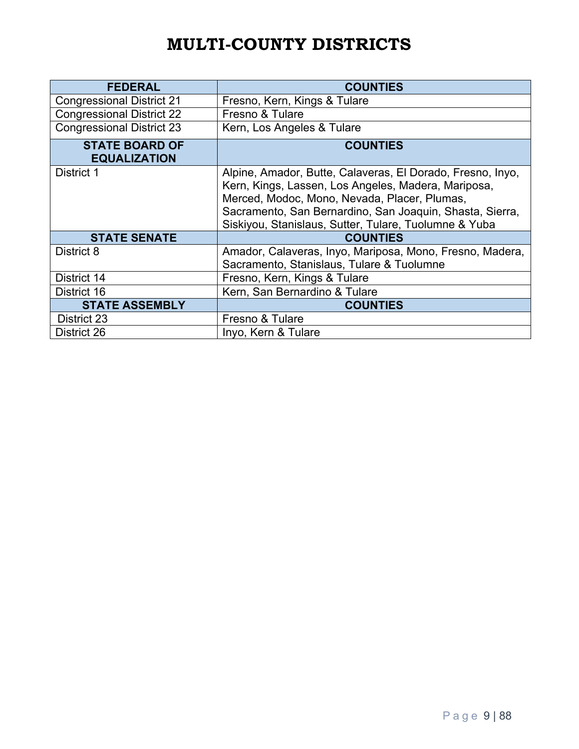## **MULTI-COUNTY DISTRICTS**

| <b>FEDERAL</b>                               | <b>COUNTIES</b>                                                                                                                                                                                                                                                                        |
|----------------------------------------------|----------------------------------------------------------------------------------------------------------------------------------------------------------------------------------------------------------------------------------------------------------------------------------------|
| <b>Congressional District 21</b>             | Fresno, Kern, Kings & Tulare                                                                                                                                                                                                                                                           |
| <b>Congressional District 22</b>             | Fresno & Tulare                                                                                                                                                                                                                                                                        |
| <b>Congressional District 23</b>             | Kern, Los Angeles & Tulare                                                                                                                                                                                                                                                             |
| <b>STATE BOARD OF</b><br><b>EQUALIZATION</b> | <b>COUNTIES</b>                                                                                                                                                                                                                                                                        |
| District 1                                   | Alpine, Amador, Butte, Calaveras, El Dorado, Fresno, Inyo,<br>Kern, Kings, Lassen, Los Angeles, Madera, Mariposa,<br>Merced, Modoc, Mono, Nevada, Placer, Plumas,<br>Sacramento, San Bernardino, San Joaquin, Shasta, Sierra,<br>Siskiyou, Stanislaus, Sutter, Tulare, Tuolumne & Yuba |
| <b>STATE SENATE</b>                          | <b>COUNTIES</b>                                                                                                                                                                                                                                                                        |
| District 8                                   | Amador, Calaveras, Inyo, Mariposa, Mono, Fresno, Madera,<br>Sacramento, Stanislaus, Tulare & Tuolumne                                                                                                                                                                                  |
| District 14                                  | Fresno, Kern, Kings & Tulare                                                                                                                                                                                                                                                           |
| District 16                                  | Kern, San Bernardino & Tulare                                                                                                                                                                                                                                                          |
| <b>STATE ASSEMBLY</b>                        | <b>COUNTIES</b>                                                                                                                                                                                                                                                                        |
| District 23                                  | Fresno & Tulare                                                                                                                                                                                                                                                                        |
| District 26                                  | Inyo, Kern & Tulare                                                                                                                                                                                                                                                                    |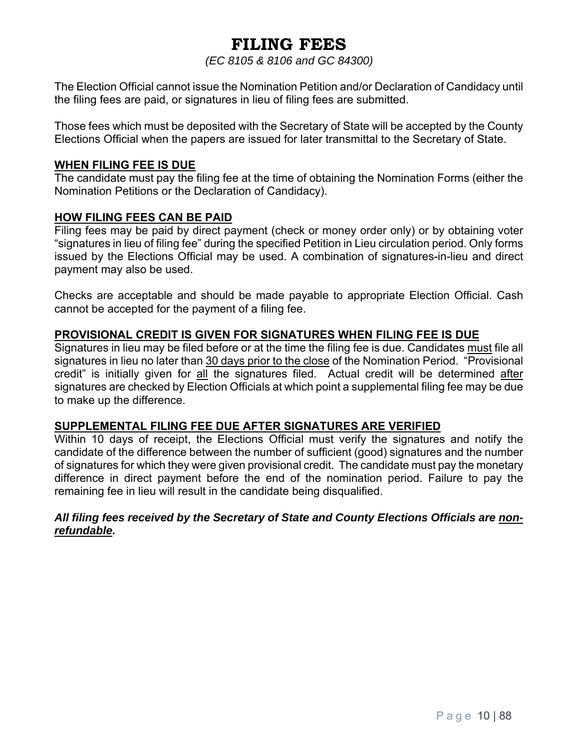## **FILING FEES**

*(EC 8105 & 8106 and GC 84300)*

The Election Official cannot issue the Nomination Petition and/or Declaration of Candidacy until the filing fees are paid, or signatures in lieu of filing fees are submitted.

Those fees which must be deposited with the Secretary of State will be accepted by the County Elections Official when the papers are issued for later transmittal to the Secretary of State.

#### **WHEN FILING FEE IS DUE**

The candidate must pay the filing fee at the time of obtaining the Nomination Forms (either the Nomination Petitions or the Declaration of Candidacy).

#### **HOW FILING FEES CAN BE PAID**

Filing fees may be paid by direct payment (check or money order only) or by obtaining voter "signatures in lieu of filing fee" during the specified Petition in Lieu circulation period. Only forms issued by the Elections Official may be used. A combination of signatures-in-lieu and direct payment may also be used.

Checks are acceptable and should be made payable to appropriate Election Official. Cash cannot be accepted for the payment of a filing fee.

#### **PROVISIONAL CREDIT IS GIVEN FOR SIGNATURES WHEN FILING FEE IS DUE**

Signatures in lieu may be filed before or at the time the filing fee is due. Candidates must file all signatures in lieu no later than 30 days prior to the close of the Nomination Period. "Provisional credit" is initially given for all the signatures filed. Actual credit will be determined after signatures are checked by Election Officials at which point a supplemental filing fee may be due to make up the difference.

#### **SUPPLEMENTAL FILING FEE DUE AFTER SIGNATURES ARE VERIFIED**

Within 10 days of receipt, the Elections Official must verify the signatures and notify the candidate of the difference between the number of sufficient (good) signatures and the number of signatures for which they were given provisional credit. The candidate must pay the monetary difference in direct payment before the end of the nomination period. Failure to pay the remaining fee in lieu will result in the candidate being disqualified.

#### *All filing fees received by the Secretary of State and County Elections Officials are nonrefundable.*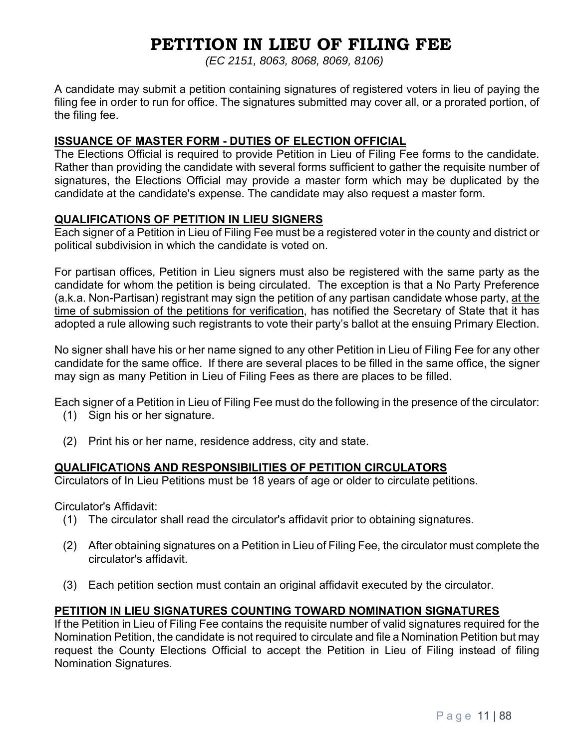## **PETITION IN LIEU OF FILING FEE**

*(EC 2151, 8063, 8068, 8069, 8106)* 

A candidate may submit a petition containing signatures of registered voters in lieu of paying the filing fee in order to run for office. The signatures submitted may cover all, or a prorated portion, of the filing fee.

#### **ISSUANCE OF MASTER FORM - DUTIES OF ELECTION OFFICIAL**

The Elections Official is required to provide Petition in Lieu of Filing Fee forms to the candidate. Rather than providing the candidate with several forms sufficient to gather the requisite number of signatures, the Elections Official may provide a master form which may be duplicated by the candidate at the candidate's expense. The candidate may also request a master form.

#### **QUALIFICATIONS OF PETITION IN LIEU SIGNERS**

Each signer of a Petition in Lieu of Filing Fee must be a registered voter in the county and district or political subdivision in which the candidate is voted on.

For partisan offices, Petition in Lieu signers must also be registered with the same party as the candidate for whom the petition is being circulated. The exception is that a No Party Preference (a.k.a. Non-Partisan) registrant may sign the petition of any partisan candidate whose party, at the time of submission of the petitions for verification, has notified the Secretary of State that it has adopted a rule allowing such registrants to vote their party's ballot at the ensuing Primary Election.

No signer shall have his or her name signed to any other Petition in Lieu of Filing Fee for any other candidate for the same office. If there are several places to be filled in the same office, the signer may sign as many Petition in Lieu of Filing Fees as there are places to be filled.

Each signer of a Petition in Lieu of Filing Fee must do the following in the presence of the circulator:

- (1) Sign his or her signature.
- (2) Print his or her name, residence address, city and state.

## **QUALIFICATIONS AND RESPONSIBILITIES OF PETITION CIRCULATORS**

Circulators of In Lieu Petitions must be 18 years of age or older to circulate petitions.

Circulator's Affidavit:

- (1) The circulator shall read the circulator's affidavit prior to obtaining signatures.
- (2) After obtaining signatures on a Petition in Lieu of Filing Fee, the circulator must complete the circulator's affidavit.
- (3) Each petition section must contain an original affidavit executed by the circulator.

## **PETITION IN LIEU SIGNATURES COUNTING TOWARD NOMINATION SIGNATURES**

If the Petition in Lieu of Filing Fee contains the requisite number of valid signatures required for the Nomination Petition, the candidate is not required to circulate and file a Nomination Petition but may request the County Elections Official to accept the Petition in Lieu of Filing instead of filing Nomination Signatures.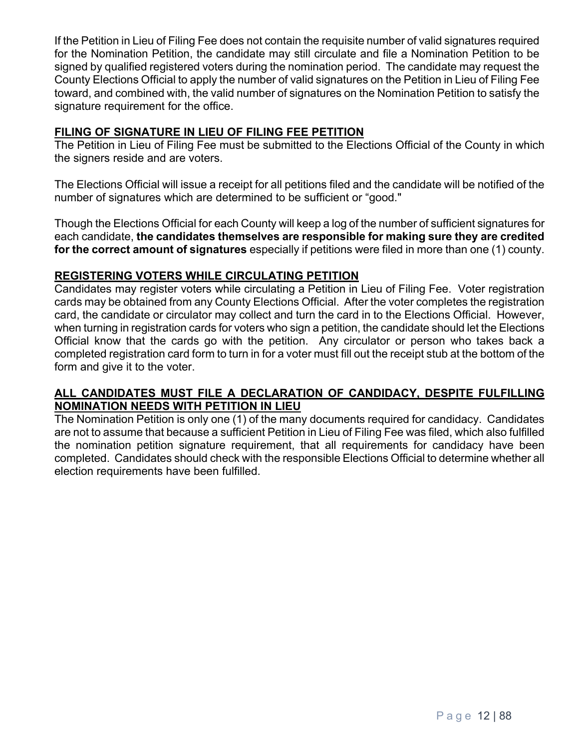If the Petition in Lieu of Filing Fee does not contain the requisite number of valid signatures required for the Nomination Petition, the candidate may still circulate and file a Nomination Petition to be signed by qualified registered voters during the nomination period. The candidate may request the County Elections Official to apply the number of valid signatures on the Petition in Lieu of Filing Fee toward, and combined with, the valid number of signatures on the Nomination Petition to satisfy the signature requirement for the office.

## **FILING OF SIGNATURE IN LIEU OF FILING FEE PETITION**

The Petition in Lieu of Filing Fee must be submitted to the Elections Official of the County in which the signers reside and are voters.

The Elections Official will issue a receipt for all petitions filed and the candidate will be notified of the number of signatures which are determined to be sufficient or "good."

Though the Elections Official for each County will keep a log of the number of sufficient signatures for each candidate, **the candidates themselves are responsible for making sure they are credited for the correct amount of signatures** especially if petitions were filed in more than one (1) county.

### **REGISTERING VOTERS WHILE CIRCULATING PETITION**

Candidates may register voters while circulating a Petition in Lieu of Filing Fee. Voter registration cards may be obtained from any County Elections Official. After the voter completes the registration card, the candidate or circulator may collect and turn the card in to the Elections Official. However, when turning in registration cards for voters who sign a petition, the candidate should let the Elections Official know that the cards go with the petition. Any circulator or person who takes back a completed registration card form to turn in for a voter must fill out the receipt stub at the bottom of the form and give it to the voter.

#### **ALL CANDIDATES MUST FILE A DECLARATION OF CANDIDACY, DESPITE FULFILLING NOMINATION NEEDS WITH PETITION IN LIEU**

The Nomination Petition is only one (1) of the many documents required for candidacy. Candidates are not to assume that because a sufficient Petition in Lieu of Filing Fee was filed, which also fulfilled the nomination petition signature requirement, that all requirements for candidacy have been completed. Candidates should check with the responsible Elections Official to determine whether all election requirements have been fulfilled.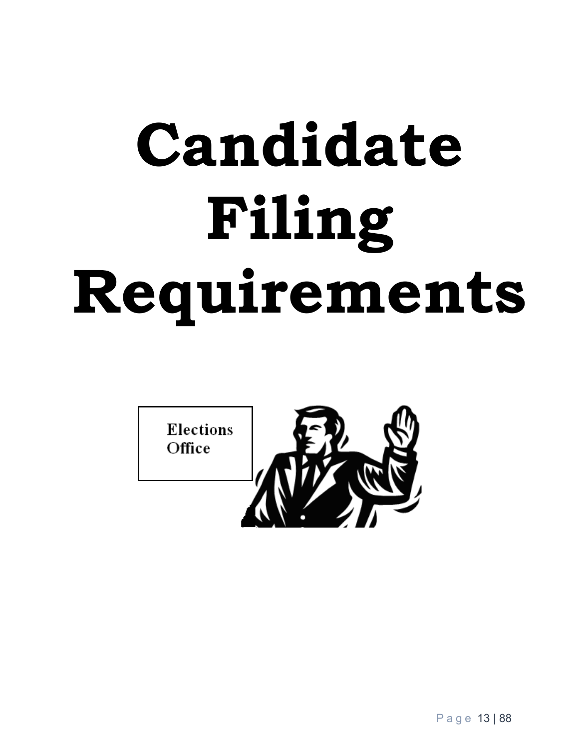# **Candidate Filing Requirements**

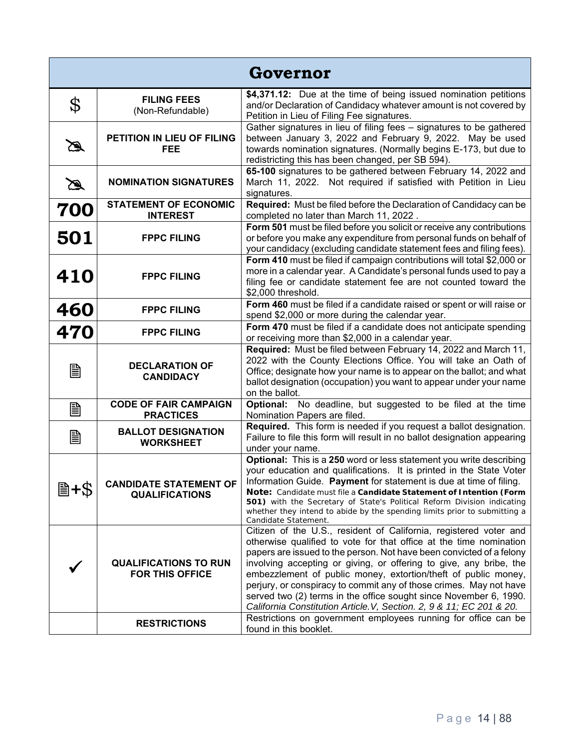| Governor    |                                                        |                                                                                                                                                                                                                                                                                                                                                                                                                                                                                                                                                                                                                                              |
|-------------|--------------------------------------------------------|----------------------------------------------------------------------------------------------------------------------------------------------------------------------------------------------------------------------------------------------------------------------------------------------------------------------------------------------------------------------------------------------------------------------------------------------------------------------------------------------------------------------------------------------------------------------------------------------------------------------------------------------|
| \$          | <b>FILING FEES</b><br>(Non-Refundable)                 | \$4,371.12: Due at the time of being issued nomination petitions<br>and/or Declaration of Candidacy whatever amount is not covered by<br>Petition in Lieu of Filing Fee signatures.                                                                                                                                                                                                                                                                                                                                                                                                                                                          |
| Ø           | PETITION IN LIEU OF FILING<br><b>FEE</b>               | Gather signatures in lieu of filing fees - signatures to be gathered<br>between January 3, 2022 and February 9, 2022. May be used<br>towards nomination signatures. (Normally begins E-173, but due to<br>redistricting this has been changed, per SB 594).                                                                                                                                                                                                                                                                                                                                                                                  |
| $\mathbb Z$ | <b>NOMINATION SIGNATURES</b>                           | 65-100 signatures to be gathered between February 14, 2022 and<br>March 11, 2022. Not required if satisfied with Petition in Lieu<br>signatures.                                                                                                                                                                                                                                                                                                                                                                                                                                                                                             |
| 700         | <b>STATEMENT OF ECONOMIC</b><br><b>INTEREST</b>        | Required: Must be filed before the Declaration of Candidacy can be<br>completed no later than March 11, 2022.                                                                                                                                                                                                                                                                                                                                                                                                                                                                                                                                |
| 501         | <b>FPPC FILING</b>                                     | Form 501 must be filed before you solicit or receive any contributions<br>or before you make any expenditure from personal funds on behalf of<br>your candidacy (excluding candidate statement fees and filing fees).                                                                                                                                                                                                                                                                                                                                                                                                                        |
| 410         | <b>FPPC FILING</b>                                     | Form 410 must be filed if campaign contributions will total \$2,000 or<br>more in a calendar year. A Candidate's personal funds used to pay a<br>filing fee or candidate statement fee are not counted toward the<br>\$2,000 threshold.                                                                                                                                                                                                                                                                                                                                                                                                      |
| 460         | <b>FPPC FILING</b>                                     | Form 460 must be filed if a candidate raised or spent or will raise or<br>spend \$2,000 or more during the calendar year.                                                                                                                                                                                                                                                                                                                                                                                                                                                                                                                    |
| 470         | <b>FPPC FILING</b>                                     | Form 470 must be filed if a candidate does not anticipate spending<br>or receiving more than \$2,000 in a calendar year.                                                                                                                                                                                                                                                                                                                                                                                                                                                                                                                     |
| B           | <b>DECLARATION OF</b><br><b>CANDIDACY</b>              | Required: Must be filed between February 14, 2022 and March 11,<br>2022 with the County Elections Office. You will take an Oath of<br>Office; designate how your name is to appear on the ballot; and what<br>ballot designation (occupation) you want to appear under your name<br>on the ballot.                                                                                                                                                                                                                                                                                                                                           |
| B           | <b>CODE OF FAIR CAMPAIGN</b><br><b>PRACTICES</b>       | Optional: No deadline, but suggested to be filed at the time<br>Nomination Papers are filed.                                                                                                                                                                                                                                                                                                                                                                                                                                                                                                                                                 |
| B           | <b>BALLOT DESIGNATION</b><br><b>WORKSHEET</b>          | Required. This form is needed if you request a ballot designation.<br>Failure to file this form will result in no ballot designation appearing<br>under your name.                                                                                                                                                                                                                                                                                                                                                                                                                                                                           |
| 当+\$        | <b>CANDIDATE STATEMENT OF</b><br><b>QUALIFICATIONS</b> | Optional: This is a 250 word or less statement you write describing<br>your education and qualifications. It is printed in the State Voter<br>Information Guide. Payment for statement is due at time of filing.<br>Note: Candidate must file a Candidate Statement of Intention (Form<br><b>501)</b> with the Secretary of State's Political Reform Division indicating<br>whether they intend to abide by the spending limits prior to submitting a<br>Candidate Statement.                                                                                                                                                                |
|             | <b>QUALIFICATIONS TO RUN</b><br><b>FOR THIS OFFICE</b> | Citizen of the U.S., resident of California, registered voter and<br>otherwise qualified to vote for that office at the time nomination<br>papers are issued to the person. Not have been convicted of a felony<br>involving accepting or giving, or offering to give, any bribe, the<br>embezzlement of public money, extortion/theft of public money,<br>perjury, or conspiracy to commit any of those crimes. May not have<br>served two (2) terms in the office sought since November 6, 1990.<br>California Constitution Article. V, Section. 2, 9 & 11; EC 201 & 20.<br>Restrictions on government employees running for office can be |
|             | <b>RESTRICTIONS</b>                                    | found in this booklet.                                                                                                                                                                                                                                                                                                                                                                                                                                                                                                                                                                                                                       |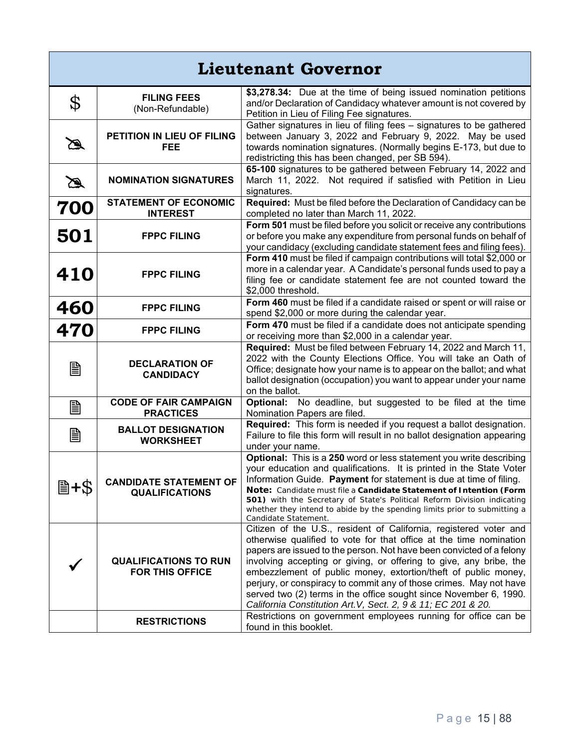| <b>Lieutenant Governor</b> |                                                        |                                                                                                                                                                                                                                                                                                                                                                                                                                                                                                                                                                                                                                       |
|----------------------------|--------------------------------------------------------|---------------------------------------------------------------------------------------------------------------------------------------------------------------------------------------------------------------------------------------------------------------------------------------------------------------------------------------------------------------------------------------------------------------------------------------------------------------------------------------------------------------------------------------------------------------------------------------------------------------------------------------|
| \$                         | <b>FILING FEES</b><br>(Non-Refundable)                 | \$3,278.34: Due at the time of being issued nomination petitions<br>and/or Declaration of Candidacy whatever amount is not covered by<br>Petition in Lieu of Filing Fee signatures.                                                                                                                                                                                                                                                                                                                                                                                                                                                   |
| $\mathscr{B}$              | PETITION IN LIEU OF FILING<br><b>FEE</b>               | Gather signatures in lieu of filing fees - signatures to be gathered<br>between January 3, 2022 and February 9, 2022. May be used<br>towards nomination signatures. (Normally begins E-173, but due to<br>redistricting this has been changed, per SB 594).                                                                                                                                                                                                                                                                                                                                                                           |
| $\mathscr{A}$              | <b>NOMINATION SIGNATURES</b>                           | 65-100 signatures to be gathered between February 14, 2022 and<br>March 11, 2022. Not required if satisfied with Petition in Lieu<br>signatures.                                                                                                                                                                                                                                                                                                                                                                                                                                                                                      |
| 700                        | <b>STATEMENT OF ECONOMIC</b><br><b>INTEREST</b>        | Required: Must be filed before the Declaration of Candidacy can be<br>completed no later than March 11, 2022.                                                                                                                                                                                                                                                                                                                                                                                                                                                                                                                         |
| 501                        | <b>FPPC FILING</b>                                     | Form 501 must be filed before you solicit or receive any contributions<br>or before you make any expenditure from personal funds on behalf of<br>your candidacy (excluding candidate statement fees and filing fees).                                                                                                                                                                                                                                                                                                                                                                                                                 |
| <b>410</b>                 | <b>FPPC FILING</b>                                     | Form 410 must be filed if campaign contributions will total \$2,000 or<br>more in a calendar year. A Candidate's personal funds used to pay a<br>filing fee or candidate statement fee are not counted toward the<br>\$2,000 threshold.                                                                                                                                                                                                                                                                                                                                                                                               |
| 460                        | <b>FPPC FILING</b>                                     | Form 460 must be filed if a candidate raised or spent or will raise or<br>spend \$2,000 or more during the calendar year.                                                                                                                                                                                                                                                                                                                                                                                                                                                                                                             |
| 470                        | <b>FPPC FILING</b>                                     | Form 470 must be filed if a candidate does not anticipate spending<br>or receiving more than \$2,000 in a calendar year.                                                                                                                                                                                                                                                                                                                                                                                                                                                                                                              |
| B                          | <b>DECLARATION OF</b><br><b>CANDIDACY</b>              | Required: Must be filed between February 14, 2022 and March 11,<br>2022 with the County Elections Office. You will take an Oath of<br>Office; designate how your name is to appear on the ballot; and what<br>ballot designation (occupation) you want to appear under your name<br>on the ballot.                                                                                                                                                                                                                                                                                                                                    |
| 圁                          | <b>CODE OF FAIR CAMPAIGN</b><br><b>PRACTICES</b>       | Optional: No deadline, but suggested to be filed at the time<br>Nomination Papers are filed.                                                                                                                                                                                                                                                                                                                                                                                                                                                                                                                                          |
| B                          | <b>BALLOT DESIGNATION</b><br><b>WORKSHEET</b>          | Required: This form is needed if you request a ballot designation.<br>Failure to file this form will result in no ballot designation appearing<br>under your name.                                                                                                                                                                                                                                                                                                                                                                                                                                                                    |
| 圖+\$                       | <b>CANDIDATE STATEMENT OF</b><br><b>QUALIFICATIONS</b> | Optional: This is a 250 word or less statement you write describing<br>your education and qualifications. It is printed in the State Voter<br>Information Guide. Payment for statement is due at time of filing.<br>Note: Candidate must file a Candidate Statement of Intention (Form<br>501) with the Secretary of State's Political Reform Division indicating<br>whether they intend to abide by the spending limits prior to submitting a<br>Candidate Statement.                                                                                                                                                                |
|                            | <b>QUALIFICATIONS TO RUN</b><br><b>FOR THIS OFFICE</b> | Citizen of the U.S., resident of California, registered voter and<br>otherwise qualified to vote for that office at the time nomination<br>papers are issued to the person. Not have been convicted of a felony<br>involving accepting or giving, or offering to give, any bribe, the<br>embezzlement of public money, extortion/theft of public money,<br>perjury, or conspiracy to commit any of those crimes. May not have<br>served two (2) terms in the office sought since November 6, 1990.<br>California Constitution Art. V, Sect. 2, 9 & 11; EC 201 & 20.<br>Restrictions on government employees running for office can be |
|                            | <b>RESTRICTIONS</b>                                    | found in this booklet.                                                                                                                                                                                                                                                                                                                                                                                                                                                                                                                                                                                                                |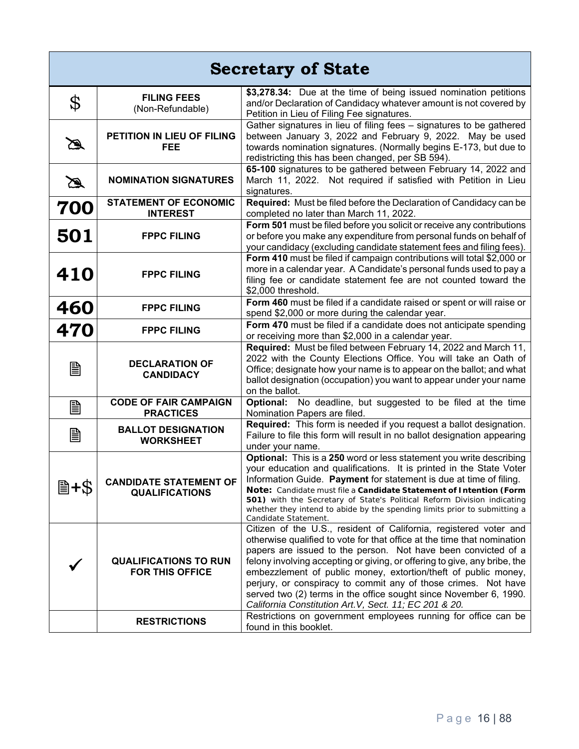| <b>Secretary of State</b> |                                                        |                                                                                                                                                                                                                                                                                                                                                                                                                                                                                                                                                                                                                                 |
|---------------------------|--------------------------------------------------------|---------------------------------------------------------------------------------------------------------------------------------------------------------------------------------------------------------------------------------------------------------------------------------------------------------------------------------------------------------------------------------------------------------------------------------------------------------------------------------------------------------------------------------------------------------------------------------------------------------------------------------|
| \$                        | <b>FILING FEES</b><br>(Non-Refundable)                 | \$3,278.34: Due at the time of being issued nomination petitions<br>and/or Declaration of Candidacy whatever amount is not covered by<br>Petition in Lieu of Filing Fee signatures.                                                                                                                                                                                                                                                                                                                                                                                                                                             |
| $\mathscr{B}$             | PETITION IN LIEU OF FILING<br><b>FEE</b>               | Gather signatures in lieu of filing fees - signatures to be gathered<br>between January 3, 2022 and February 9, 2022. May be used<br>towards nomination signatures. (Normally begins E-173, but due to<br>redistricting this has been changed, per SB 594).                                                                                                                                                                                                                                                                                                                                                                     |
| $\mathscr{A}$             | <b>NOMINATION SIGNATURES</b>                           | 65-100 signatures to be gathered between February 14, 2022 and<br>March 11, 2022. Not required if satisfied with Petition in Lieu<br>signatures.                                                                                                                                                                                                                                                                                                                                                                                                                                                                                |
| 700                       | <b>STATEMENT OF ECONOMIC</b><br><b>INTEREST</b>        | Required: Must be filed before the Declaration of Candidacy can be<br>completed no later than March 11, 2022.                                                                                                                                                                                                                                                                                                                                                                                                                                                                                                                   |
| 501                       | <b>FPPC FILING</b>                                     | Form 501 must be filed before you solicit or receive any contributions<br>or before you make any expenditure from personal funds on behalf of<br>your candidacy (excluding candidate statement fees and filing fees).                                                                                                                                                                                                                                                                                                                                                                                                           |
| <b>410</b>                | <b>FPPC FILING</b>                                     | Form 410 must be filed if campaign contributions will total \$2,000 or<br>more in a calendar year. A Candidate's personal funds used to pay a<br>filing fee or candidate statement fee are not counted toward the<br>\$2,000 threshold.                                                                                                                                                                                                                                                                                                                                                                                         |
| 460                       | <b>FPPC FILING</b>                                     | Form 460 must be filed if a candidate raised or spent or will raise or<br>spend \$2,000 or more during the calendar year.                                                                                                                                                                                                                                                                                                                                                                                                                                                                                                       |
| 470                       | <b>FPPC FILING</b>                                     | Form 470 must be filed if a candidate does not anticipate spending<br>or receiving more than \$2,000 in a calendar year.                                                                                                                                                                                                                                                                                                                                                                                                                                                                                                        |
| B                         | <b>DECLARATION OF</b><br><b>CANDIDACY</b>              | Required: Must be filed between February 14, 2022 and March 11,<br>2022 with the County Elections Office. You will take an Oath of<br>Office; designate how your name is to appear on the ballot; and what<br>ballot designation (occupation) you want to appear under your name<br>on the ballot.                                                                                                                                                                                                                                                                                                                              |
| 圁                         | <b>CODE OF FAIR CAMPAIGN</b><br><b>PRACTICES</b>       | Optional: No deadline, but suggested to be filed at the time<br>Nomination Papers are filed.                                                                                                                                                                                                                                                                                                                                                                                                                                                                                                                                    |
| B                         | <b>BALLOT DESIGNATION</b><br><b>WORKSHEET</b>          | Required: This form is needed if you request a ballot designation.<br>Failure to file this form will result in no ballot designation appearing<br>under your name.                                                                                                                                                                                                                                                                                                                                                                                                                                                              |
| 圖+\$                      | <b>CANDIDATE STATEMENT OF</b><br><b>QUALIFICATIONS</b> | Optional: This is a 250 word or less statement you write describing<br>your education and qualifications. It is printed in the State Voter<br>Information Guide. Payment for statement is due at time of filing.<br>Note: Candidate must file a Candidate Statement of Intention (Form<br>501) with the Secretary of State's Political Reform Division indicating<br>whether they intend to abide by the spending limits prior to submitting a<br>Candidate Statement.                                                                                                                                                          |
|                           | <b>QUALIFICATIONS TO RUN</b><br><b>FOR THIS OFFICE</b> | Citizen of the U.S., resident of California, registered voter and<br>otherwise qualified to vote for that office at the time that nomination<br>papers are issued to the person. Not have been convicted of a<br>felony involving accepting or giving, or offering to give, any bribe, the<br>embezzlement of public money, extortion/theft of public money,<br>perjury, or conspiracy to commit any of those crimes. Not have<br>served two (2) terms in the office sought since November 6, 1990.<br>California Constitution Art. V, Sect. 11; EC 201 & 20.<br>Restrictions on government employees running for office can be |
|                           | <b>RESTRICTIONS</b>                                    | found in this booklet.                                                                                                                                                                                                                                                                                                                                                                                                                                                                                                                                                                                                          |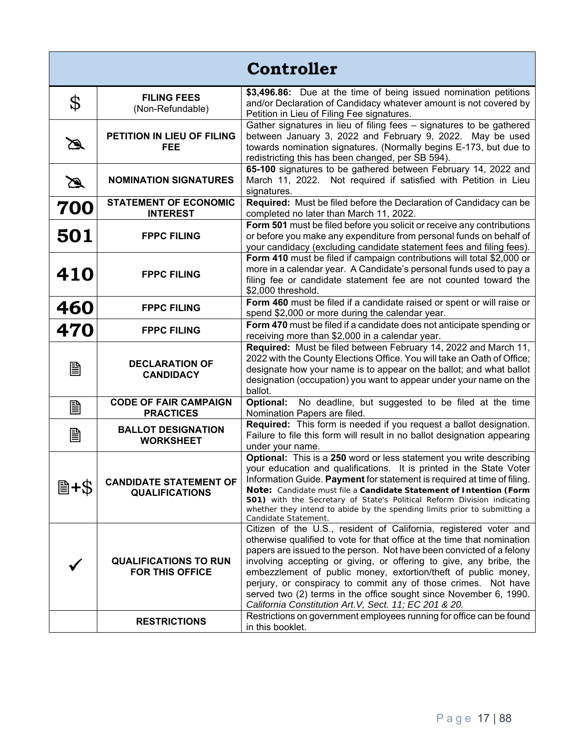| <b>Controller</b> |                                                        |                                                                                                                                                                                                                                                                                                                                                                                                                                                                                                                                                                                                                                       |
|-------------------|--------------------------------------------------------|---------------------------------------------------------------------------------------------------------------------------------------------------------------------------------------------------------------------------------------------------------------------------------------------------------------------------------------------------------------------------------------------------------------------------------------------------------------------------------------------------------------------------------------------------------------------------------------------------------------------------------------|
| \$                | <b>FILING FEES</b><br>(Non-Refundable)                 | \$3,496.86: Due at the time of being issued nomination petitions<br>and/or Declaration of Candidacy whatever amount is not covered by<br>Petition in Lieu of Filing Fee signatures.                                                                                                                                                                                                                                                                                                                                                                                                                                                   |
| B                 | PETITION IN LIEU OF FILING<br><b>FEE</b>               | Gather signatures in lieu of filing fees - signatures to be gathered<br>between January 3, 2022 and February 9, 2022. May be used<br>towards nomination signatures. (Normally begins E-173, but due to<br>redistricting this has been changed, per SB 594).                                                                                                                                                                                                                                                                                                                                                                           |
| $\mathbb Z$       | <b>NOMINATION SIGNATURES</b>                           | 65-100 signatures to be gathered between February 14, 2022 and<br>March 11, 2022. Not required if satisfied with Petition in Lieu<br>signatures.                                                                                                                                                                                                                                                                                                                                                                                                                                                                                      |
| 700               | <b>STATEMENT OF ECONOMIC</b><br><b>INTEREST</b>        | Required: Must be filed before the Declaration of Candidacy can be<br>completed no later than March 11, 2022.                                                                                                                                                                                                                                                                                                                                                                                                                                                                                                                         |
| 501               | <b>FPPC FILING</b>                                     | Form 501 must be filed before you solicit or receive any contributions<br>or before you make any expenditure from personal funds on behalf of<br>your candidacy (excluding candidate statement fees and filing fees).                                                                                                                                                                                                                                                                                                                                                                                                                 |
| 410               | <b>FPPC FILING</b>                                     | Form 410 must be filed if campaign contributions will total \$2,000 or<br>more in a calendar year. A Candidate's personal funds used to pay a<br>filing fee or candidate statement fee are not counted toward the<br>\$2,000 threshold.                                                                                                                                                                                                                                                                                                                                                                                               |
| 460               | <b>FPPC FILING</b>                                     | Form 460 must be filed if a candidate raised or spent or will raise or<br>spend \$2,000 or more during the calendar year.                                                                                                                                                                                                                                                                                                                                                                                                                                                                                                             |
| 470               | <b>FPPC FILING</b>                                     | Form 470 must be filed if a candidate does not anticipate spending or<br>receiving more than \$2,000 in a calendar year.                                                                                                                                                                                                                                                                                                                                                                                                                                                                                                              |
| B                 | <b>DECLARATION OF</b><br><b>CANDIDACY</b>              | Required: Must be filed between February 14, 2022 and March 11,<br>2022 with the County Elections Office. You will take an Oath of Office;<br>designate how your name is to appear on the ballot; and what ballot<br>designation (occupation) you want to appear under your name on the<br>ballot.                                                                                                                                                                                                                                                                                                                                    |
| B                 | <b>CODE OF FAIR CAMPAIGN</b><br><b>PRACTICES</b>       | Optional: No deadline, but suggested to be filed at the time<br>Nomination Papers are filed.                                                                                                                                                                                                                                                                                                                                                                                                                                                                                                                                          |
| B                 | <b>BALLOT DESIGNATION</b><br><b>WORKSHEET</b>          | Required: This form is needed if you request a ballot designation.<br>Failure to file this form will result in no ballot designation appearing<br>under your name.                                                                                                                                                                                                                                                                                                                                                                                                                                                                    |
| ≣+\$              | <b>CANDIDATE STATEMENT OF</b><br><b>QUALIFICATIONS</b> | Optional: This is a 250 word or less statement you write describing<br>your education and qualifications. It is printed in the State Voter<br>Information Guide. Payment for statement is required at time of filing.<br>Note: Candidate must file a Candidate Statement of Intention (Form<br><b>501)</b> with the Secretary of State's Political Reform Division indicating<br>whether they intend to abide by the spending limits prior to submitting a<br>Candidate Statement.                                                                                                                                                    |
|                   | <b>QUALIFICATIONS TO RUN</b><br><b>FOR THIS OFFICE</b> | Citizen of the U.S., resident of California, registered voter and<br>otherwise qualified to vote for that office at the time that nomination<br>papers are issued to the person. Not have been convicted of a felony<br>involving accepting or giving, or offering to give, any bribe, the<br>embezzlement of public money, extortion/theft of public money,<br>perjury, or conspiracy to commit any of those crimes. Not have<br>served two (2) terms in the office sought since November 6, 1990.<br>California Constitution Art. V, Sect. 11; EC 201 & 20.<br>Restrictions on government employees running for office can be found |
|                   | <b>RESTRICTIONS</b>                                    | in this booklet.                                                                                                                                                                                                                                                                                                                                                                                                                                                                                                                                                                                                                      |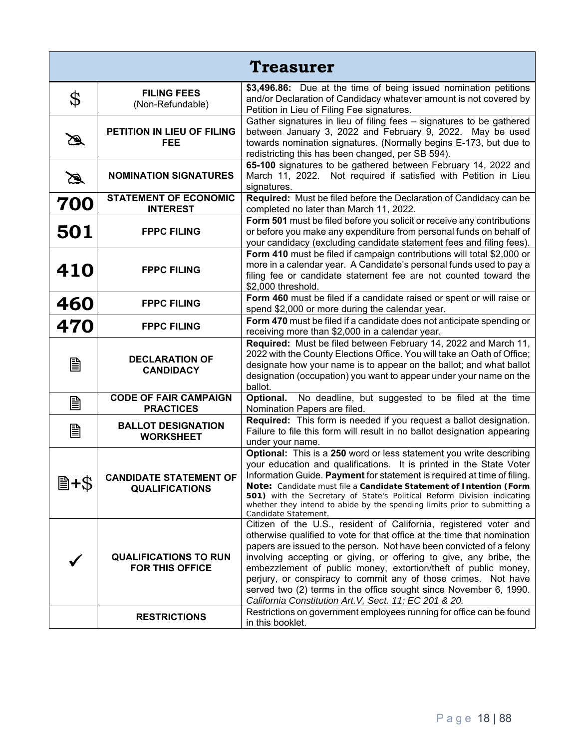| <b>Treasurer</b>                |                                                        |                                                                                                                                                                                                                                                                                                                                                                                                                                                                                                                                                                                                                                       |
|---------------------------------|--------------------------------------------------------|---------------------------------------------------------------------------------------------------------------------------------------------------------------------------------------------------------------------------------------------------------------------------------------------------------------------------------------------------------------------------------------------------------------------------------------------------------------------------------------------------------------------------------------------------------------------------------------------------------------------------------------|
| $\boldsymbol{\mathrm{\varphi}}$ | <b>FILING FEES</b><br>(Non-Refundable)                 | \$3,496.86: Due at the time of being issued nomination petitions<br>and/or Declaration of Candidacy whatever amount is not covered by<br>Petition in Lieu of Filing Fee signatures.                                                                                                                                                                                                                                                                                                                                                                                                                                                   |
| B                               | PETITION IN LIEU OF FILING<br><b>FEE</b>               | Gather signatures in lieu of filing fees - signatures to be gathered<br>between January 3, 2022 and February 9, 2022. May be used<br>towards nomination signatures. (Normally begins E-173, but due to<br>redistricting this has been changed, per SB 594).                                                                                                                                                                                                                                                                                                                                                                           |
| $\mathbb{Z}$                    | <b>NOMINATION SIGNATURES</b>                           | 65-100 signatures to be gathered between February 14, 2022 and<br>March 11, 2022. Not required if satisfied with Petition in Lieu<br>signatures.                                                                                                                                                                                                                                                                                                                                                                                                                                                                                      |
| 700                             | <b>STATEMENT OF ECONOMIC</b><br><b>INTEREST</b>        | Required: Must be filed before the Declaration of Candidacy can be<br>completed no later than March 11, 2022.                                                                                                                                                                                                                                                                                                                                                                                                                                                                                                                         |
| 501                             | <b>FPPC FILING</b>                                     | Form 501 must be filed before you solicit or receive any contributions<br>or before you make any expenditure from personal funds on behalf of<br>your candidacy (excluding candidate statement fees and filing fees).                                                                                                                                                                                                                                                                                                                                                                                                                 |
| 410                             | <b>FPPC FILING</b>                                     | Form 410 must be filed if campaign contributions will total \$2,000 or<br>more in a calendar year. A Candidate's personal funds used to pay a<br>filing fee or candidate statement fee are not counted toward the<br>\$2,000 threshold.                                                                                                                                                                                                                                                                                                                                                                                               |
| 460                             | <b>FPPC FILING</b>                                     | Form 460 must be filed if a candidate raised or spent or will raise or<br>spend \$2,000 or more during the calendar year.                                                                                                                                                                                                                                                                                                                                                                                                                                                                                                             |
| 470                             | <b>FPPC FILING</b>                                     | Form 470 must be filed if a candidate does not anticipate spending or<br>receiving more than \$2,000 in a calendar year.                                                                                                                                                                                                                                                                                                                                                                                                                                                                                                              |
| B                               | <b>DECLARATION OF</b><br><b>CANDIDACY</b>              | Required: Must be filed between February 14, 2022 and March 11,<br>2022 with the County Elections Office. You will take an Oath of Office;<br>designate how your name is to appear on the ballot; and what ballot<br>designation (occupation) you want to appear under your name on the<br>ballot.                                                                                                                                                                                                                                                                                                                                    |
| B                               | <b>CODE OF FAIR CAMPAIGN</b><br><b>PRACTICES</b>       | No deadline, but suggested to be filed at the time<br>Optional.<br>Nomination Papers are filed.                                                                                                                                                                                                                                                                                                                                                                                                                                                                                                                                       |
| B                               | <b>BALLOT DESIGNATION</b><br><b>WORKSHEET</b>          | Required: This form is needed if you request a ballot designation.<br>Failure to file this form will result in no ballot designation appearing<br>under your name.                                                                                                                                                                                                                                                                                                                                                                                                                                                                    |
| 圖+\$                            | <b>CANDIDATE STATEMENT OF</b><br><b>QUALIFICATIONS</b> | Optional: This is a 250 word or less statement you write describing<br>your education and qualifications. It is printed in the State Voter<br>Information Guide. Payment for statement is required at time of filing.<br>Note: Candidate must file a Candidate Statement of Intention (Form<br>501) with the Secretary of State's Political Reform Division indicating<br>whether they intend to abide by the spending limits prior to submitting a<br>Candidate Statement.                                                                                                                                                           |
|                                 | <b>QUALIFICATIONS TO RUN</b><br><b>FOR THIS OFFICE</b> | Citizen of the U.S., resident of California, registered voter and<br>otherwise qualified to vote for that office at the time that nomination<br>papers are issued to the person. Not have been convicted of a felony<br>involving accepting or giving, or offering to give, any bribe, the<br>embezzlement of public money, extortion/theft of public money,<br>perjury, or conspiracy to commit any of those crimes. Not have<br>served two (2) terms in the office sought since November 6, 1990.<br>California Constitution Art. V, Sect. 11; EC 201 & 20.<br>Restrictions on government employees running for office can be found |
|                                 | <b>RESTRICTIONS</b>                                    | in this booklet.                                                                                                                                                                                                                                                                                                                                                                                                                                                                                                                                                                                                                      |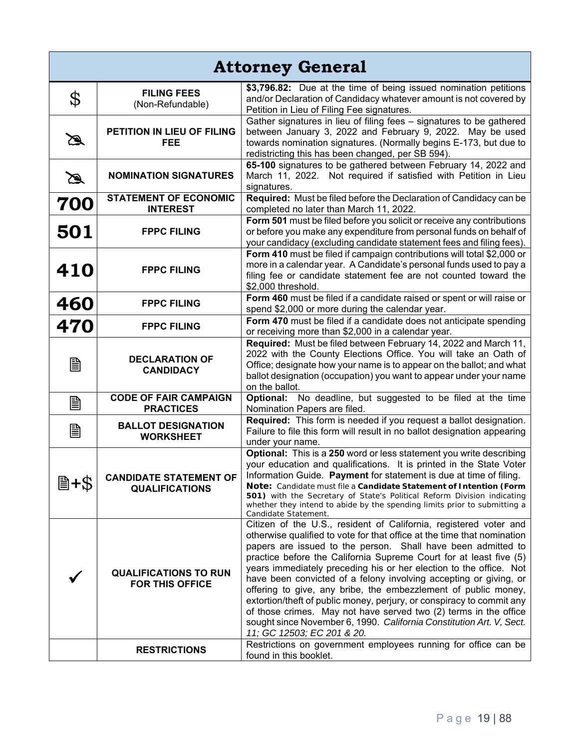| <b>Attorney General</b> |                                                        |                                                                                                                                                                                                                                                                                                                                                                                                                                                                                                                                                                                                                                                                                                                                                                                                                      |
|-------------------------|--------------------------------------------------------|----------------------------------------------------------------------------------------------------------------------------------------------------------------------------------------------------------------------------------------------------------------------------------------------------------------------------------------------------------------------------------------------------------------------------------------------------------------------------------------------------------------------------------------------------------------------------------------------------------------------------------------------------------------------------------------------------------------------------------------------------------------------------------------------------------------------|
| \$                      | <b>FILING FEES</b><br>(Non-Refundable)                 | \$3,796.82: Due at the time of being issued nomination petitions<br>and/or Declaration of Candidacy whatever amount is not covered by<br>Petition in Lieu of Filing Fee signatures.                                                                                                                                                                                                                                                                                                                                                                                                                                                                                                                                                                                                                                  |
| B                       | PETITION IN LIEU OF FILING<br><b>FEE</b>               | Gather signatures in lieu of filing fees - signatures to be gathered<br>between January 3, 2022 and February 9, 2022. May be used<br>towards nomination signatures. (Normally begins E-173, but due to<br>redistricting this has been changed, per SB 594).                                                                                                                                                                                                                                                                                                                                                                                                                                                                                                                                                          |
| $\mathbb Z$             | <b>NOMINATION SIGNATURES</b>                           | 65-100 signatures to be gathered between February 14, 2022 and<br>March 11, 2022. Not required if satisfied with Petition in Lieu<br>signatures.                                                                                                                                                                                                                                                                                                                                                                                                                                                                                                                                                                                                                                                                     |
| 700                     | <b>STATEMENT OF ECONOMIC</b>                           | Required: Must be filed before the Declaration of Candidacy can be                                                                                                                                                                                                                                                                                                                                                                                                                                                                                                                                                                                                                                                                                                                                                   |
| 501                     | <b>INTEREST</b><br><b>FPPC FILING</b>                  | completed no later than March 11, 2022.<br>Form 501 must be filed before you solicit or receive any contributions<br>or before you make any expenditure from personal funds on behalf of<br>your candidacy (excluding candidate statement fees and filing fees).                                                                                                                                                                                                                                                                                                                                                                                                                                                                                                                                                     |
| 410                     | <b>FPPC FILING</b>                                     | Form 410 must be filed if campaign contributions will total \$2,000 or<br>more in a calendar year. A Candidate's personal funds used to pay a<br>filing fee or candidate statement fee are not counted toward the<br>\$2,000 threshold.                                                                                                                                                                                                                                                                                                                                                                                                                                                                                                                                                                              |
| 460                     | <b>FPPC FILING</b>                                     | Form 460 must be filed if a candidate raised or spent or will raise or<br>spend \$2,000 or more during the calendar year.                                                                                                                                                                                                                                                                                                                                                                                                                                                                                                                                                                                                                                                                                            |
| 470                     | <b>FPPC FILING</b>                                     | Form 470 must be filed if a candidate does not anticipate spending<br>or receiving more than \$2,000 in a calendar year.                                                                                                                                                                                                                                                                                                                                                                                                                                                                                                                                                                                                                                                                                             |
| B                       | <b>DECLARATION OF</b><br><b>CANDIDACY</b>              | Required: Must be filed between February 14, 2022 and March 11,<br>2022 with the County Elections Office. You will take an Oath of<br>Office; designate how your name is to appear on the ballot; and what<br>ballot designation (occupation) you want to appear under your name<br>on the ballot.                                                                                                                                                                                                                                                                                                                                                                                                                                                                                                                   |
| B                       | <b>CODE OF FAIR CAMPAIGN</b><br><b>PRACTICES</b>       | No deadline, but suggested to be filed at the time<br>Optional:<br>Nomination Papers are filed.                                                                                                                                                                                                                                                                                                                                                                                                                                                                                                                                                                                                                                                                                                                      |
| B                       | <b>BALLOT DESIGNATION</b><br><b>WORKSHEET</b>          | Required: This form is needed if you request a ballot designation.<br>Failure to file this form will result in no ballot designation appearing<br>under your name.                                                                                                                                                                                                                                                                                                                                                                                                                                                                                                                                                                                                                                                   |
| 圖+\$                    | <b>CANDIDATE STATEMENT OF</b><br><b>QUALIFICATIONS</b> | Optional: This is a 250 word or less statement you write describing<br>your education and qualifications. It is printed in the State Voter<br>Information Guide. Payment for statement is due at time of filing.<br>Note: Candidate must file a Candidate Statement of Intention (Form<br><b>501)</b> with the Secretary of State's Political Reform Division indicating<br>whether they intend to abide by the spending limits prior to submitting a<br>Candidate Statement.                                                                                                                                                                                                                                                                                                                                        |
|                         | <b>QUALIFICATIONS TO RUN</b><br><b>FOR THIS OFFICE</b> | Citizen of the U.S., resident of California, registered voter and<br>otherwise qualified to vote for that office at the time that nomination<br>papers are issued to the person. Shall have been admitted to<br>practice before the California Supreme Court for at least five (5)<br>years immediately preceding his or her election to the office. Not<br>have been convicted of a felony involving accepting or giving, or<br>offering to give, any bribe, the embezzlement of public money,<br>extortion/theft of public money, perjury, or conspiracy to commit any<br>of those crimes. May not have served two (2) terms in the office<br>sought since November 6, 1990. California Constitution Art. V, Sect.<br>11; GC 12503; EC 201 & 20.<br>Restrictions on government employees running for office can be |
|                         | <b>RESTRICTIONS</b>                                    | found in this booklet.                                                                                                                                                                                                                                                                                                                                                                                                                                                                                                                                                                                                                                                                                                                                                                                               |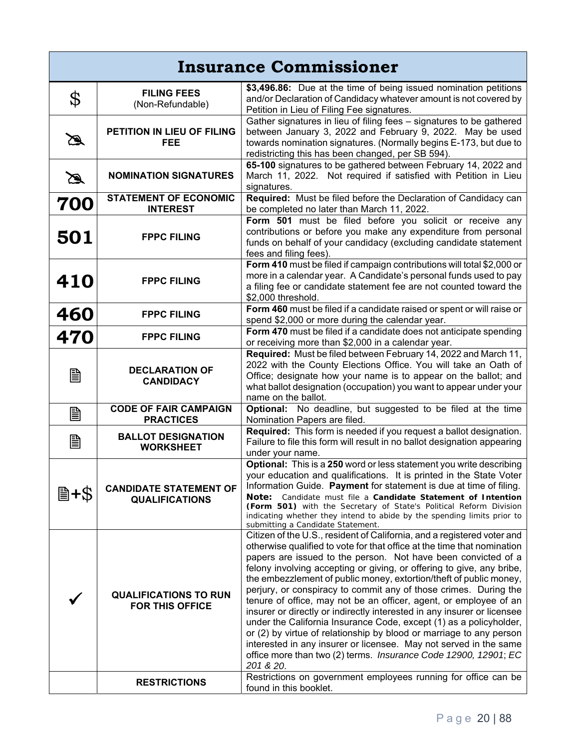| <b>Insurance Commissioner</b> |                                                        |                                                                                                                                                                                                                                                                                                                                                                                                                                                                                                                                                                                                                                                                                                                                                                                                                                                                                          |
|-------------------------------|--------------------------------------------------------|------------------------------------------------------------------------------------------------------------------------------------------------------------------------------------------------------------------------------------------------------------------------------------------------------------------------------------------------------------------------------------------------------------------------------------------------------------------------------------------------------------------------------------------------------------------------------------------------------------------------------------------------------------------------------------------------------------------------------------------------------------------------------------------------------------------------------------------------------------------------------------------|
| \$                            | <b>FILING FEES</b><br>(Non-Refundable)                 | \$3,496.86: Due at the time of being issued nomination petitions<br>and/or Declaration of Candidacy whatever amount is not covered by<br>Petition in Lieu of Filing Fee signatures.                                                                                                                                                                                                                                                                                                                                                                                                                                                                                                                                                                                                                                                                                                      |
| B                             | PETITION IN LIEU OF FILING<br>FEE                      | Gather signatures in lieu of filing fees - signatures to be gathered<br>between January 3, 2022 and February 9, 2022. May be used<br>towards nomination signatures. (Normally begins E-173, but due to<br>redistricting this has been changed, per SB 594).                                                                                                                                                                                                                                                                                                                                                                                                                                                                                                                                                                                                                              |
| $\mathbb Z$                   | <b>NOMINATION SIGNATURES</b>                           | 65-100 signatures to be gathered between February 14, 2022 and<br>March 11, 2022. Not required if satisfied with Petition in Lieu<br>signatures.                                                                                                                                                                                                                                                                                                                                                                                                                                                                                                                                                                                                                                                                                                                                         |
| 700                           | <b>STATEMENT OF ECONOMIC</b><br><b>INTEREST</b>        | Required: Must be filed before the Declaration of Candidacy can<br>be completed no later than March 11, 2022.                                                                                                                                                                                                                                                                                                                                                                                                                                                                                                                                                                                                                                                                                                                                                                            |
| 501                           | <b>FPPC FILING</b>                                     | Form 501 must be filed before you solicit or receive any<br>contributions or before you make any expenditure from personal<br>funds on behalf of your candidacy (excluding candidate statement<br>fees and filing fees).                                                                                                                                                                                                                                                                                                                                                                                                                                                                                                                                                                                                                                                                 |
| 410                           | <b>FPPC FILING</b>                                     | Form 410 must be filed if campaign contributions will total \$2,000 or<br>more in a calendar year. A Candidate's personal funds used to pay<br>a filing fee or candidate statement fee are not counted toward the<br>\$2,000 threshold.                                                                                                                                                                                                                                                                                                                                                                                                                                                                                                                                                                                                                                                  |
| 460                           | <b>FPPC FILING</b>                                     | Form 460 must be filed if a candidate raised or spent or will raise or<br>spend \$2,000 or more during the calendar year.                                                                                                                                                                                                                                                                                                                                                                                                                                                                                                                                                                                                                                                                                                                                                                |
| 470                           | <b>FPPC FILING</b>                                     | Form 470 must be filed if a candidate does not anticipate spending<br>or receiving more than \$2,000 in a calendar year.                                                                                                                                                                                                                                                                                                                                                                                                                                                                                                                                                                                                                                                                                                                                                                 |
| B                             | <b>DECLARATION OF</b><br><b>CANDIDACY</b>              | Required: Must be filed between February 14, 2022 and March 11,<br>2022 with the County Elections Office. You will take an Oath of<br>Office; designate how your name is to appear on the ballot; and<br>what ballot designation (occupation) you want to appear under your<br>name on the ballot.                                                                                                                                                                                                                                                                                                                                                                                                                                                                                                                                                                                       |
| B                             | <b>CODE OF FAIR CAMPAIGN</b><br><b>PRACTICES</b>       | Optional: No deadline, but suggested to be filed at the time<br>Nomination Papers are filed.                                                                                                                                                                                                                                                                                                                                                                                                                                                                                                                                                                                                                                                                                                                                                                                             |
| B                             | <b>BALLOT DESIGNATION</b><br><b>WORKSHEET</b>          | Required: This form is needed if you request a ballot designation.<br>Failure to file this form will result in no ballot designation appearing<br>under your name.                                                                                                                                                                                                                                                                                                                                                                                                                                                                                                                                                                                                                                                                                                                       |
| 圖+\$                          | <b>CANDIDATE STATEMENT OF</b><br><b>QUALIFICATIONS</b> | Optional: This is a 250 word or less statement you write describing<br>your education and qualifications. It is printed in the State Voter  <br>Information Guide. Payment for statement is due at time of filing.<br>Candidate must file a Candidate Statement of Intention<br>Note:<br>(Form 501) with the Secretary of State's Political Reform Division<br>indicating whether they intend to abide by the spending limits prior to<br>submitting a Candidate Statement.                                                                                                                                                                                                                                                                                                                                                                                                              |
|                               | <b>QUALIFICATIONS TO RUN</b><br>FOR THIS OFFICE        | Citizen of the U.S., resident of California, and a registered voter and<br>otherwise qualified to vote for that office at the time that nomination<br>papers are issued to the person. Not have been convicted of a<br>felony involving accepting or giving, or offering to give, any bribe,<br>the embezzlement of public money, extortion/theft of public money,<br>perjury, or conspiracy to commit any of those crimes. During the<br>tenure of office, may not be an officer, agent, or employee of an<br>insurer or directly or indirectly interested in any insurer or licensee<br>under the California Insurance Code, except (1) as a policyholder,<br>or (2) by virtue of relationship by blood or marriage to any person<br>interested in any insurer or licensee. May not served in the same<br>office more than two (2) terms. Insurance Code 12900, 12901; EC<br>201 & 20. |
|                               | <b>RESTRICTIONS</b>                                    | Restrictions on government employees running for office can be<br>found in this booklet.                                                                                                                                                                                                                                                                                                                                                                                                                                                                                                                                                                                                                                                                                                                                                                                                 |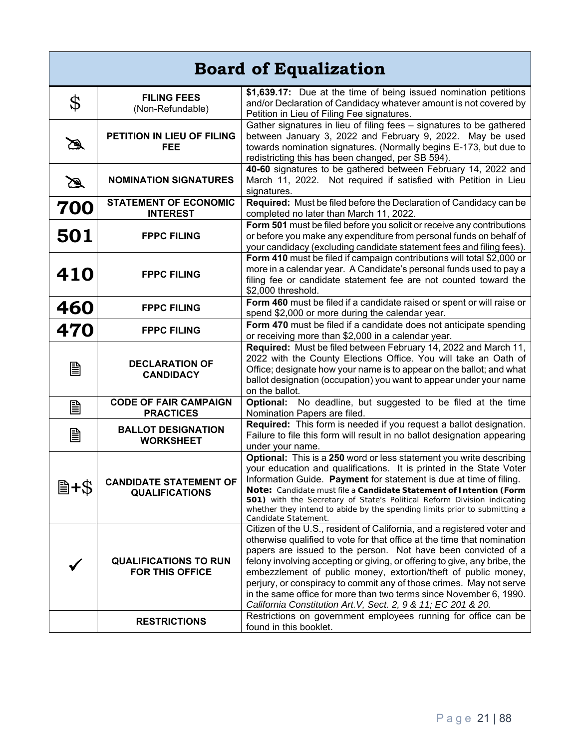| <b>Board of Equalization</b> |                                                        |                                                                                                                                                                                                                                                                                                                                                                                                                                                                                                                                                                                                                                                    |
|------------------------------|--------------------------------------------------------|----------------------------------------------------------------------------------------------------------------------------------------------------------------------------------------------------------------------------------------------------------------------------------------------------------------------------------------------------------------------------------------------------------------------------------------------------------------------------------------------------------------------------------------------------------------------------------------------------------------------------------------------------|
| \$                           | <b>FILING FEES</b><br>(Non-Refundable)                 | \$1,639.17: Due at the time of being issued nomination petitions<br>and/or Declaration of Candidacy whatever amount is not covered by<br>Petition in Lieu of Filing Fee signatures.                                                                                                                                                                                                                                                                                                                                                                                                                                                                |
| B                            | PETITION IN LIEU OF FILING<br><b>FEE</b>               | Gather signatures in lieu of filing fees - signatures to be gathered<br>between January 3, 2022 and February 9, 2022. May be used<br>towards nomination signatures. (Normally begins E-173, but due to<br>redistricting this has been changed, per SB 594).                                                                                                                                                                                                                                                                                                                                                                                        |
| $\mathbb Z$                  | <b>NOMINATION SIGNATURES</b>                           | 40-60 signatures to be gathered between February 14, 2022 and<br>March 11, 2022. Not required if satisfied with Petition in Lieu<br>signatures.                                                                                                                                                                                                                                                                                                                                                                                                                                                                                                    |
| 700                          | <b>STATEMENT OF ECONOMIC</b><br><b>INTEREST</b>        | Required: Must be filed before the Declaration of Candidacy can be<br>completed no later than March 11, 2022.                                                                                                                                                                                                                                                                                                                                                                                                                                                                                                                                      |
| 501                          | <b>FPPC FILING</b>                                     | Form 501 must be filed before you solicit or receive any contributions<br>or before you make any expenditure from personal funds on behalf of<br>your candidacy (excluding candidate statement fees and filing fees).                                                                                                                                                                                                                                                                                                                                                                                                                              |
| <b>410</b>                   | <b>FPPC FILING</b>                                     | Form 410 must be filed if campaign contributions will total \$2,000 or<br>more in a calendar year. A Candidate's personal funds used to pay a<br>filing fee or candidate statement fee are not counted toward the<br>\$2,000 threshold.                                                                                                                                                                                                                                                                                                                                                                                                            |
| 460                          | <b>FPPC FILING</b>                                     | Form 460 must be filed if a candidate raised or spent or will raise or<br>spend \$2,000 or more during the calendar year.                                                                                                                                                                                                                                                                                                                                                                                                                                                                                                                          |
| 470                          | <b>FPPC FILING</b>                                     | Form 470 must be filed if a candidate does not anticipate spending<br>or receiving more than \$2,000 in a calendar year.                                                                                                                                                                                                                                                                                                                                                                                                                                                                                                                           |
| B                            | <b>DECLARATION OF</b><br><b>CANDIDACY</b>              | Required: Must be filed between February 14, 2022 and March 11,<br>2022 with the County Elections Office. You will take an Oath of<br>Office; designate how your name is to appear on the ballot; and what<br>ballot designation (occupation) you want to appear under your name<br>on the ballot.                                                                                                                                                                                                                                                                                                                                                 |
| B                            | <b>CODE OF FAIR CAMPAIGN</b><br><b>PRACTICES</b>       | Optional: No deadline, but suggested to be filed at the time<br>Nomination Papers are filed.                                                                                                                                                                                                                                                                                                                                                                                                                                                                                                                                                       |
| B                            | <b>BALLOT DESIGNATION</b><br><b>WORKSHEET</b>          | Required: This form is needed if you request a ballot designation.<br>Failure to file this form will result in no ballot designation appearing<br>under your name.                                                                                                                                                                                                                                                                                                                                                                                                                                                                                 |
| 圖+\$                         | <b>CANDIDATE STATEMENT OF</b><br><b>QUALIFICATIONS</b> | Optional: This is a 250 word or less statement you write describing<br>your education and qualifications. It is printed in the State Voter<br>Information Guide. Payment for statement is due at time of filing.<br>Note: Candidate must file a Candidate Statement of Intention (Form<br>501) with the Secretary of State's Political Reform Division indicating<br>whether they intend to abide by the spending limits prior to submitting a<br>Candidate Statement.                                                                                                                                                                             |
|                              | <b>QUALIFICATIONS TO RUN</b><br><b>FOR THIS OFFICE</b> | Citizen of the U.S., resident of California, and a registered voter and<br>otherwise qualified to vote for that office at the time that nomination<br>papers are issued to the person. Not have been convicted of a<br>felony involving accepting or giving, or offering to give, any bribe, the<br>embezzlement of public money, extortion/theft of public money,<br>perjury, or conspiracy to commit any of those crimes. May not serve<br>in the same office for more than two terms since November 6, 1990.<br>California Constitution Art. V, Sect. 2, 9 & 11; EC 201 & 20.<br>Restrictions on government employees running for office can be |
|                              | <b>RESTRICTIONS</b>                                    | found in this booklet.                                                                                                                                                                                                                                                                                                                                                                                                                                                                                                                                                                                                                             |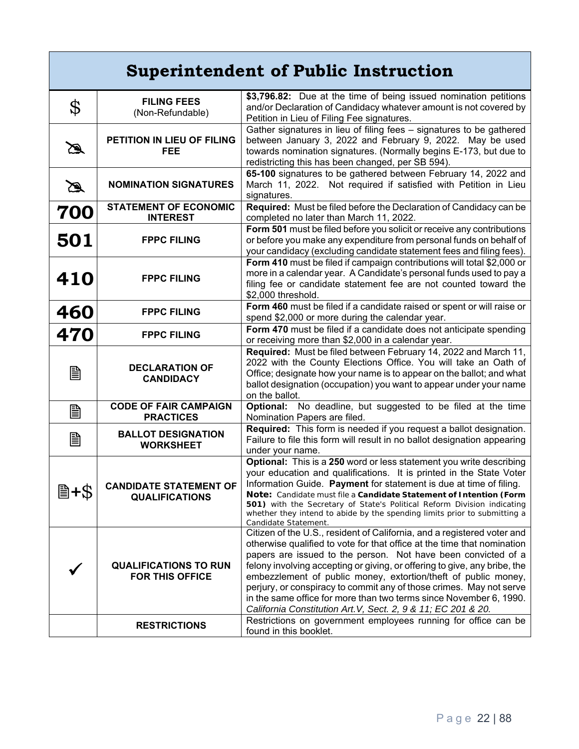| <b>Superintendent of Public Instruction</b> |                                                        |                                                                                                                                                                                                                                                                                                                                                                                                                                                                                                                                                                                  |
|---------------------------------------------|--------------------------------------------------------|----------------------------------------------------------------------------------------------------------------------------------------------------------------------------------------------------------------------------------------------------------------------------------------------------------------------------------------------------------------------------------------------------------------------------------------------------------------------------------------------------------------------------------------------------------------------------------|
| \$                                          | <b>FILING FEES</b><br>(Non-Refundable)                 | \$3,796.82: Due at the time of being issued nomination petitions<br>and/or Declaration of Candidacy whatever amount is not covered by<br>Petition in Lieu of Filing Fee signatures.                                                                                                                                                                                                                                                                                                                                                                                              |
| B                                           | PETITION IN LIEU OF FILING<br><b>FEE</b>               | Gather signatures in lieu of filing fees - signatures to be gathered<br>between January 3, 2022 and February 9, 2022. May be used<br>towards nomination signatures. (Normally begins E-173, but due to<br>redistricting this has been changed, per SB 594).                                                                                                                                                                                                                                                                                                                      |
| $\mathbb Z$                                 | <b>NOMINATION SIGNATURES</b>                           | 65-100 signatures to be gathered between February 14, 2022 and<br>March 11, 2022. Not required if satisfied with Petition in Lieu<br>signatures.                                                                                                                                                                                                                                                                                                                                                                                                                                 |
| 700                                         | <b>STATEMENT OF ECONOMIC</b><br><b>INTEREST</b>        | Required: Must be filed before the Declaration of Candidacy can be<br>completed no later than March 11, 2022.                                                                                                                                                                                                                                                                                                                                                                                                                                                                    |
| 501                                         | <b>FPPC FILING</b>                                     | Form 501 must be filed before you solicit or receive any contributions<br>or before you make any expenditure from personal funds on behalf of<br>your candidacy (excluding candidate statement fees and filing fees).                                                                                                                                                                                                                                                                                                                                                            |
| 410                                         | <b>FPPC FILING</b>                                     | Form 410 must be filed if campaign contributions will total \$2,000 or<br>more in a calendar year. A Candidate's personal funds used to pay a<br>filing fee or candidate statement fee are not counted toward the<br>\$2,000 threshold.                                                                                                                                                                                                                                                                                                                                          |
| 460                                         | <b>FPPC FILING</b>                                     | Form 460 must be filed if a candidate raised or spent or will raise or<br>spend \$2,000 or more during the calendar year.                                                                                                                                                                                                                                                                                                                                                                                                                                                        |
| 470                                         | <b>FPPC FILING</b>                                     | Form 470 must be filed if a candidate does not anticipate spending<br>or receiving more than \$2,000 in a calendar year.                                                                                                                                                                                                                                                                                                                                                                                                                                                         |
| B                                           | <b>DECLARATION OF</b><br><b>CANDIDACY</b>              | Required: Must be filed between February 14, 2022 and March 11,<br>2022 with the County Elections Office. You will take an Oath of<br>Office; designate how your name is to appear on the ballot; and what<br>ballot designation (occupation) you want to appear under your name<br>on the ballot.                                                                                                                                                                                                                                                                               |
| B                                           | <b>CODE OF FAIR CAMPAIGN</b><br><b>PRACTICES</b>       | Optional: No deadline, but suggested to be filed at the time<br>Nomination Papers are filed.                                                                                                                                                                                                                                                                                                                                                                                                                                                                                     |
| B                                           | <b>BALLOT DESIGNATION</b><br><b>WORKSHEET</b>          | Required: This form is needed if you request a ballot designation.<br>Failure to file this form will result in no ballot designation appearing<br>under your name.                                                                                                                                                                                                                                                                                                                                                                                                               |
|                                             | <b>CANDIDATE STATEMENT OF</b><br><b>QUALIFICATIONS</b> | Optional: This is a 250 word or less statement you write describing<br>your education and qualifications. It is printed in the State Voter<br>Information Guide. Payment for statement is due at time of filing.<br>Note: Candidate must file a Candidate Statement of Intention (Form<br>501) with the Secretary of State's Political Reform Division indicating<br>whether they intend to abide by the spending limits prior to submitting a<br>Candidate Statement.                                                                                                           |
|                                             | <b>QUALIFICATIONS TO RUN</b><br><b>FOR THIS OFFICE</b> | Citizen of the U.S., resident of California, and a registered voter and<br>otherwise qualified to vote for that office at the time that nomination<br>papers are issued to the person. Not have been convicted of a<br>felony involving accepting or giving, or offering to give, any bribe, the<br>embezzlement of public money, extortion/theft of public money,<br>perjury, or conspiracy to commit any of those crimes. May not serve<br>in the same office for more than two terms since November 6, 1990.<br>California Constitution Art. V, Sect. 2, 9 & 11; EC 201 & 20. |
|                                             | <b>RESTRICTIONS</b>                                    | Restrictions on government employees running for office can be<br>found in this booklet.                                                                                                                                                                                                                                                                                                                                                                                                                                                                                         |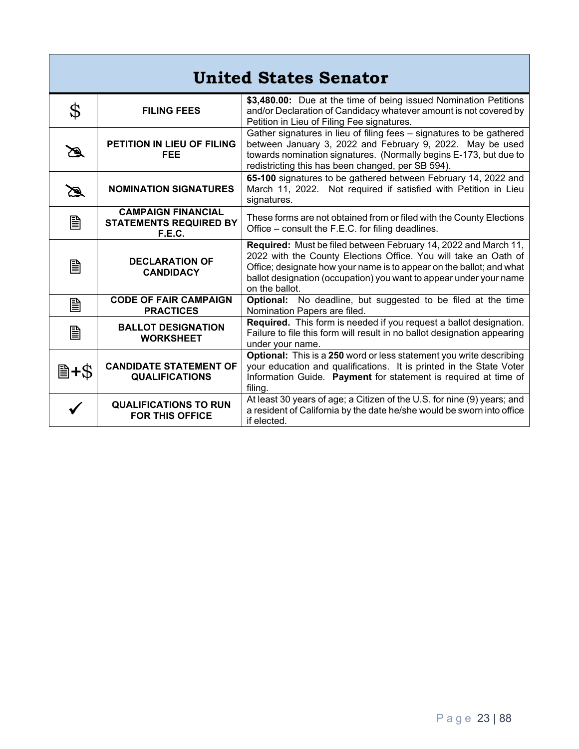| <b>United States Senator</b> |                                                                      |                                                                                                                                                                                                                                                                                                    |
|------------------------------|----------------------------------------------------------------------|----------------------------------------------------------------------------------------------------------------------------------------------------------------------------------------------------------------------------------------------------------------------------------------------------|
| \$                           | <b>FILING FEES</b>                                                   | \$3,480.00: Due at the time of being issued Nomination Petitions<br>and/or Declaration of Candidacy whatever amount is not covered by<br>Petition in Lieu of Filing Fee signatures.                                                                                                                |
| ∕∾                           | <b>PETITION IN LIEU OF FILING</b><br><b>FEE</b>                      | Gather signatures in lieu of filing fees - signatures to be gathered<br>between January 3, 2022 and February 9, 2022. May be used<br>towards nomination signatures. (Normally begins E-173, but due to<br>redistricting this has been changed, per SB 594).                                        |
| ☎                            | <b>NOMINATION SIGNATURES</b>                                         | 65-100 signatures to be gathered between February 14, 2022 and<br>March 11, 2022. Not required if satisfied with Petition in Lieu<br>signatures.                                                                                                                                                   |
| 圁                            | <b>CAMPAIGN FINANCIAL</b><br><b>STATEMENTS REQUIRED BY</b><br>F.E.C. | These forms are not obtained from or filed with the County Elections<br>Office - consult the F.E.C. for filing deadlines.                                                                                                                                                                          |
| B                            | <b>DECLARATION OF</b><br><b>CANDIDACY</b>                            | Required: Must be filed between February 14, 2022 and March 11,<br>2022 with the County Elections Office. You will take an Oath of<br>Office; designate how your name is to appear on the ballot; and what<br>ballot designation (occupation) you want to appear under your name<br>on the ballot. |
| B                            | <b>CODE OF FAIR CAMPAIGN</b><br><b>PRACTICES</b>                     | Optional: No deadline, but suggested to be filed at the time<br>Nomination Papers are filed.                                                                                                                                                                                                       |
| B                            | <b>BALLOT DESIGNATION</b><br><b>WORKSHEET</b>                        | Required. This form is needed if you request a ballot designation.<br>Failure to file this form will result in no ballot designation appearing<br>under your name.                                                                                                                                 |
| ■+\$                         | <b>CANDIDATE STATEMENT OF</b><br><b>QUALIFICATIONS</b>               | Optional: This is a 250 word or less statement you write describing<br>your education and qualifications. It is printed in the State Voter<br>Information Guide. Payment for statement is required at time of<br>filing.                                                                           |
|                              | <b>QUALIFICATIONS TO RUN</b><br><b>FOR THIS OFFICE</b>               | At least 30 years of age; a Citizen of the U.S. for nine (9) years; and<br>a resident of California by the date he/she would be sworn into office<br>if elected.                                                                                                                                   |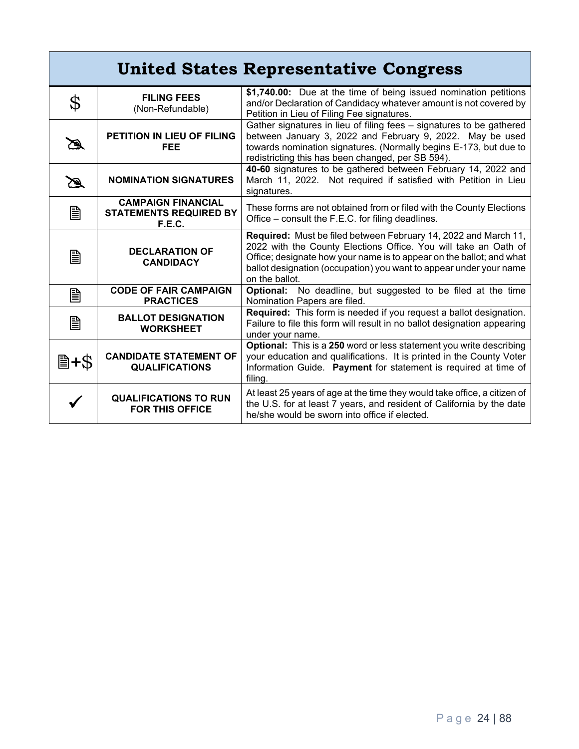| <b>United States Representative Congress</b> |                                                                             |                                                                                                                                                                                                                                                                                                    |
|----------------------------------------------|-----------------------------------------------------------------------------|----------------------------------------------------------------------------------------------------------------------------------------------------------------------------------------------------------------------------------------------------------------------------------------------------|
| \$                                           | <b>FILING FEES</b><br>(Non-Refundable)                                      | \$1,740.00: Due at the time of being issued nomination petitions<br>and/or Declaration of Candidacy whatever amount is not covered by<br>Petition in Lieu of Filing Fee signatures.                                                                                                                |
| ☎                                            | PETITION IN LIEU OF FILING<br><b>FEE</b>                                    | Gather signatures in lieu of filing fees - signatures to be gathered<br>between January 3, 2022 and February 9, 2022. May be used<br>towards nomination signatures. (Normally begins E-173, but due to<br>redistricting this has been changed, per SB 594).                                        |
| B                                            | <b>NOMINATION SIGNATURES</b>                                                | 40-60 signatures to be gathered between February 14, 2022 and<br>March 11, 2022. Not required if satisfied with Petition in Lieu<br>signatures.                                                                                                                                                    |
| 圁                                            | <b>CAMPAIGN FINANCIAL</b><br><b>STATEMENTS REQUIRED BY</b><br><b>F.E.C.</b> | These forms are not obtained from or filed with the County Elections<br>Office - consult the F.E.C. for filing deadlines.                                                                                                                                                                          |
| B                                            | <b>DECLARATION OF</b><br><b>CANDIDACY</b>                                   | Required: Must be filed between February 14, 2022 and March 11,<br>2022 with the County Elections Office. You will take an Oath of<br>Office; designate how your name is to appear on the ballot; and what<br>ballot designation (occupation) you want to appear under your name<br>on the ballot. |
| 圁                                            | <b>CODE OF FAIR CAMPAIGN</b><br><b>PRACTICES</b>                            | Optional: No deadline, but suggested to be filed at the time<br>Nomination Papers are filed.                                                                                                                                                                                                       |
| B                                            | <b>BALLOT DESIGNATION</b><br><b>WORKSHEET</b>                               | Required: This form is needed if you request a ballot designation.<br>Failure to file this form will result in no ballot designation appearing<br>under your name.                                                                                                                                 |
| 圖+\$                                         | <b>CANDIDATE STATEMENT OF</b><br><b>QUALIFICATIONS</b>                      | <b>Optional:</b> This is a 250 word or less statement you write describing<br>your education and qualifications. It is printed in the County Voter<br>Information Guide. Payment for statement is required at time of<br>filing.                                                                   |
|                                              | <b>QUALIFICATIONS TO RUN</b><br><b>FOR THIS OFFICE</b>                      | At least 25 years of age at the time they would take office, a citizen of<br>the U.S. for at least 7 years, and resident of California by the date<br>he/she would be sworn into office if elected.                                                                                                |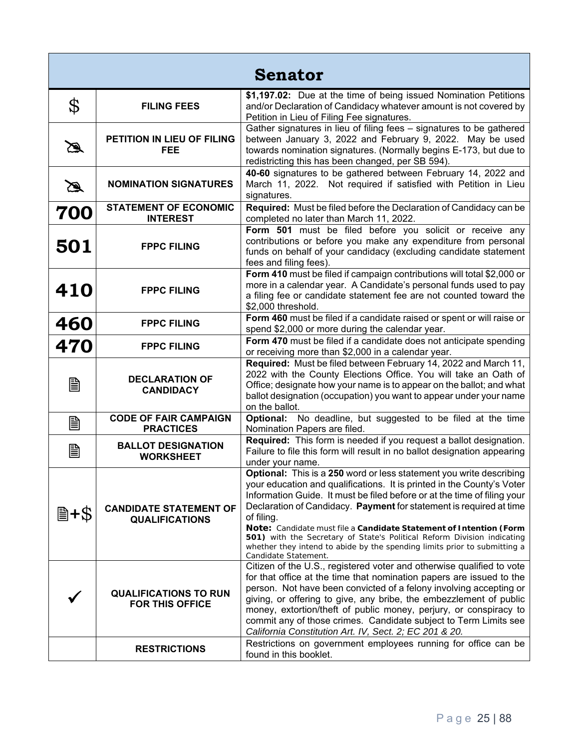| <b>Senator</b> |                                                        |                                                                                                                                                                                                                                                                                                                                                                                                                                                                                                                                                                             |
|----------------|--------------------------------------------------------|-----------------------------------------------------------------------------------------------------------------------------------------------------------------------------------------------------------------------------------------------------------------------------------------------------------------------------------------------------------------------------------------------------------------------------------------------------------------------------------------------------------------------------------------------------------------------------|
| \$             | <b>FILING FEES</b>                                     | \$1,197.02: Due at the time of being issued Nomination Petitions<br>and/or Declaration of Candidacy whatever amount is not covered by<br>Petition in Lieu of Filing Fee signatures.                                                                                                                                                                                                                                                                                                                                                                                         |
| Ø              | PETITION IN LIEU OF FILING<br><b>FEE</b>               | Gather signatures in lieu of filing fees - signatures to be gathered<br>between January 3, 2022 and February 9, 2022. May be used<br>towards nomination signatures. (Normally begins E-173, but due to<br>redistricting this has been changed, per SB 594).                                                                                                                                                                                                                                                                                                                 |
| $\mathbb Z$    | <b>NOMINATION SIGNATURES</b>                           | 40-60 signatures to be gathered between February 14, 2022 and<br>March 11, 2022. Not required if satisfied with Petition in Lieu<br>signatures.                                                                                                                                                                                                                                                                                                                                                                                                                             |
| 700            | <b>STATEMENT OF ECONOMIC</b><br><b>INTEREST</b>        | Required: Must be filed before the Declaration of Candidacy can be<br>completed no later than March 11, 2022.                                                                                                                                                                                                                                                                                                                                                                                                                                                               |
| 501            | <b>FPPC FILING</b>                                     | Form 501 must be filed before you solicit or receive any<br>contributions or before you make any expenditure from personal<br>funds on behalf of your candidacy (excluding candidate statement<br>fees and filing fees).                                                                                                                                                                                                                                                                                                                                                    |
| <b>410</b>     | <b>FPPC FILING</b>                                     | Form 410 must be filed if campaign contributions will total \$2,000 or<br>more in a calendar year. A Candidate's personal funds used to pay<br>a filing fee or candidate statement fee are not counted toward the<br>\$2,000 threshold.                                                                                                                                                                                                                                                                                                                                     |
| <b>460</b>     | <b>FPPC FILING</b>                                     | Form 460 must be filed if a candidate raised or spent or will raise or<br>spend \$2,000 or more during the calendar year.                                                                                                                                                                                                                                                                                                                                                                                                                                                   |
| 470            | <b>FPPC FILING</b>                                     | Form 470 must be filed if a candidate does not anticipate spending<br>or receiving more than \$2,000 in a calendar year.                                                                                                                                                                                                                                                                                                                                                                                                                                                    |
| B              | <b>DECLARATION OF</b><br><b>CANDIDACY</b>              | Required: Must be filed between February 14, 2022 and March 11,<br>2022 with the County Elections Office. You will take an Oath of<br>Office; designate how your name is to appear on the ballot; and what<br>ballot designation (occupation) you want to appear under your name<br>on the ballot.                                                                                                                                                                                                                                                                          |
| B              | <b>CODE OF FAIR CAMPAIGN</b><br><b>PRACTICES</b>       | Optional: No deadline, but suggested to be filed at the time<br>Nomination Papers are filed.                                                                                                                                                                                                                                                                                                                                                                                                                                                                                |
| B              | <b>BALLOT DESIGNATION</b><br><b>WORKSHEET</b>          | Required: This form is needed if you request a ballot designation.<br>Failure to file this form will result in no ballot designation appearing<br>under your name.                                                                                                                                                                                                                                                                                                                                                                                                          |
| 圖+\$           | <b>CANDIDATE STATEMENT OF</b><br><b>QUALIFICATIONS</b> | <b>Optional:</b> This is a 250 word or less statement you write describing<br>your education and qualifications. It is printed in the County's Voter<br>Information Guide. It must be filed before or at the time of filing your<br>Declaration of Candidacy. Payment for statement is required at time<br>of filing.<br>Note: Candidate must file a Candidate Statement of Intention (Form<br>501) with the Secretary of State's Political Reform Division indicating<br>whether they intend to abide by the spending limits prior to submitting a<br>Candidate Statement. |
|                | <b>QUALIFICATIONS TO RUN</b><br><b>FOR THIS OFFICE</b> | Citizen of the U.S., registered voter and otherwise qualified to vote<br>for that office at the time that nomination papers are issued to the<br>person. Not have been convicted of a felony involving accepting or<br>giving, or offering to give, any bribe, the embezzlement of public<br>money, extortion/theft of public money, perjury, or conspiracy to<br>commit any of those crimes. Candidate subject to Term Limits see<br>California Constitution Art. IV, Sect. 2; EC 201 & 20.                                                                                |
|                | <b>RESTRICTIONS</b>                                    | Restrictions on government employees running for office can be<br>found in this booklet.                                                                                                                                                                                                                                                                                                                                                                                                                                                                                    |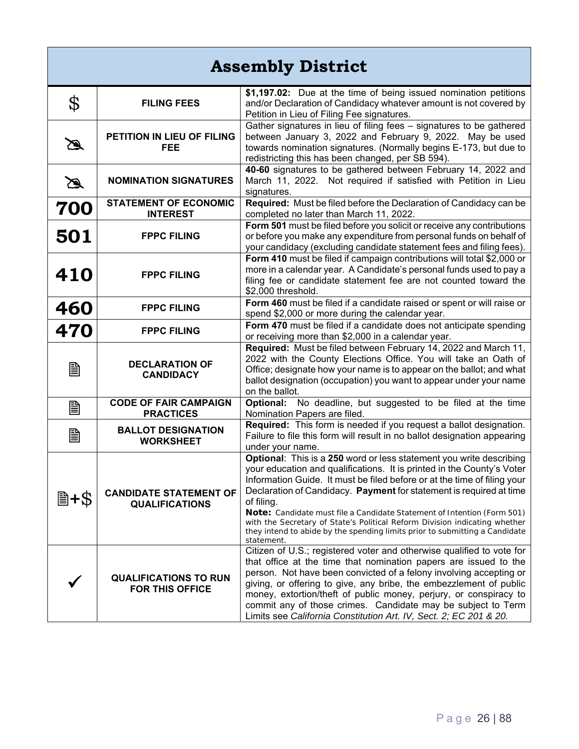| <b>Assembly District</b> |                                                        |                                                                                                                                                                                                                                                                                                                                                                                                                                                                                                                                                                        |
|--------------------------|--------------------------------------------------------|------------------------------------------------------------------------------------------------------------------------------------------------------------------------------------------------------------------------------------------------------------------------------------------------------------------------------------------------------------------------------------------------------------------------------------------------------------------------------------------------------------------------------------------------------------------------|
| \$                       | <b>FILING FEES</b>                                     | \$1,197.02: Due at the time of being issued nomination petitions<br>and/or Declaration of Candidacy whatever amount is not covered by<br>Petition in Lieu of Filing Fee signatures.                                                                                                                                                                                                                                                                                                                                                                                    |
| $\mathscr{B}$            | PETITION IN LIEU OF FILING<br><b>FEE</b>               | Gather signatures in lieu of filing fees - signatures to be gathered<br>between January 3, 2022 and February 9, 2022. May be used<br>towards nomination signatures. (Normally begins E-173, but due to<br>redistricting this has been changed, per SB 594).                                                                                                                                                                                                                                                                                                            |
| $\mathbb Z$              | <b>NOMINATION SIGNATURES</b>                           | 40-60 signatures to be gathered between February 14, 2022 and<br>March 11, 2022. Not required if satisfied with Petition in Lieu<br>signatures.                                                                                                                                                                                                                                                                                                                                                                                                                        |
| 700                      | <b>STATEMENT OF ECONOMIC</b><br><b>INTEREST</b>        | Required: Must be filed before the Declaration of Candidacy can be<br>completed no later than March 11, 2022.                                                                                                                                                                                                                                                                                                                                                                                                                                                          |
| 501                      | <b>FPPC FILING</b>                                     | Form 501 must be filed before you solicit or receive any contributions<br>or before you make any expenditure from personal funds on behalf of<br>your candidacy (excluding candidate statement fees and filing fees).                                                                                                                                                                                                                                                                                                                                                  |
| 410                      | <b>FPPC FILING</b>                                     | Form 410 must be filed if campaign contributions will total \$2,000 or<br>more in a calendar year. A Candidate's personal funds used to pay a<br>filing fee or candidate statement fee are not counted toward the<br>\$2,000 threshold.                                                                                                                                                                                                                                                                                                                                |
| 460                      | <b>FPPC FILING</b>                                     | Form 460 must be filed if a candidate raised or spent or will raise or<br>spend \$2,000 or more during the calendar year.                                                                                                                                                                                                                                                                                                                                                                                                                                              |
| 470                      | <b>FPPC FILING</b>                                     | Form 470 must be filed if a candidate does not anticipate spending<br>or receiving more than \$2,000 in a calendar year.                                                                                                                                                                                                                                                                                                                                                                                                                                               |
| B                        | <b>DECLARATION OF</b><br><b>CANDIDACY</b>              | Required: Must be filed between February 14, 2022 and March 11,<br>2022 with the County Elections Office. You will take an Oath of<br>Office; designate how your name is to appear on the ballot; and what<br>ballot designation (occupation) you want to appear under your name<br>on the ballot.                                                                                                                                                                                                                                                                     |
| B                        | <b>CODE OF FAIR CAMPAIGN</b><br><b>PRACTICES</b>       | <b>Optional:</b> No deadline, but suggested to be filed at the time<br>Nomination Papers are filed.                                                                                                                                                                                                                                                                                                                                                                                                                                                                    |
| B                        | <b>BALLOT DESIGNATION</b><br><b>WORKSHEET</b>          | Required: This form is needed if you request a ballot designation.<br>Failure to file this form will result in no ballot designation appearing<br>under your name.                                                                                                                                                                                                                                                                                                                                                                                                     |
| 圖+\$                     | <b>CANDIDATE STATEMENT OF</b><br><b>QUALIFICATIONS</b> | Optional: This is a 250 word or less statement you write describing<br>your education and qualifications. It is printed in the County's Voter  <br>Information Guide. It must be filed before or at the time of filing your<br>Declaration of Candidacy. Payment for statement is required at time<br>of filing.<br>Note: Candidate must file a Candidate Statement of Intention (Form 501)<br>with the Secretary of State's Political Reform Division indicating whether<br>they intend to abide by the spending limits prior to submitting a Candidate<br>statement. |
|                          | <b>QUALIFICATIONS TO RUN</b><br><b>FOR THIS OFFICE</b> | Citizen of U.S.; registered voter and otherwise qualified to vote for<br>that office at the time that nomination papers are issued to the<br>person. Not have been convicted of a felony involving accepting or<br>giving, or offering to give, any bribe, the embezzlement of public<br>money, extortion/theft of public money, perjury, or conspiracy to<br>commit any of those crimes. Candidate may be subject to Term<br>Limits see California Constitution Art. IV, Sect. 2; EC 201 & 20.                                                                        |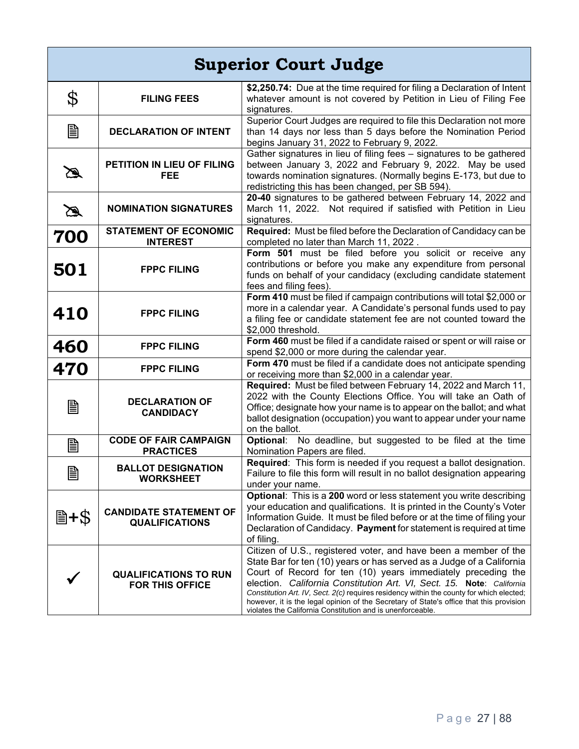|               | <b>Superior Court Judge</b>                            |                                                                                                                                                                                                                                                                                                                                                                                                                                                                                                                                         |  |
|---------------|--------------------------------------------------------|-----------------------------------------------------------------------------------------------------------------------------------------------------------------------------------------------------------------------------------------------------------------------------------------------------------------------------------------------------------------------------------------------------------------------------------------------------------------------------------------------------------------------------------------|--|
| \$            | <b>FILING FEES</b>                                     | \$2,250.74: Due at the time required for filing a Declaration of Intent<br>whatever amount is not covered by Petition in Lieu of Filing Fee<br>signatures.                                                                                                                                                                                                                                                                                                                                                                              |  |
| B             | <b>DECLARATION OF INTENT</b>                           | Superior Court Judges are required to file this Declaration not more<br>than 14 days nor less than 5 days before the Nomination Period<br>begins January 31, 2022 to February 9, 2022.                                                                                                                                                                                                                                                                                                                                                  |  |
| B             | PETITION IN LIEU OF FILING<br><b>FEE</b>               | Gather signatures in lieu of filing fees - signatures to be gathered<br>between January 3, 2022 and February 9, 2022. May be used<br>towards nomination signatures. (Normally begins E-173, but due to<br>redistricting this has been changed, per SB 594).                                                                                                                                                                                                                                                                             |  |
| $\mathbb Z$   | <b>NOMINATION SIGNATURES</b>                           | 20-40 signatures to be gathered between February 14, 2022 and<br>March 11, 2022. Not required if satisfied with Petition in Lieu<br>signatures.                                                                                                                                                                                                                                                                                                                                                                                         |  |
| 700           | <b>STATEMENT OF ECONOMIC</b><br><b>INTEREST</b>        | Required: Must be filed before the Declaration of Candidacy can be<br>completed no later than March 11, 2022.                                                                                                                                                                                                                                                                                                                                                                                                                           |  |
| 501           | <b>FPPC FILING</b>                                     | Form 501 must be filed before you solicit or receive any<br>contributions or before you make any expenditure from personal<br>funds on behalf of your candidacy (excluding candidate statement<br>fees and filing fees).                                                                                                                                                                                                                                                                                                                |  |
| 410           | <b>FPPC FILING</b>                                     | Form 410 must be filed if campaign contributions will total \$2,000 or<br>more in a calendar year. A Candidate's personal funds used to pay<br>a filing fee or candidate statement fee are not counted toward the<br>\$2,000 threshold.                                                                                                                                                                                                                                                                                                 |  |
| 460           | <b>FPPC FILING</b>                                     | Form 460 must be filed if a candidate raised or spent or will raise or<br>spend \$2,000 or more during the calendar year.                                                                                                                                                                                                                                                                                                                                                                                                               |  |
| 470           | <b>FPPC FILING</b>                                     | Form 470 must be filed if a candidate does not anticipate spending                                                                                                                                                                                                                                                                                                                                                                                                                                                                      |  |
| 圁             | <b>DECLARATION OF</b><br><b>CANDIDACY</b>              | or receiving more than \$2,000 in a calendar year.<br>Required: Must be filed between February 14, 2022 and March 11,<br>2022 with the County Elections Office. You will take an Oath of<br>Office; designate how your name is to appear on the ballot; and what<br>ballot designation (occupation) you want to appear under your name<br>on the ballot.                                                                                                                                                                                |  |
| B             | <b>CODE OF FAIR CAMPAIGN</b><br><b>PRACTICES</b>       | Optional: No deadline, but suggested to be filed at the time<br>Nomination Papers are filed.                                                                                                                                                                                                                                                                                                                                                                                                                                            |  |
| 戶<br>$\equiv$ | <b>BALLOT DESIGNATION</b><br><b>WORKSHEET</b>          | Required: This form is needed if you request a ballot designation.<br>Failure to file this form will result in no ballot designation appearing<br>under your name.                                                                                                                                                                                                                                                                                                                                                                      |  |
| 圖+\$          | <b>CANDIDATE STATEMENT OF</b><br><b>QUALIFICATIONS</b> | Optional: This is a 200 word or less statement you write describing<br>your education and qualifications. It is printed in the County's Voter<br>Information Guide. It must be filed before or at the time of filing your<br>Declaration of Candidacy. Payment for statement is required at time<br>of filing.                                                                                                                                                                                                                          |  |
|               | <b>QUALIFICATIONS TO RUN</b><br><b>FOR THIS OFFICE</b> | Citizen of U.S., registered voter, and have been a member of the<br>State Bar for ten (10) years or has served as a Judge of a California<br>Court of Record for ten (10) years immediately preceding the<br>election. California Constitution Art. VI, Sect. 15. Note: California<br>Constitution Art. IV, Sect. 2(c) requires residency within the county for which elected;<br>however, it is the legal opinion of the Secretary of State's office that this provision<br>violates the California Constitution and is unenforceable. |  |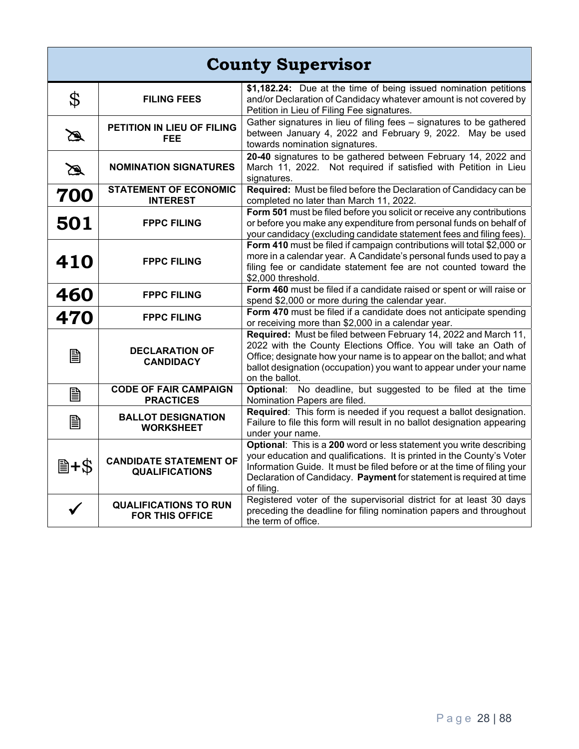| <b>County Supervisor</b> |                                                        |                                                                                                                                                                                                                                                                                                                |
|--------------------------|--------------------------------------------------------|----------------------------------------------------------------------------------------------------------------------------------------------------------------------------------------------------------------------------------------------------------------------------------------------------------------|
| \$                       | <b>FILING FEES</b>                                     | \$1,182.24: Due at the time of being issued nomination petitions<br>and/or Declaration of Candidacy whatever amount is not covered by<br>Petition in Lieu of Filing Fee signatures.                                                                                                                            |
| $\mathscr{A}$            | PETITION IN LIEU OF FILING<br><b>FEE</b>               | Gather signatures in lieu of filing fees - signatures to be gathered<br>between January 4, 2022 and February 9, 2022. May be used<br>towards nomination signatures.                                                                                                                                            |
| $\mathbb Z$              | <b>NOMINATION SIGNATURES</b>                           | 20-40 signatures to be gathered between February 14, 2022 and<br>March 11, 2022. Not required if satisfied with Petition in Lieu<br>signatures.                                                                                                                                                                |
| 700                      | <b>STATEMENT OF ECONOMIC</b><br><b>INTEREST</b>        | Required: Must be filed before the Declaration of Candidacy can be<br>completed no later than March 11, 2022.                                                                                                                                                                                                  |
| 501                      | <b>FPPC FILING</b>                                     | Form 501 must be filed before you solicit or receive any contributions<br>or before you make any expenditure from personal funds on behalf of<br>your candidacy (excluding candidate statement fees and filing fees).                                                                                          |
| 410                      | <b>FPPC FILING</b>                                     | Form 410 must be filed if campaign contributions will total \$2,000 or<br>more in a calendar year. A Candidate's personal funds used to pay a<br>filing fee or candidate statement fee are not counted toward the<br>\$2,000 threshold.                                                                        |
| 460                      | <b>FPPC FILING</b>                                     | Form 460 must be filed if a candidate raised or spent or will raise or<br>spend \$2,000 or more during the calendar year.                                                                                                                                                                                      |
| 470                      | <b>FPPC FILING</b>                                     | Form 470 must be filed if a candidate does not anticipate spending<br>or receiving more than \$2,000 in a calendar year.                                                                                                                                                                                       |
| B                        | <b>DECLARATION OF</b><br><b>CANDIDACY</b>              | Required: Must be filed between February 14, 2022 and March 11,<br>2022 with the County Elections Office. You will take an Oath of<br>Office; designate how your name is to appear on the ballot; and what<br>ballot designation (occupation) you want to appear under your name<br>on the ballot.             |
| B                        | <b>CODE OF FAIR CAMPAIGN</b><br><b>PRACTICES</b>       | Optional: No deadline, but suggested to be filed at the time<br>Nomination Papers are filed.                                                                                                                                                                                                                   |
| B                        | <b>BALLOT DESIGNATION</b><br><b>WORKSHEET</b>          | Required: This form is needed if you request a ballot designation.<br>Failure to file this form will result in no ballot designation appearing<br>under your name.                                                                                                                                             |
| 圖+\$                     | <b>CANDIDATE STATEMENT OF</b><br><b>QUALIFICATIONS</b> | Optional: This is a 200 word or less statement you write describing<br>your education and qualifications. It is printed in the County's Voter<br>Information Guide. It must be filed before or at the time of filing your<br>Declaration of Candidacy. Payment for statement is required at time<br>of filing. |
|                          | <b>QUALIFICATIONS TO RUN</b><br><b>FOR THIS OFFICE</b> | Registered voter of the supervisorial district for at least 30 days<br>preceding the deadline for filing nomination papers and throughout<br>the term of office.                                                                                                                                               |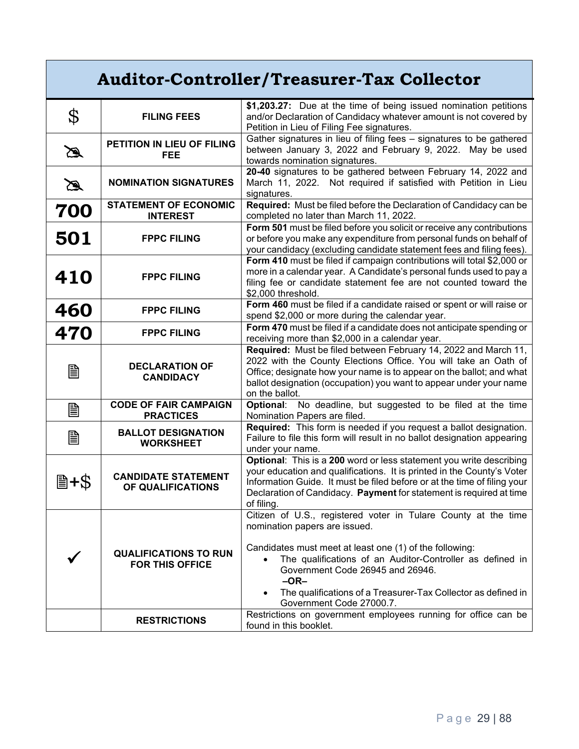| <b>Auditor-Controller/Treasurer-Tax Collector</b> |                                                        |                                                                                                                                                                                                                                                                                                                                                                                                                                      |
|---------------------------------------------------|--------------------------------------------------------|--------------------------------------------------------------------------------------------------------------------------------------------------------------------------------------------------------------------------------------------------------------------------------------------------------------------------------------------------------------------------------------------------------------------------------------|
| \$                                                | <b>FILING FEES</b>                                     | \$1,203.27: Due at the time of being issued nomination petitions<br>and/or Declaration of Candidacy whatever amount is not covered by<br>Petition in Lieu of Filing Fee signatures.                                                                                                                                                                                                                                                  |
| $\mathscr{B}$                                     | PETITION IN LIEU OF FILING<br><b>FEE</b>               | Gather signatures in lieu of filing fees - signatures to be gathered<br>between January 3, 2022 and February 9, 2022. May be used<br>towards nomination signatures.                                                                                                                                                                                                                                                                  |
| $\mathscr{B}$                                     | <b>NOMINATION SIGNATURES</b>                           | 20-40 signatures to be gathered between February 14, 2022 and<br>March 11, 2022. Not required if satisfied with Petition in Lieu<br>signatures.                                                                                                                                                                                                                                                                                      |
| 700                                               | <b>STATEMENT OF ECONOMIC</b><br><b>INTEREST</b>        | Required: Must be filed before the Declaration of Candidacy can be<br>completed no later than March 11, 2022.                                                                                                                                                                                                                                                                                                                        |
| 501                                               | <b>FPPC FILING</b>                                     | Form 501 must be filed before you solicit or receive any contributions<br>or before you make any expenditure from personal funds on behalf of<br>your candidacy (excluding candidate statement fees and filing fees).                                                                                                                                                                                                                |
| 410                                               | <b>FPPC FILING</b>                                     | Form 410 must be filed if campaign contributions will total \$2,000 or<br>more in a calendar year. A Candidate's personal funds used to pay a<br>filing fee or candidate statement fee are not counted toward the<br>\$2,000 threshold.                                                                                                                                                                                              |
| 460                                               | <b>FPPC FILING</b>                                     | Form 460 must be filed if a candidate raised or spent or will raise or<br>spend \$2,000 or more during the calendar year.                                                                                                                                                                                                                                                                                                            |
| 470                                               | <b>FPPC FILING</b>                                     | Form 470 must be filed if a candidate does not anticipate spending or<br>receiving more than \$2,000 in a calendar year.                                                                                                                                                                                                                                                                                                             |
| B                                                 | <b>DECLARATION OF</b><br><b>CANDIDACY</b>              | Required: Must be filed between February 14, 2022 and March 11,<br>2022 with the County Elections Office. You will take an Oath of<br>Office; designate how your name is to appear on the ballot; and what<br>ballot designation (occupation) you want to appear under your name<br>on the ballot.                                                                                                                                   |
| B                                                 | <b>CODE OF FAIR CAMPAIGN</b><br><b>PRACTICES</b>       | No deadline, but suggested to be filed at the time<br><b>Optional:</b><br>Nomination Papers are filed.                                                                                                                                                                                                                                                                                                                               |
| B                                                 | <b>BALLOT DESIGNATION</b><br><b>WORKSHEET</b>          | Required: This form is needed if you request a ballot designation.<br>Failure to file this form will result in no ballot designation appearing<br>under your name.                                                                                                                                                                                                                                                                   |
| 圖+\$                                              | <b>CANDIDATE STATEMENT</b><br>OF QUALIFICATIONS        | Optional: This is a 200 word or less statement you write describing<br>your education and qualifications. It is printed in the County's Voter<br>Information Guide. It must be filed before or at the time of filing your<br>Declaration of Candidacy. Payment for statement is required at time<br>of filing.                                                                                                                       |
|                                                   | <b>QUALIFICATIONS TO RUN</b><br><b>FOR THIS OFFICE</b> | Citizen of U.S., registered voter in Tulare County at the time<br>nomination papers are issued.<br>Candidates must meet at least one (1) of the following:<br>The qualifications of an Auditor-Controller as defined in<br>Government Code 26945 and 26946.<br>$-OR-$<br>The qualifications of a Treasurer-Tax Collector as defined in<br>Government Code 27000.7.<br>Restrictions on government employees running for office can be |
|                                                   | <b>RESTRICTIONS</b>                                    | found in this booklet.                                                                                                                                                                                                                                                                                                                                                                                                               |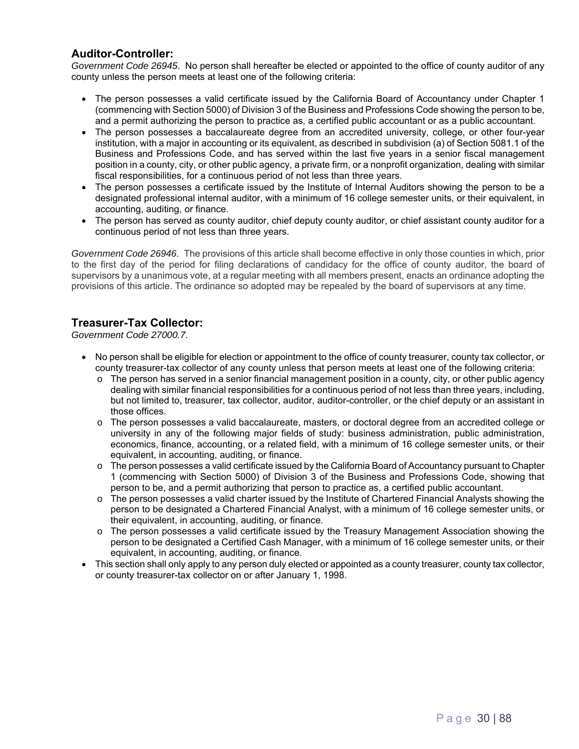#### **Auditor-Controller:**

*Government Code 26945*. No person shall hereafter be elected or appointed to the office of county auditor of any county unless the person meets at least one of the following criteria:

- The person possesses a valid certificate issued by the California Board of Accountancy under Chapter 1 (commencing with Section 5000) of Division 3 of the Business and Professions Code showing the person to be, and a permit authorizing the person to practice as, a certified public accountant or as a public accountant.
- The person possesses a baccalaureate degree from an accredited university, college, or other four-year institution, with a major in accounting or its equivalent, as described in subdivision (a) of Section 5081.1 of the Business and Professions Code, and has served within the last five years in a senior fiscal management position in a county, city, or other public agency, a private firm, or a nonprofit organization, dealing with similar fiscal responsibilities, for a continuous period of not less than three years.
- The person possesses a certificate issued by the Institute of Internal Auditors showing the person to be a designated professional internal auditor, with a minimum of 16 college semester units, or their equivalent, in accounting, auditing, or finance.
- The person has served as county auditor, chief deputy county auditor, or chief assistant county auditor for a continuous period of not less than three years.

*Government Code 26946*. The provisions of this article shall become effective in only those counties in which, prior to the first day of the period for filing declarations of candidacy for the office of county auditor, the board of supervisors by a unanimous vote, at a regular meeting with all members present, enacts an ordinance adopting the provisions of this article. The ordinance so adopted may be repealed by the board of supervisors at any time.

#### **Treasurer-Tax Collector:**

*Government Code 27000.7*.

- No person shall be eligible for election or appointment to the office of county treasurer, county tax collector, or county treasurer-tax collector of any county unless that person meets at least one of the following criteria:
	- $\circ$  The person has served in a senior financial management position in a county, city, or other public agency dealing with similar financial responsibilities for a continuous period of not less than three years, including, but not limited to, treasurer, tax collector, auditor, auditor-controller, or the chief deputy or an assistant in those offices.
	- o The person possesses a valid baccalaureate, masters, or doctoral degree from an accredited college or university in any of the following major fields of study: business administration, public administration, economics, finance, accounting, or a related field, with a minimum of 16 college semester units, or their equivalent, in accounting, auditing, or finance.
	- $\circ$  The person possesses a valid certificate issued by the California Board of Accountancy pursuant to Chapter 1 (commencing with Section 5000) of Division 3 of the Business and Professions Code, showing that person to be, and a permit authorizing that person to practice as, a certified public accountant.
	- o The person possesses a valid charter issued by the Institute of Chartered Financial Analysts showing the person to be designated a Chartered Financial Analyst, with a minimum of 16 college semester units, or their equivalent, in accounting, auditing, or finance.
	- o The person possesses a valid certificate issued by the Treasury Management Association showing the person to be designated a Certified Cash Manager, with a minimum of 16 college semester units, or their equivalent, in accounting, auditing, or finance.
- This section shall only apply to any person duly elected or appointed as a county treasurer, county tax collector, or county treasurer-tax collector on or after January 1, 1998.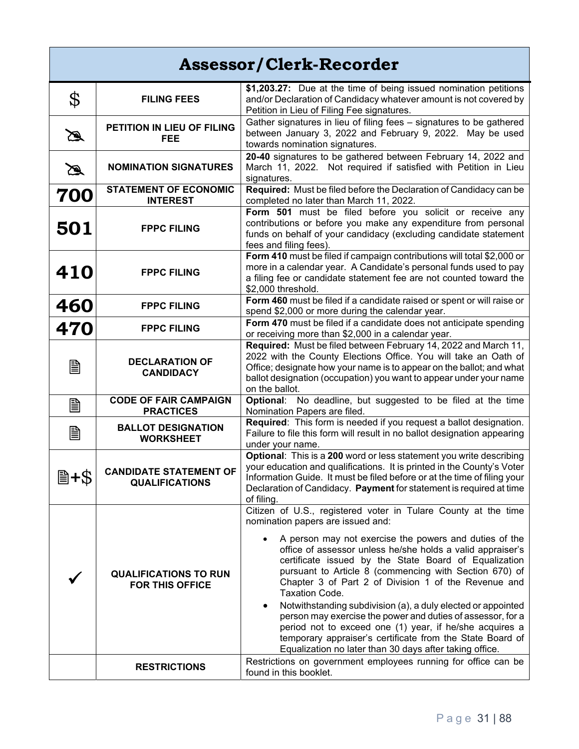| <b>Assessor/Clerk-Recorder</b> |                                                        |                                                                                                                                                                                                                                                                                                                                                                                                                                                                                                                                                                                                                                                                                                                                                 |
|--------------------------------|--------------------------------------------------------|-------------------------------------------------------------------------------------------------------------------------------------------------------------------------------------------------------------------------------------------------------------------------------------------------------------------------------------------------------------------------------------------------------------------------------------------------------------------------------------------------------------------------------------------------------------------------------------------------------------------------------------------------------------------------------------------------------------------------------------------------|
| \$                             | <b>FILING FEES</b>                                     | \$1,203.27: Due at the time of being issued nomination petitions<br>and/or Declaration of Candidacy whatever amount is not covered by<br>Petition in Lieu of Filing Fee signatures.                                                                                                                                                                                                                                                                                                                                                                                                                                                                                                                                                             |
| $\mathbb Z$                    | PETITION IN LIEU OF FILING<br><b>FEE</b>               | Gather signatures in lieu of filing fees - signatures to be gathered<br>between January 3, 2022 and February 9, 2022. May be used<br>towards nomination signatures.                                                                                                                                                                                                                                                                                                                                                                                                                                                                                                                                                                             |
| $\mathbb Z$                    | <b>NOMINATION SIGNATURES</b>                           | 20-40 signatures to be gathered between February 14, 2022 and<br>March 11, 2022. Not required if satisfied with Petition in Lieu<br>signatures.                                                                                                                                                                                                                                                                                                                                                                                                                                                                                                                                                                                                 |
| 700                            | <b>STATEMENT OF ECONOMIC</b><br><b>INTEREST</b>        | Required: Must be filed before the Declaration of Candidacy can be<br>completed no later than March 11, 2022.                                                                                                                                                                                                                                                                                                                                                                                                                                                                                                                                                                                                                                   |
| 501                            | <b>FPPC FILING</b>                                     | Form 501 must be filed before you solicit or receive any<br>contributions or before you make any expenditure from personal<br>funds on behalf of your candidacy (excluding candidate statement<br>fees and filing fees)                                                                                                                                                                                                                                                                                                                                                                                                                                                                                                                         |
| 410                            | <b>FPPC FILING</b>                                     | Form 410 must be filed if campaign contributions will total \$2,000 or<br>more in a calendar year. A Candidate's personal funds used to pay<br>a filing fee or candidate statement fee are not counted toward the<br>\$2,000 threshold.                                                                                                                                                                                                                                                                                                                                                                                                                                                                                                         |
| 460                            | <b>FPPC FILING</b>                                     | Form 460 must be filed if a candidate raised or spent or will raise or<br>spend \$2,000 or more during the calendar year.                                                                                                                                                                                                                                                                                                                                                                                                                                                                                                                                                                                                                       |
| 470                            | <b>FPPC FILING</b>                                     | Form 470 must be filed if a candidate does not anticipate spending<br>or receiving more than \$2,000 in a calendar year.                                                                                                                                                                                                                                                                                                                                                                                                                                                                                                                                                                                                                        |
| B                              | <b>DECLARATION OF</b><br><b>CANDIDACY</b>              | Required: Must be filed between February 14, 2022 and March 11,<br>2022 with the County Elections Office. You will take an Oath of<br>Office; designate how your name is to appear on the ballot; and what<br>ballot designation (occupation) you want to appear under your name<br>on the ballot.                                                                                                                                                                                                                                                                                                                                                                                                                                              |
| B                              | <b>CODE OF FAIR CAMPAIGN</b><br><b>PRACTICES</b>       | Optional: No deadline, but suggested to be filed at the time<br>Nomination Papers are filed.                                                                                                                                                                                                                                                                                                                                                                                                                                                                                                                                                                                                                                                    |
| B                              | <b>BALLOT DESIGNATION</b><br><b>WORKSHEET</b>          | Required: This form is needed if you request a ballot designation.<br>Failure to file this form will result in no ballot designation appearing<br>under your name.                                                                                                                                                                                                                                                                                                                                                                                                                                                                                                                                                                              |
| 圖+\$                           | <b>CANDIDATE STATEMENT OF</b><br><b>QUALIFICATIONS</b> | Optional: This is a 200 word or less statement you write describing<br>your education and qualifications. It is printed in the County's Voter<br>Information Guide. It must be filed before or at the time of filing your<br>Declaration of Candidacy. Payment for statement is required at time<br>of filing.                                                                                                                                                                                                                                                                                                                                                                                                                                  |
|                                | <b>QUALIFICATIONS TO RUN</b><br><b>FOR THIS OFFICE</b> | Citizen of U.S., registered voter in Tulare County at the time<br>nomination papers are issued and:<br>A person may not exercise the powers and duties of the<br>office of assessor unless he/she holds a valid appraiser's<br>certificate issued by the State Board of Equalization<br>pursuant to Article 8 (commencing with Section 670) of<br>Chapter 3 of Part 2 of Division 1 of the Revenue and<br>Taxation Code.<br>Notwithstanding subdivision (a), a duly elected or appointed<br>٠<br>person may exercise the power and duties of assessor, for a<br>period not to exceed one (1) year, if he/she acquires a<br>temporary appraiser's certificate from the State Board of<br>Equalization no later than 30 days after taking office. |
|                                | <b>RESTRICTIONS</b>                                    | Restrictions on government employees running for office can be<br>found in this booklet.                                                                                                                                                                                                                                                                                                                                                                                                                                                                                                                                                                                                                                                        |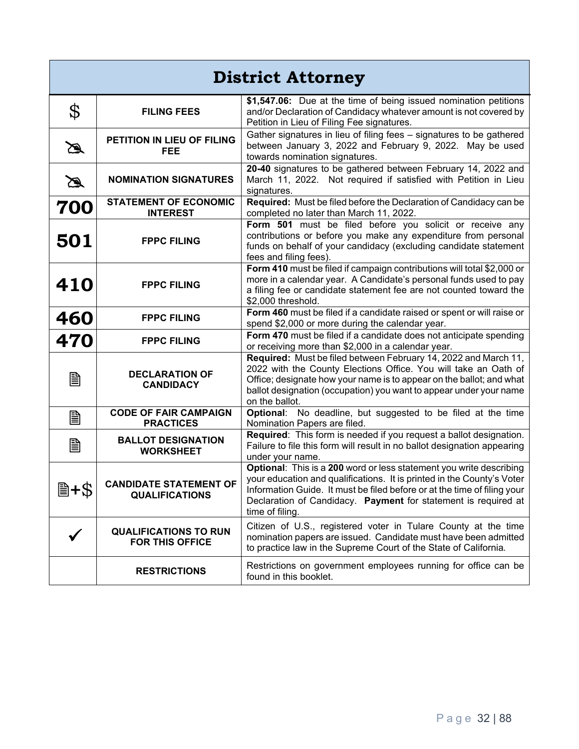| <b>District Attorney</b> |                                                        |                                                                                                                                                                                                                                                                                                                |
|--------------------------|--------------------------------------------------------|----------------------------------------------------------------------------------------------------------------------------------------------------------------------------------------------------------------------------------------------------------------------------------------------------------------|
| \$                       | <b>FILING FEES</b>                                     | \$1,547.06: Due at the time of being issued nomination petitions<br>and/or Declaration of Candidacy whatever amount is not covered by<br>Petition in Lieu of Filing Fee signatures.                                                                                                                            |
| $\mathscr{A}$            | PETITION IN LIEU OF FILING<br><b>FEE</b>               | Gather signatures in lieu of filing fees - signatures to be gathered<br>between January 3, 2022 and February 9, 2022. May be used<br>towards nomination signatures.                                                                                                                                            |
| $\mathbb Z$              | <b>NOMINATION SIGNATURES</b>                           | 20-40 signatures to be gathered between February 14, 2022 and<br>March 11, 2022. Not required if satisfied with Petition in Lieu<br>signatures.                                                                                                                                                                |
| 700                      | <b>STATEMENT OF ECONOMIC</b><br><b>INTEREST</b>        | Required: Must be filed before the Declaration of Candidacy can be<br>completed no later than March 11, 2022.                                                                                                                                                                                                  |
| 501                      | <b>FPPC FILING</b>                                     | Form 501 must be filed before you solicit or receive any<br>contributions or before you make any expenditure from personal<br>funds on behalf of your candidacy (excluding candidate statement<br>fees and filing fees).                                                                                       |
| 410                      | <b>FPPC FILING</b>                                     | Form 410 must be filed if campaign contributions will total \$2,000 or<br>more in a calendar year. A Candidate's personal funds used to pay<br>a filing fee or candidate statement fee are not counted toward the<br>\$2,000 threshold.                                                                        |
| 460                      | <b>FPPC FILING</b>                                     | Form 460 must be filed if a candidate raised or spent or will raise or<br>spend \$2,000 or more during the calendar year.                                                                                                                                                                                      |
| 470                      | <b>FPPC FILING</b>                                     | Form 470 must be filed if a candidate does not anticipate spending<br>or receiving more than \$2,000 in a calendar year.                                                                                                                                                                                       |
| B                        | <b>DECLARATION OF</b><br><b>CANDIDACY</b>              | Required: Must be filed between February 14, 2022 and March 11,<br>2022 with the County Elections Office. You will take an Oath of<br>Office; designate how your name is to appear on the ballot; and what<br>ballot designation (occupation) you want to appear under your name<br>on the ballot.             |
| B                        | <b>CODE OF FAIR CAMPAIGN</b><br><b>PRACTICES</b>       | Optional: No deadline, but suggested to be filed at the time<br>Nomination Papers are filed.                                                                                                                                                                                                                   |
| B                        | <b>BALLOT DESIGNATION</b><br><b>WORKSHEET</b>          | Required: This form is needed if you request a ballot designation.<br>Failure to file this form will result in no ballot designation appearing<br>under your name.                                                                                                                                             |
| 圖+\$                     | <b>CANDIDATE STATEMENT OF</b><br><b>QUALIFICATIONS</b> | Optional: This is a 200 word or less statement you write describing<br>your education and qualifications. It is printed in the County's Voter<br>Information Guide. It must be filed before or at the time of filing your<br>Declaration of Candidacy. Payment for statement is required at<br>time of filing. |
|                          | <b>QUALIFICATIONS TO RUN</b><br><b>FOR THIS OFFICE</b> | Citizen of U.S., registered voter in Tulare County at the time<br>nomination papers are issued. Candidate must have been admitted<br>to practice law in the Supreme Court of the State of California.                                                                                                          |
|                          | <b>RESTRICTIONS</b>                                    | Restrictions on government employees running for office can be<br>found in this booklet.                                                                                                                                                                                                                       |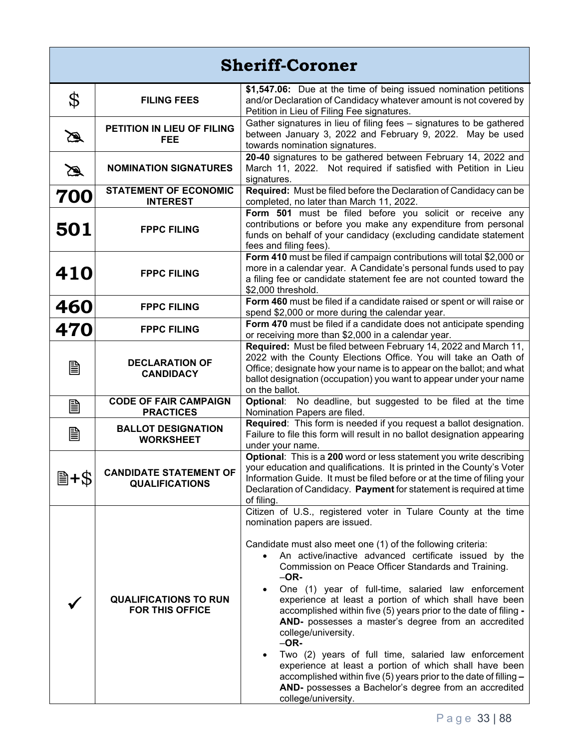| <b>Sheriff-Coroner</b> |                                                        |                                                                                                                                                                                                                                                                                                                                                                                                                                                                                                                                                                                                                                                                                                                                                                                                                                                           |
|------------------------|--------------------------------------------------------|-----------------------------------------------------------------------------------------------------------------------------------------------------------------------------------------------------------------------------------------------------------------------------------------------------------------------------------------------------------------------------------------------------------------------------------------------------------------------------------------------------------------------------------------------------------------------------------------------------------------------------------------------------------------------------------------------------------------------------------------------------------------------------------------------------------------------------------------------------------|
| \$                     | <b>FILING FEES</b>                                     | \$1,547.06: Due at the time of being issued nomination petitions<br>and/or Declaration of Candidacy whatever amount is not covered by<br>Petition in Lieu of Filing Fee signatures.                                                                                                                                                                                                                                                                                                                                                                                                                                                                                                                                                                                                                                                                       |
| $\mathbb{Z}$           | PETITION IN LIEU OF FILING<br>FEE                      | Gather signatures in lieu of filing fees - signatures to be gathered<br>between January 3, 2022 and February 9, 2022. May be used<br>towards nomination signatures.                                                                                                                                                                                                                                                                                                                                                                                                                                                                                                                                                                                                                                                                                       |
| $\mathbb{Z}$           | <b>NOMINATION SIGNATURES</b>                           | 20-40 signatures to be gathered between February 14, 2022 and<br>March 11, 2022. Not required if satisfied with Petition in Lieu<br>signatures.                                                                                                                                                                                                                                                                                                                                                                                                                                                                                                                                                                                                                                                                                                           |
| 700                    | <b>STATEMENT OF ECONOMIC</b><br><b>INTEREST</b>        | Required: Must be filed before the Declaration of Candidacy can be<br>completed, no later than March 11, 2022.                                                                                                                                                                                                                                                                                                                                                                                                                                                                                                                                                                                                                                                                                                                                            |
| 501                    | <b>FPPC FILING</b>                                     | Form 501 must be filed before you solicit or receive any<br>contributions or before you make any expenditure from personal<br>funds on behalf of your candidacy (excluding candidate statement<br>fees and filing fees).                                                                                                                                                                                                                                                                                                                                                                                                                                                                                                                                                                                                                                  |
| 410                    | <b>FPPC FILING</b>                                     | Form 410 must be filed if campaign contributions will total \$2,000 or<br>more in a calendar year. A Candidate's personal funds used to pay<br>a filing fee or candidate statement fee are not counted toward the<br>\$2,000 threshold.                                                                                                                                                                                                                                                                                                                                                                                                                                                                                                                                                                                                                   |
| 460                    | <b>FPPC FILING</b>                                     | Form 460 must be filed if a candidate raised or spent or will raise or<br>spend \$2,000 or more during the calendar year.                                                                                                                                                                                                                                                                                                                                                                                                                                                                                                                                                                                                                                                                                                                                 |
| 470                    | <b>FPPC FILING</b>                                     | Form 470 must be filed if a candidate does not anticipate spending<br>or receiving more than \$2,000 in a calendar year.                                                                                                                                                                                                                                                                                                                                                                                                                                                                                                                                                                                                                                                                                                                                  |
| B                      | <b>DECLARATION OF</b><br><b>CANDIDACY</b>              | Required: Must be filed between February 14, 2022 and March 11,<br>2022 with the County Elections Office. You will take an Oath of<br>Office; designate how your name is to appear on the ballot; and what<br>ballot designation (occupation) you want to appear under your name<br>on the ballot.                                                                                                                                                                                                                                                                                                                                                                                                                                                                                                                                                        |
| ₿                      | <b>CODE OF FAIR CAMPAIGN</b><br><b>PRACTICES</b>       | Optional: No deadline, but suggested to be filed at the time<br>Nomination Papers are filed.                                                                                                                                                                                                                                                                                                                                                                                                                                                                                                                                                                                                                                                                                                                                                              |
| B                      | <b>BALLOT DESIGNATION</b><br><b>WORKSHEET</b>          | Required: This form is needed if you request a ballot designation.<br>Failure to file this form will result in no ballot designation appearing<br>under your name.                                                                                                                                                                                                                                                                                                                                                                                                                                                                                                                                                                                                                                                                                        |
|                        | <b>CANDIDATE STATEMENT OF</b><br><b>QUALIFICATIONS</b> | Optional: This is a 200 word or less statement you write describing<br>your education and qualifications. It is printed in the County's Voter<br>Information Guide. It must be filed before or at the time of filing your<br>Declaration of Candidacy. Payment for statement is required at time<br>of filing.                                                                                                                                                                                                                                                                                                                                                                                                                                                                                                                                            |
|                        | <b>QUALIFICATIONS TO RUN</b><br><b>FOR THIS OFFICE</b> | Citizen of U.S., registered voter in Tulare County at the time<br>nomination papers are issued.<br>Candidate must also meet one (1) of the following criteria:<br>An active/inactive advanced certificate issued by the<br>Commission on Peace Officer Standards and Training.<br>$-OR-$<br>One (1) year of full-time, salaried law enforcement<br>$\bullet$<br>experience at least a portion of which shall have been<br>accomplished within five (5) years prior to the date of filing -<br>AND- possesses a master's degree from an accredited<br>college/university.<br>$-OR-$<br>Two (2) years of full time, salaried law enforcement<br>experience at least a portion of which shall have been<br>accomplished within five (5) years prior to the date of filling -<br>AND- possesses a Bachelor's degree from an accredited<br>college/university. |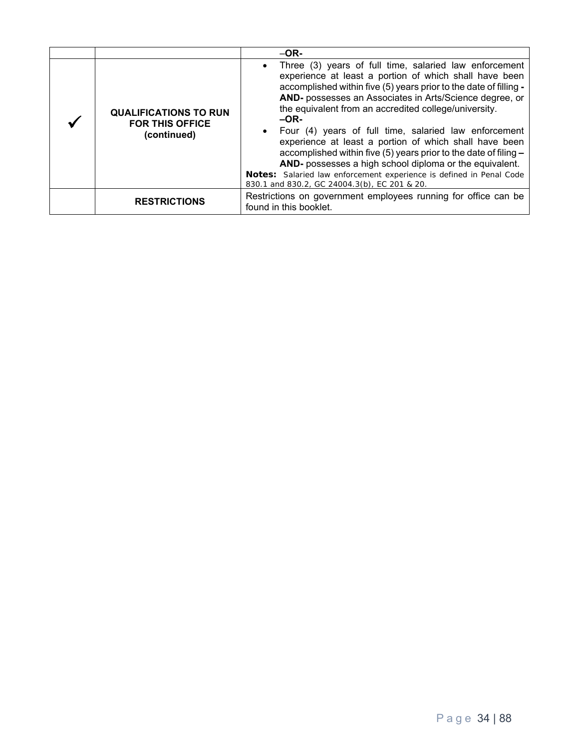|                                                                       | $-OR-$                                                                                                                                                                                                                                                                                                                                                                                                                                                                                                                                                                                                                                                                                                      |
|-----------------------------------------------------------------------|-------------------------------------------------------------------------------------------------------------------------------------------------------------------------------------------------------------------------------------------------------------------------------------------------------------------------------------------------------------------------------------------------------------------------------------------------------------------------------------------------------------------------------------------------------------------------------------------------------------------------------------------------------------------------------------------------------------|
| <b>QUALIFICATIONS TO RUN</b><br><b>FOR THIS OFFICE</b><br>(continued) | Three (3) years of full time, salaried law enforcement<br>$\bullet$<br>experience at least a portion of which shall have been<br>accomplished within five (5) years prior to the date of filling -<br>AND- possesses an Associates in Arts/Science degree, or<br>the equivalent from an accredited college/university.<br>$-OR-$<br>• Four (4) years of full time, salaried law enforcement<br>experience at least a portion of which shall have been<br>accomplished within five (5) years prior to the date of filing -<br>AND- possesses a high school diploma or the equivalent.<br>Notes: Salaried law enforcement experience is defined in Penal Code<br>830.1 and 830.2, GC 24004.3(b), EC 201 & 20. |
| <b>RESTRICTIONS</b>                                                   | Restrictions on government employees running for office can be<br>found in this booklet.                                                                                                                                                                                                                                                                                                                                                                                                                                                                                                                                                                                                                    |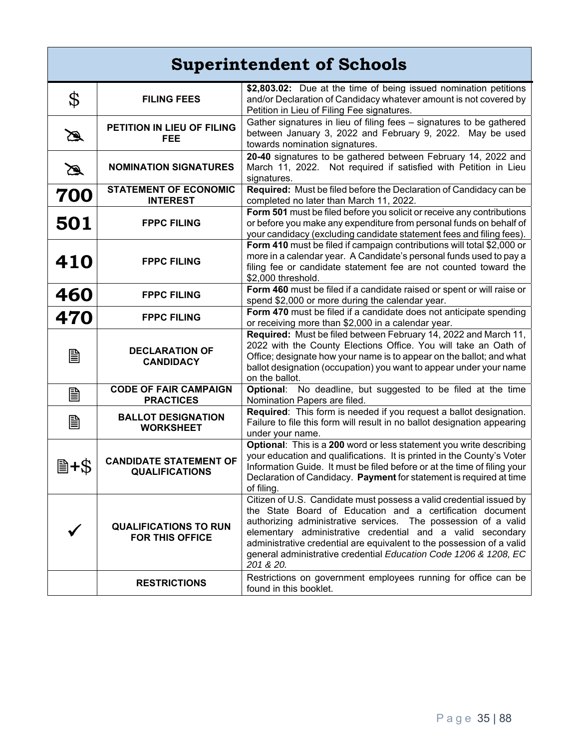## **Superintendent of Schools**

| \$            | <b>FILING FEES</b>                                     | \$2,803.02: Due at the time of being issued nomination petitions<br>and/or Declaration of Candidacy whatever amount is not covered by<br>Petition in Lieu of Filing Fee signatures.                                                                                                                                                                                                                                        |
|---------------|--------------------------------------------------------|----------------------------------------------------------------------------------------------------------------------------------------------------------------------------------------------------------------------------------------------------------------------------------------------------------------------------------------------------------------------------------------------------------------------------|
| $\mathscr{A}$ | PETITION IN LIEU OF FILING<br><b>FEE</b>               | Gather signatures in lieu of filing fees - signatures to be gathered<br>between January 3, 2022 and February 9, 2022. May be used<br>towards nomination signatures.                                                                                                                                                                                                                                                        |
| $\mathbb Z$   | <b>NOMINATION SIGNATURES</b>                           | 20-40 signatures to be gathered between February 14, 2022 and<br>March 11, 2022. Not required if satisfied with Petition in Lieu<br>signatures.                                                                                                                                                                                                                                                                            |
| 700           | <b>STATEMENT OF ECONOMIC</b><br><b>INTEREST</b>        | Required: Must be filed before the Declaration of Candidacy can be<br>completed no later than March 11, 2022.                                                                                                                                                                                                                                                                                                              |
| 501           | <b>FPPC FILING</b>                                     | Form 501 must be filed before you solicit or receive any contributions<br>or before you make any expenditure from personal funds on behalf of<br>your candidacy (excluding candidate statement fees and filing fees).                                                                                                                                                                                                      |
| 410           | <b>FPPC FILING</b>                                     | Form 410 must be filed if campaign contributions will total \$2,000 or<br>more in a calendar year. A Candidate's personal funds used to pay a<br>filing fee or candidate statement fee are not counted toward the<br>\$2,000 threshold.                                                                                                                                                                                    |
| 460           | <b>FPPC FILING</b>                                     | Form 460 must be filed if a candidate raised or spent or will raise or<br>spend \$2,000 or more during the calendar year.                                                                                                                                                                                                                                                                                                  |
| 470           | <b>FPPC FILING</b>                                     | Form 470 must be filed if a candidate does not anticipate spending<br>or receiving more than \$2,000 in a calendar year.                                                                                                                                                                                                                                                                                                   |
| B             | <b>DECLARATION OF</b><br><b>CANDIDACY</b>              | Required: Must be filed between February 14, 2022 and March 11,<br>2022 with the County Elections Office. You will take an Oath of<br>Office; designate how your name is to appear on the ballot; and what<br>ballot designation (occupation) you want to appear under your name<br>on the ballot.                                                                                                                         |
| B             | <b>CODE OF FAIR CAMPAIGN</b><br><b>PRACTICES</b>       | No deadline, but suggested to be filed at the time<br>Optional:<br>Nomination Papers are filed.                                                                                                                                                                                                                                                                                                                            |
| B             | <b>BALLOT DESIGNATION</b><br><b>WORKSHEET</b>          | Required: This form is needed if you request a ballot designation.<br>Failure to file this form will result in no ballot designation appearing<br>under your name.                                                                                                                                                                                                                                                         |
| 圖+\$          | <b>CANDIDATE STATEMENT OF</b><br><b>QUALIFICATIONS</b> | Optional: This is a 200 word or less statement you write describing<br>your education and qualifications. It is printed in the County's Voter<br>Information Guide. It must be filed before or at the time of filing your<br>Declaration of Candidacy. Payment for statement is required at time<br>of filing.                                                                                                             |
|               | <b>QUALIFICATIONS TO RUN</b><br><b>FOR THIS OFFICE</b> | Citizen of U.S. Candidate must possess a valid credential issued by<br>the State Board of Education and a certification document<br>authorizing administrative services. The possession of a valid<br>elementary administrative credential and a valid secondary<br>administrative credential are equivalent to the possession of a valid<br>general administrative credential Education Code 1206 & 1208, EC<br>201 & 20. |
|               | <b>RESTRICTIONS</b>                                    | Restrictions on government employees running for office can be<br>found in this booklet.                                                                                                                                                                                                                                                                                                                                   |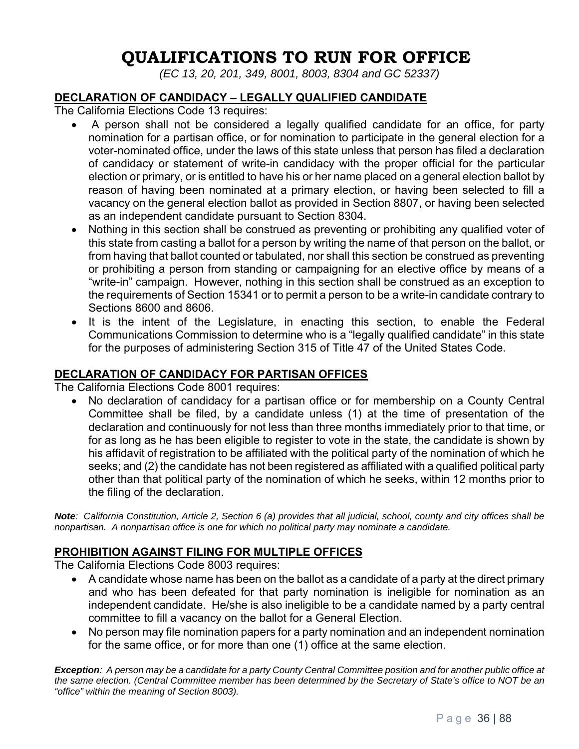## **QUALIFICATIONS TO RUN FOR OFFICE**

*(EC 13, 20, 201, 349, 8001, 8003, 8304 and GC 52337)* 

## **DECLARATION OF CANDIDACY – LEGALLY QUALIFIED CANDIDATE**

The California Elections Code 13 requires:

- A person shall not be considered a legally qualified candidate for an office, for party nomination for a partisan office, or for nomination to participate in the general election for a voter-nominated office, under the laws of this state unless that person has filed a declaration of candidacy or statement of write-in candidacy with the proper official for the particular election or primary, or is entitled to have his or her name placed on a general election ballot by reason of having been nominated at a primary election, or having been selected to fill a vacancy on the general election ballot as provided in Section 8807, or having been selected as an independent candidate pursuant to Section 8304.
- Nothing in this section shall be construed as preventing or prohibiting any qualified voter of this state from casting a ballot for a person by writing the name of that person on the ballot, or from having that ballot counted or tabulated, nor shall this section be construed as preventing or prohibiting a person from standing or campaigning for an elective office by means of a "write-in" campaign. However, nothing in this section shall be construed as an exception to the requirements of Section 15341 or to permit a person to be a write-in candidate contrary to Sections 8600 and 8606.
- It is the intent of the Legislature, in enacting this section, to enable the Federal Communications Commission to determine who is a "legally qualified candidate" in this state for the purposes of administering Section 315 of Title 47 of the United States Code.

## **DECLARATION OF CANDIDACY FOR PARTISAN OFFICES**

The California Elections Code 8001 requires:

• No declaration of candidacy for a partisan office or for membership on a County Central Committee shall be filed, by a candidate unless (1) at the time of presentation of the declaration and continuously for not less than three months immediately prior to that time, or for as long as he has been eligible to register to vote in the state, the candidate is shown by his affidavit of registration to be affiliated with the political party of the nomination of which he seeks; and (2) the candidate has not been registered as affiliated with a qualified political party other than that political party of the nomination of which he seeks, within 12 months prior to the filing of the declaration.

*Note: California Constitution, Article 2, Section 6 (a) provides that all judicial, school, county and city offices shall be nonpartisan. A nonpartisan office is one for which no political party may nominate a candidate.* 

## **PROHIBITION AGAINST FILING FOR MULTIPLE OFFICES**

The California Elections Code 8003 requires:

- A candidate whose name has been on the ballot as a candidate of a party at the direct primary and who has been defeated for that party nomination is ineligible for nomination as an independent candidate. He/she is also ineligible to be a candidate named by a party central committee to fill a vacancy on the ballot for a General Election.
- No person may file nomination papers for a party nomination and an independent nomination for the same office, or for more than one (1) office at the same election.

*Exception: A person may be a candidate for a party County Central Committee position and for another public office at the same election. (Central Committee member has been determined by the Secretary of State's office to NOT be an "office" within the meaning of Section 8003).*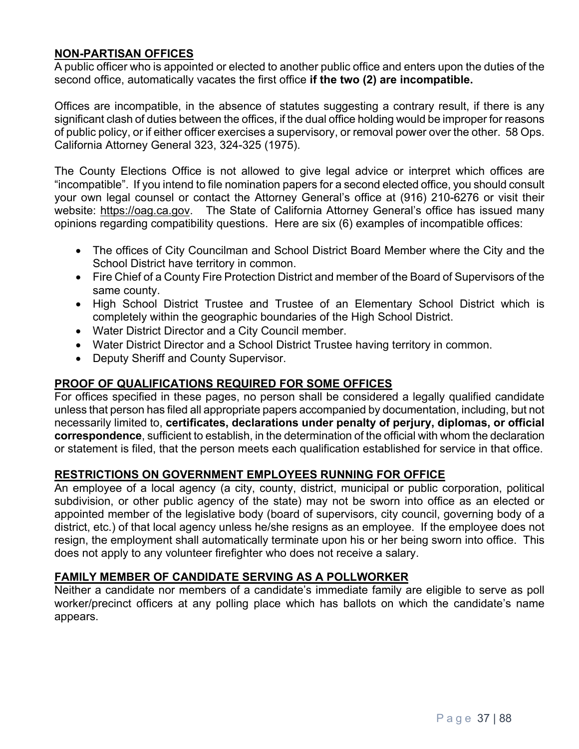#### **NON-PARTISAN OFFICES**

A public officer who is appointed or elected to another public office and enters upon the duties of the second office, automatically vacates the first office **if the two (2) are incompatible.**

Offices are incompatible, in the absence of statutes suggesting a contrary result, if there is any significant clash of duties between the offices, if the dual office holding would be improper for reasons of public policy, or if either officer exercises a supervisory, or removal power over the other. 58 Ops. California Attorney General 323, 324-325 (1975).

The County Elections Office is not allowed to give legal advice or interpret which offices are "incompatible". If you intend to file nomination papers for a second elected office, you should consult your own legal counsel or contact the Attorney General's office at (916) 210-6276 or visit their website: https://oag.ca.gov. The State of California Attorney General's office has issued many opinions regarding compatibility questions. Here are six (6) examples of incompatible offices:

- The offices of City Councilman and School District Board Member where the City and the School District have territory in common.
- Fire Chief of a County Fire Protection District and member of the Board of Supervisors of the same county.
- High School District Trustee and Trustee of an Elementary School District which is completely within the geographic boundaries of the High School District.
- Water District Director and a City Council member.
- Water District Director and a School District Trustee having territory in common.
- Deputy Sheriff and County Supervisor.

#### **PROOF OF QUALIFICATIONS REQUIRED FOR SOME OFFICES**

For offices specified in these pages, no person shall be considered a legally qualified candidate unless that person has filed all appropriate papers accompanied by documentation, including, but not necessarily limited to, **certificates, declarations under penalty of perjury, diplomas, or official correspondence**, sufficient to establish, in the determination of the official with whom the declaration or statement is filed, that the person meets each qualification established for service in that office.

#### **RESTRICTIONS ON GOVERNMENT EMPLOYEES RUNNING FOR OFFICE**

An employee of a local agency (a city, county, district, municipal or public corporation, political subdivision, or other public agency of the state) may not be sworn into office as an elected or appointed member of the legislative body (board of supervisors, city council, governing body of a district, etc.) of that local agency unless he/she resigns as an employee. If the employee does not resign, the employment shall automatically terminate upon his or her being sworn into office.This does not apply to any volunteer firefighter who does not receive a salary.

#### **FAMILY MEMBER OF CANDIDATE SERVING AS A POLLWORKER**

Neither a candidate nor members of a candidate's immediate family are eligible to serve as poll worker/precinct officers at any polling place which has ballots on which the candidate's name appears.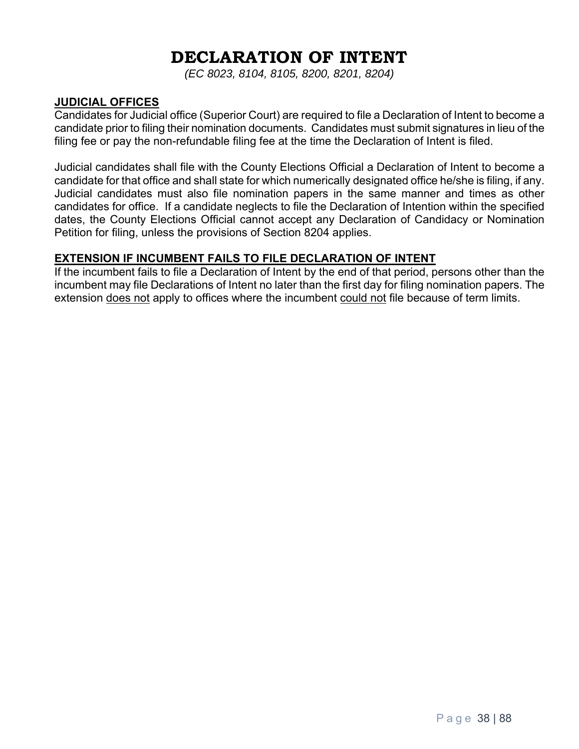# **DECLARATION OF INTENT**

*(EC 8023, 8104, 8105, 8200, 8201, 8204)* 

#### **JUDICIAL OFFICES**

Candidates for Judicial office (Superior Court) are required to file a Declaration of Intent to become a candidate prior to filing their nomination documents. Candidates must submit signatures in lieu of the filing fee or pay the non-refundable filing fee at the time the Declaration of Intent is filed.

Judicial candidates shall file with the County Elections Official a Declaration of Intent to become a candidate for that office and shall state for which numerically designated office he/she is filing, if any. Judicial candidates must also file nomination papers in the same manner and times as other candidates for office. If a candidate neglects to file the Declaration of Intention within the specified dates, the County Elections Official cannot accept any Declaration of Candidacy or Nomination Petition for filing, unless the provisions of Section 8204 applies.

#### **EXTENSION IF INCUMBENT FAILS TO FILE DECLARATION OF INTENT**

If the incumbent fails to file a Declaration of Intent by the end of that period, persons other than the incumbent may file Declarations of Intent no later than the first day for filing nomination papers. The extension does not apply to offices where the incumbent could not file because of term limits.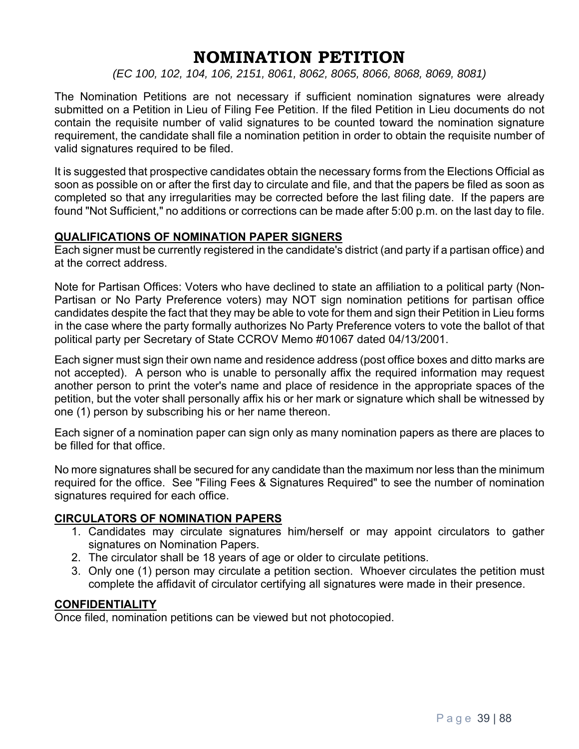## **NOMINATION PETITION**

*(EC 100, 102, 104, 106, 2151, 8061, 8062, 8065, 8066, 8068, 8069, 8081)* 

The Nomination Petitions are not necessary if sufficient nomination signatures were already submitted on a Petition in Lieu of Filing Fee Petition. If the filed Petition in Lieu documents do not contain the requisite number of valid signatures to be counted toward the nomination signature requirement, the candidate shall file a nomination petition in order to obtain the requisite number of valid signatures required to be filed.

It is suggested that prospective candidates obtain the necessary forms from the Elections Official as soon as possible on or after the first day to circulate and file, and that the papers be filed as soon as completed so that any irregularities may be corrected before the last filing date. If the papers are found "Not Sufficient," no additions or corrections can be made after 5:00 p.m. on the last day to file.

#### **QUALIFICATIONS OF NOMINATION PAPER SIGNERS**

Each signer must be currently registered in the candidate's district (and party if a partisan office) and at the correct address.

Note for Partisan Offices: Voters who have declined to state an affiliation to a political party (Non-Partisan or No Party Preference voters) may NOT sign nomination petitions for partisan office candidates despite the fact that they may be able to vote for them and sign their Petition in Lieu forms in the case where the party formally authorizes No Party Preference voters to vote the ballot of that political party per Secretary of State CCROV Memo #01067 dated 04/13/2001.

Each signer must sign their own name and residence address (post office boxes and ditto marks are not accepted). A person who is unable to personally affix the required information may request another person to print the voter's name and place of residence in the appropriate spaces of the petition, but the voter shall personally affix his or her mark or signature which shall be witnessed by one (1) person by subscribing his or her name thereon.

Each signer of a nomination paper can sign only as many nomination papers as there are places to be filled for that office.

No more signatures shall be secured for any candidate than the maximum nor less than the minimum required for the office. See "Filing Fees & Signatures Required" to see the number of nomination signatures required for each office.

#### **CIRCULATORS OF NOMINATION PAPERS**

- 1. Candidates may circulate signatures him/herself or may appoint circulators to gather signatures on Nomination Papers.
- 2. The circulator shall be 18 years of age or older to circulate petitions.
- 3. Only one (1) person may circulate a petition section. Whoever circulates the petition must complete the affidavit of circulator certifying all signatures were made in their presence.

#### **CONFIDENTIALITY**

Once filed, nomination petitions can be viewed but not photocopied.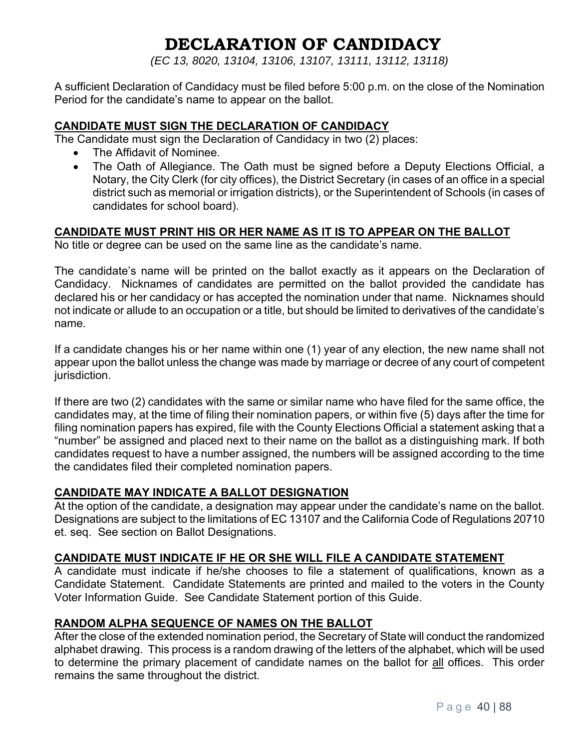# **DECLARATION OF CANDIDACY**

*(EC 13, 8020, 13104, 13106, 13107, 13111, 13112, 13118)* 

A sufficient Declaration of Candidacy must be filed before 5:00 p.m. on the close of the Nomination Period for the candidate's name to appear on the ballot.

#### **CANDIDATE MUST SIGN THE DECLARATION OF CANDIDACY**

The Candidate must sign the Declaration of Candidacy in two (2) places:

- The Affidavit of Nominee.
- The Oath of Allegiance. The Oath must be signed before a Deputy Elections Official, a Notary, the City Clerk (for city offices), the District Secretary (in cases of an office in a special district such as memorial or irrigation districts), or the Superintendent of Schools (in cases of candidates for school board).

#### **CANDIDATE MUST PRINT HIS OR HER NAME AS IT IS TO APPEAR ON THE BALLOT**

No title or degree can be used on the same line as the candidate's name.

The candidate's name will be printed on the ballot exactly as it appears on the Declaration of Candidacy. Nicknames of candidates are permitted on the ballot provided the candidate has declared his or her candidacy or has accepted the nomination under that name. Nicknames should not indicate or allude to an occupation or a title, but should be limited to derivatives of the candidate's name.

If a candidate changes his or her name within one (1) year of any election, the new name shall not appear upon the ballot unless the change was made by marriage or decree of any court of competent jurisdiction.

If there are two (2) candidates with the same or similar name who have filed for the same office, the candidates may, at the time of filing their nomination papers, or within five (5) days after the time for filing nomination papers has expired, file with the County Elections Official a statement asking that a "number" be assigned and placed next to their name on the ballot as a distinguishing mark. If both candidates request to have a number assigned, the numbers will be assigned according to the time the candidates filed their completed nomination papers.

#### **CANDIDATE MAY INDICATE A BALLOT DESIGNATION**

At the option of the candidate, a designation may appear under the candidate's name on the ballot. Designations are subject to the limitations of EC 13107 and the California Code of Regulations 20710 et. seq. See section on Ballot Designations.

#### **CANDIDATE MUST INDICATE IF HE OR SHE WILL FILE A CANDIDATE STATEMENT**

A candidate must indicate if he/she chooses to file a statement of qualifications, known as a Candidate Statement. Candidate Statements are printed and mailed to the voters in the County Voter Information Guide. See Candidate Statement portion of this Guide.

#### **RANDOM ALPHA SEQUENCE OF NAMES ON THE BALLOT**

After the close of the extended nomination period, the Secretary of State will conduct the randomized alphabet drawing. This process is a random drawing of the letters of the alphabet, which will be used to determine the primary placement of candidate names on the ballot for all offices. This order remains the same throughout the district.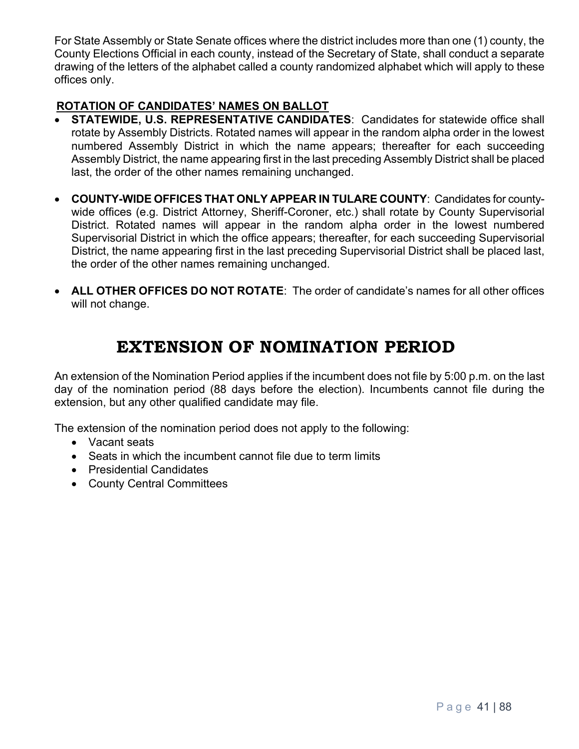For State Assembly or State Senate offices where the district includes more than one (1) county, the County Elections Official in each county, instead of the Secretary of State, shall conduct a separate drawing of the letters of the alphabet called a county randomized alphabet which will apply to these offices only.

## **ROTATION OF CANDIDATES' NAMES ON BALLOT**

- **STATEWIDE, U.S. REPRESENTATIVE CANDIDATES: Candidates for statewide office shall** rotate by Assembly Districts. Rotated names will appear in the random alpha order in the lowest numbered Assembly District in which the name appears; thereafter for each succeeding Assembly District, the name appearing first in the last preceding Assembly District shall be placed last, the order of the other names remaining unchanged.
- **COUNTY-WIDE OFFICES THAT ONLY APPEAR IN TULARE COUNTY**: Candidates for countywide offices (e.g. District Attorney, Sheriff-Coroner, etc.) shall rotate by County Supervisorial District. Rotated names will appear in the random alpha order in the lowest numbered Supervisorial District in which the office appears; thereafter, for each succeeding Supervisorial District, the name appearing first in the last preceding Supervisorial District shall be placed last, the order of the other names remaining unchanged.
- **ALL OTHER OFFICES DO NOT ROTATE**: The order of candidate's names for all other offices will not change.

## **EXTENSION OF NOMINATION PERIOD**

An extension of the Nomination Period applies if the incumbent does not file by 5:00 p.m. on the last day of the nomination period (88 days before the election). Incumbents cannot file during the extension, but any other qualified candidate may file.

The extension of the nomination period does not apply to the following:

- Vacant seats
- Seats in which the incumbent cannot file due to term limits
- Presidential Candidates
- County Central Committees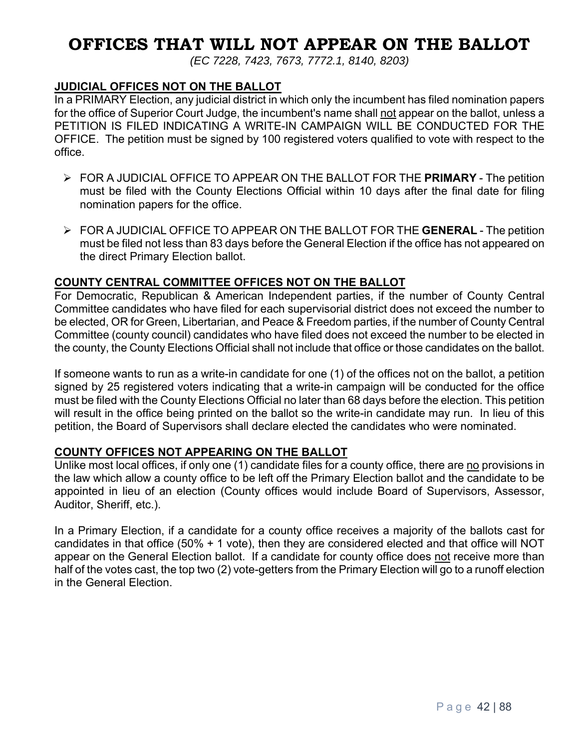## **OFFICES THAT WILL NOT APPEAR ON THE BALLOT**

*(EC 7228, 7423, 7673, 7772.1, 8140, 8203)* 

#### **JUDICIAL OFFICES NOT ON THE BALLOT**

In a PRIMARY Election, any judicial district in which only the incumbent has filed nomination papers for the office of Superior Court Judge, the incumbent's name shall not appear on the ballot, unless a PETITION IS FILED INDICATING A WRITE-IN CAMPAIGN WILL BE CONDUCTED FOR THE OFFICE. The petition must be signed by 100 registered voters qualified to vote with respect to the office.

- FOR A JUDICIAL OFFICE TO APPEAR ON THE BALLOT FOR THE **PRIMARY** The petition must be filed with the County Elections Official within 10 days after the final date for filing nomination papers for the office.
- FOR A JUDICIAL OFFICE TO APPEAR ON THE BALLOT FOR THE **GENERAL** The petition must be filed not less than 83 days before the General Election if the office has not appeared on the direct Primary Election ballot.

#### **COUNTY CENTRAL COMMITTEE OFFICES NOT ON THE BALLOT**

For Democratic, Republican & American Independent parties, if the number of County Central Committee candidates who have filed for each supervisorial district does not exceed the number to be elected, OR for Green, Libertarian, and Peace & Freedom parties, if the number of County Central Committee (county council) candidates who have filed does not exceed the number to be elected in the county, the County Elections Official shall not include that office or those candidates on the ballot.

If someone wants to run as a write-in candidate for one (1) of the offices not on the ballot, a petition signed by 25 registered voters indicating that a write-in campaign will be conducted for the office must be filed with the County Elections Official no later than 68 days before the election. This petition will result in the office being printed on the ballot so the write-in candidate may run. In lieu of this petition, the Board of Supervisors shall declare elected the candidates who were nominated.

#### **COUNTY OFFICES NOT APPEARING ON THE BALLOT**

Unlike most local offices, if only one (1) candidate files for a county office, there are no provisions in the law which allow a county office to be left off the Primary Election ballot and the candidate to be appointed in lieu of an election (County offices would include Board of Supervisors, Assessor, Auditor, Sheriff, etc.).

In a Primary Election, if a candidate for a county office receives a majority of the ballots cast for candidates in that office (50% + 1 vote), then they are considered elected and that office will NOT appear on the General Election ballot. If a candidate for county office does not receive more than half of the votes cast, the top two (2) vote-getters from the Primary Election will go to a runoff election in the General Election.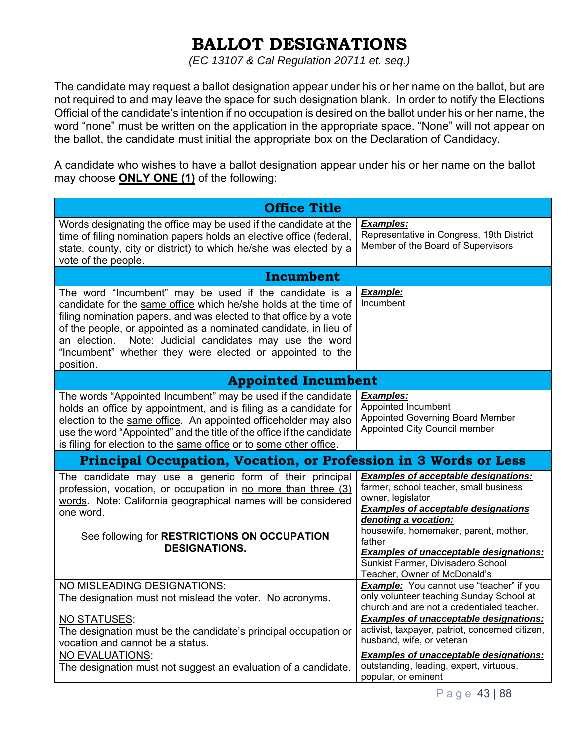# **BALLOT DESIGNATIONS**

*(EC 13107 & Cal Regulation 20711 et. seq.)* 

The candidate may request a ballot designation appear under his or her name on the ballot, but are not required to and may leave the space for such designation blank. In order to notify the Elections Official of the candidate's intention if no occupation is desired on the ballot under his or her name, the word "none" must be written on the application in the appropriate space. "None" will not appear on the ballot, the candidate must initial the appropriate box on the Declaration of Candidacy.

A candidate who wishes to have a ballot designation appear under his or her name on the ballot may choose **ONLY ONE (1)** of the following:

| <b>Office Title</b>                                                                                                                                                                                                                                                                                                                                                                                         |                                                                                                                                                                                                                                                                                      |  |  |  |  |
|-------------------------------------------------------------------------------------------------------------------------------------------------------------------------------------------------------------------------------------------------------------------------------------------------------------------------------------------------------------------------------------------------------------|--------------------------------------------------------------------------------------------------------------------------------------------------------------------------------------------------------------------------------------------------------------------------------------|--|--|--|--|
| Words designating the office may be used if the candidate at the<br>time of filing nomination papers holds an elective office (federal,<br>state, county, city or district) to which he/she was elected by a<br>vote of the people.                                                                                                                                                                         | <b>Examples:</b><br>Representative in Congress, 19th District<br>Member of the Board of Supervisors                                                                                                                                                                                  |  |  |  |  |
| Incumbent                                                                                                                                                                                                                                                                                                                                                                                                   |                                                                                                                                                                                                                                                                                      |  |  |  |  |
| The word "Incumbent" may be used if the candidate is a<br>candidate for the same office which he/she holds at the time of<br>filing nomination papers, and was elected to that office by a vote<br>of the people, or appointed as a nominated candidate, in lieu of<br>Note: Judicial candidates may use the word<br>an election.<br>"Incumbent" whether they were elected or appointed to the<br>position. | Example:<br>Incumbent                                                                                                                                                                                                                                                                |  |  |  |  |
| <b>Appointed Incumbent</b>                                                                                                                                                                                                                                                                                                                                                                                  |                                                                                                                                                                                                                                                                                      |  |  |  |  |
| The words "Appointed Incumbent" may be used if the candidate<br>holds an office by appointment, and is filing as a candidate for<br>election to the same office. An appointed officeholder may also<br>use the word "Appointed" and the title of the office if the candidate<br>is filing for election to the same office or to some other office.                                                          | <b>Examples:</b><br>Appointed Incumbent<br><b>Appointed Governing Board Member</b><br>Appointed City Council member                                                                                                                                                                  |  |  |  |  |
| Principal Occupation, Vocation, or Profession in 3 Words or Less                                                                                                                                                                                                                                                                                                                                            |                                                                                                                                                                                                                                                                                      |  |  |  |  |
| The candidate may use a generic form of their principal<br>profession, vocation, or occupation in no more than three (3)<br>words. Note: California geographical names will be considered<br>one word.<br>See following for RESTRICTIONS ON OCCUPATION<br><b>DESIGNATIONS.</b>                                                                                                                              | <b>Examples of acceptable designations:</b><br>farmer, school teacher, small business<br>owner, legislator<br><b>Examples of acceptable designations</b><br>denoting a vocation:<br>housewife, homemaker, parent, mother,<br>father<br><b>Examples of unacceptable designations:</b> |  |  |  |  |
|                                                                                                                                                                                                                                                                                                                                                                                                             | Sunkist Farmer, Divisadero School<br>Teacher, Owner of McDonald's                                                                                                                                                                                                                    |  |  |  |  |
| NO MISLEADING DESIGNATIONS:<br>The designation must not mislead the voter. No acronyms.                                                                                                                                                                                                                                                                                                                     | Example: You cannot use "teacher" if you<br>only volunteer teaching Sunday School at<br>church and are not a credentialed teacher.                                                                                                                                                   |  |  |  |  |
| NO STATUSES:<br>The designation must be the candidate's principal occupation or<br>vocation and cannot be a status.                                                                                                                                                                                                                                                                                         | <b>Examples of unacceptable designations:</b><br>activist, taxpayer, patriot, concerned citizen,<br>husband, wife, or veteran                                                                                                                                                        |  |  |  |  |
| <b>NO EVALUATIONS:</b><br>The designation must not suggest an evaluation of a candidate.                                                                                                                                                                                                                                                                                                                    | <b>Examples of unacceptable designations:</b><br>outstanding, leading, expert, virtuous,<br>popular, or eminent                                                                                                                                                                      |  |  |  |  |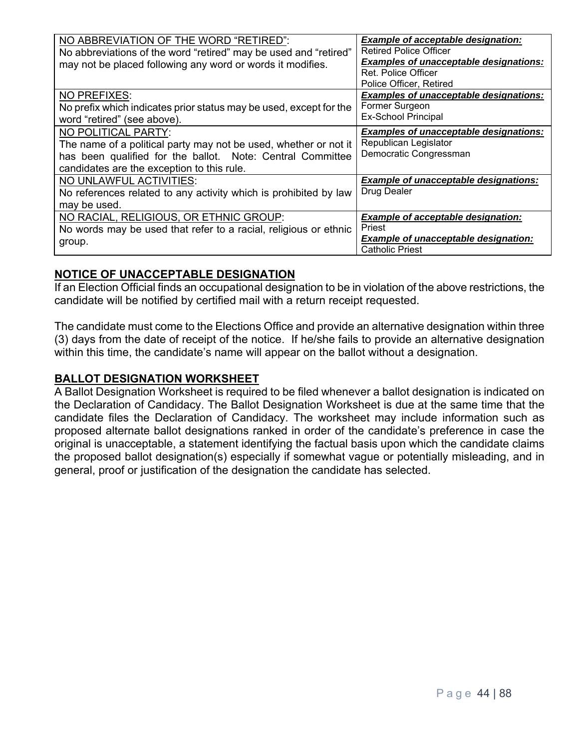| NO ABBREVIATION OF THE WORD "RETIRED":<br>No abbreviations of the word "retired" may be used and "retired"<br>may not be placed following any word or words it modifies.                            | <b>Example of acceptable designation:</b><br><b>Retired Police Officer</b><br><b>Examples of unacceptable designations:</b><br>Ret. Police Officer<br>Police Officer, Retired |
|-----------------------------------------------------------------------------------------------------------------------------------------------------------------------------------------------------|-------------------------------------------------------------------------------------------------------------------------------------------------------------------------------|
| <b>NO PREFIXES:</b><br>No prefix which indicates prior status may be used, except for the<br>word "retired" (see above).                                                                            | <b>Examples of unacceptable designations:</b><br>Former Surgeon<br><b>Ex-School Principal</b>                                                                                 |
| NO POLITICAL PARTY:<br>The name of a political party may not be used, whether or not it<br>has been qualified for the ballot. Note: Central Committee<br>candidates are the exception to this rule. | <b>Examples of unacceptable designations:</b><br>Republican Legislator<br>Democratic Congressman                                                                              |
| NO UNLAWFUL ACTIVITIES:<br>No references related to any activity which is prohibited by law<br>may be used.                                                                                         | <b>Example of unacceptable designations:</b><br>Drug Dealer                                                                                                                   |
| NO RACIAL, RELIGIOUS, OR ETHNIC GROUP:<br>No words may be used that refer to a racial, religious or ethnic<br>group.                                                                                | <b>Example of acceptable designation:</b><br>Priest<br>Example of unacceptable designation:<br><b>Catholic Priest</b>                                                         |

#### **NOTICE OF UNACCEPTABLE DESIGNATION**

If an Election Official finds an occupational designation to be in violation of the above restrictions, the candidate will be notified by certified mail with a return receipt requested.

The candidate must come to the Elections Office and provide an alternative designation within three (3) days from the date of receipt of the notice. If he/she fails to provide an alternative designation within this time, the candidate's name will appear on the ballot without a designation.

#### **BALLOT DESIGNATION WORKSHEET**

A Ballot Designation Worksheet is required to be filed whenever a ballot designation is indicated on the Declaration of Candidacy. The Ballot Designation Worksheet is due at the same time that the candidate files the Declaration of Candidacy. The worksheet may include information such as proposed alternate ballot designations ranked in order of the candidate's preference in case the original is unacceptable, a statement identifying the factual basis upon which the candidate claims the proposed ballot designation(s) especially if somewhat vague or potentially misleading, and in general, proof or justification of the designation the candidate has selected.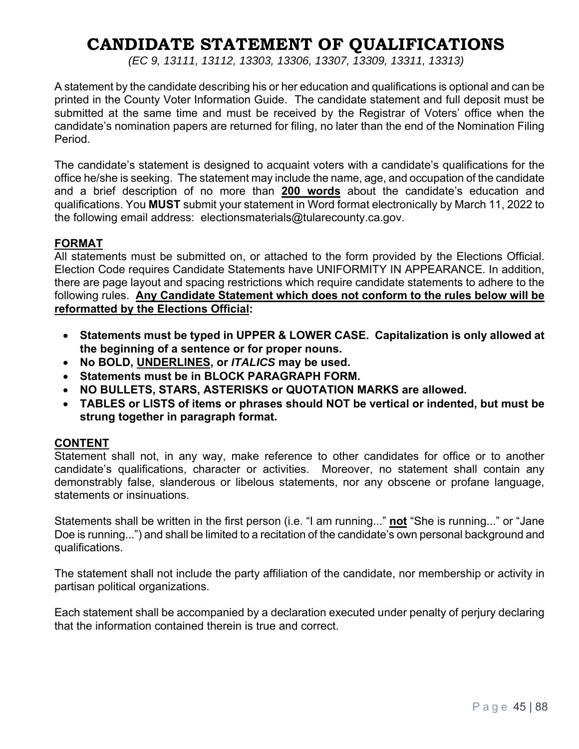# **CANDIDATE STATEMENT OF QUALIFICATIONS**

*(EC 9, 13111, 13112, 13303, 13306, 13307, 13309, 13311, 13313)* 

A statement by the candidate describing his or her education and qualifications is optional and can be printed in the County Voter Information Guide. The candidate statement and full deposit must be submitted at the same time and must be received by the Registrar of Voters' office when the candidate's nomination papers are returned for filing, no later than the end of the Nomination Filing Period.

The candidate's statement is designed to acquaint voters with a candidate's qualifications for the office he/she is seeking. The statement may include the name, age, and occupation of the candidate and a brief description of no more than **200 words** about the candidate's education and qualifications. You **MUST** submit your statement in Word format electronically by March 11, 2022 to the following email address: electionsmaterials@tularecounty.ca.gov.

#### **FORMAT**

All statements must be submitted on, or attached to the form provided by the Elections Official. Election Code requires Candidate Statements have UNIFORMITY IN APPEARANCE. In addition, there are page layout and spacing restrictions which require candidate statements to adhere to the following rules. **Any Candidate Statement which does not conform to the rules below will be reformatted by the Elections Official:**

- **Statements must be typed in UPPER & LOWER CASE. Capitalization is only allowed at the beginning of a sentence or for proper nouns.**
- **No BOLD, UNDERLINES, or** *ITALICS* **may be used.**
- **Statements must be in BLOCK PARAGRAPH FORM.**
- **NO BULLETS, STARS, ASTERISKS or QUOTATION MARKS are allowed.**
- **TABLES or LISTS of items or phrases should NOT be vertical or indented, but must be strung together in paragraph format.**

#### **CONTENT**

Statement shall not, in any way, make reference to other candidates for office or to another candidate's qualifications, character or activities. Moreover, no statement shall contain any demonstrably false, slanderous or libelous statements, nor any obscene or profane language, statements or insinuations.

Statements shall be written in the first person (i.e. "I am running..." **not** "She is running..." or "Jane Doe is running...") and shall be limited to a recitation of the candidate's own personal background and qualifications.

The statement shall not include the party affiliation of the candidate, nor membership or activity in partisan political organizations.

Each statement shall be accompanied by a declaration executed under penalty of perjury declaring that the information contained therein is true and correct.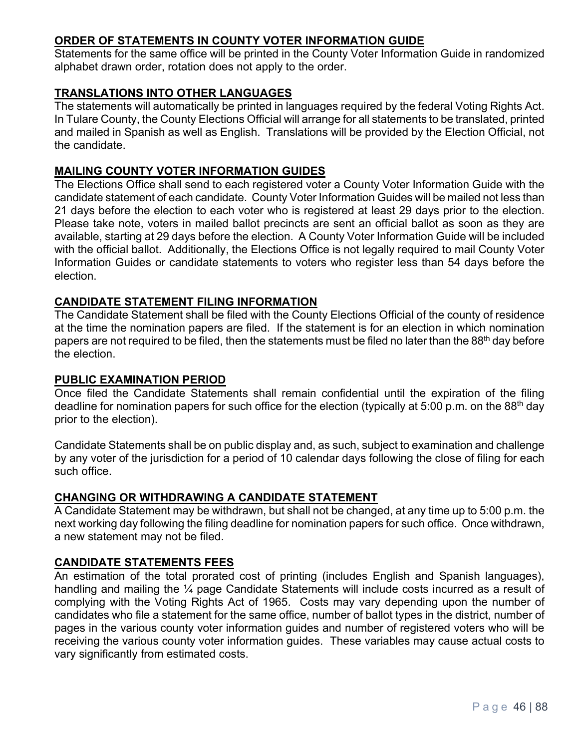#### **ORDER OF STATEMENTS IN COUNTY VOTER INFORMATION GUIDE**

Statements for the same office will be printed in the County Voter Information Guide in randomized alphabet drawn order, rotation does not apply to the order.

#### **TRANSLATIONS INTO OTHER LANGUAGES**

The statements will automatically be printed in languages required by the federal Voting Rights Act. In Tulare County, the County Elections Official will arrange for all statements to be translated, printed and mailed in Spanish as well as English. Translations will be provided by the Election Official, not the candidate.

#### **MAILING COUNTY VOTER INFORMATION GUIDES**

The Elections Office shall send to each registered voter a County Voter Information Guide with the candidate statement of each candidate. County Voter Information Guides will be mailed not less than 21 days before the election to each voter who is registered at least 29 days prior to the election. Please take note, voters in mailed ballot precincts are sent an official ballot as soon as they are available, starting at 29 days before the election. A County Voter Information Guide will be included with the official ballot. Additionally, the Elections Office is not legally required to mail County Voter Information Guides or candidate statements to voters who register less than 54 days before the election.

#### **CANDIDATE STATEMENT FILING INFORMATION**

The Candidate Statement shall be filed with the County Elections Official of the county of residence at the time the nomination papers are filed. If the statement is for an election in which nomination papers are not required to be filed, then the statements must be filed no later than the 88<sup>th</sup> day before the election.

#### **PUBLIC EXAMINATION PERIOD**

Once filed the Candidate Statements shall remain confidential until the expiration of the filing deadline for nomination papers for such office for the election (typically at 5:00 p.m. on the 88<sup>th</sup> day prior to the election).

Candidate Statements shall be on public display and, as such, subject to examination and challenge by any voter of the jurisdiction for a period of 10 calendar days following the close of filing for each such office.

#### **CHANGING OR WITHDRAWING A CANDIDATE STATEMENT**

A Candidate Statement may be withdrawn, but shall not be changed, at any time up to 5:00 p.m. the next working day following the filing deadline for nomination papers for such office. Once withdrawn, a new statement may not be filed.

#### **CANDIDATE STATEMENTS FEES**

An estimation of the total prorated cost of printing (includes English and Spanish languages), handling and mailing the 1/4 page Candidate Statements will include costs incurred as a result of complying with the Voting Rights Act of 1965. Costs may vary depending upon the number of candidates who file a statement for the same office, number of ballot types in the district, number of pages in the various county voter information guides and number of registered voters who will be receiving the various county voter information guides. These variables may cause actual costs to vary significantly from estimated costs.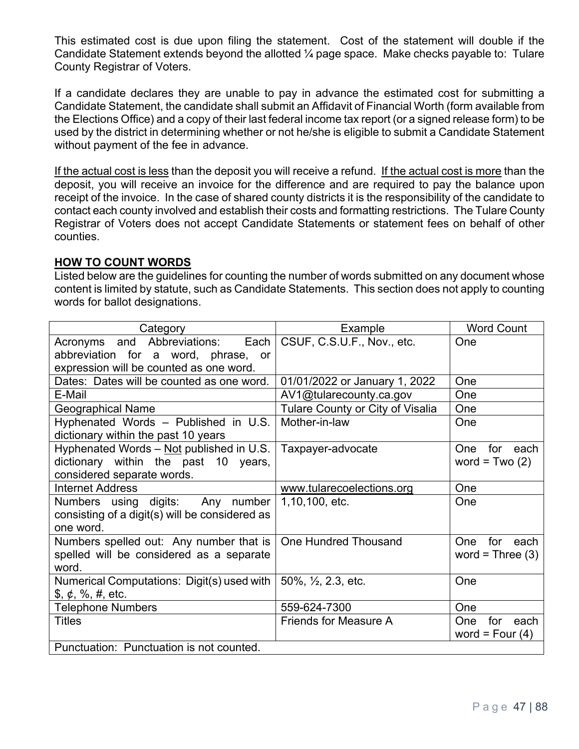This estimated cost is due upon filing the statement. Cost of the statement will double if the Candidate Statement extends beyond the allotted ¼ page space. Make checks payable to: Tulare County Registrar of Voters.

If a candidate declares they are unable to pay in advance the estimated cost for submitting a Candidate Statement, the candidate shall submit an Affidavit of Financial Worth (form available from the Elections Office) and a copy of their last federal income tax report (or a signed release form) to be used by the district in determining whether or not he/she is eligible to submit a Candidate Statement without payment of the fee in advance.

If the actual cost is less than the deposit you will receive a refund. If the actual cost is more than the deposit, you will receive an invoice for the difference and are required to pay the balance upon receipt of the invoice. In the case of shared county districts it is the responsibility of the candidate to contact each county involved and establish their costs and formatting restrictions. The Tulare County Registrar of Voters does not accept Candidate Statements or statement fees on behalf of other counties.

#### **HOW TO COUNT WORDS**

Listed below are the guidelines for counting the number of words submitted on any document whose content is limited by statute, such as Candidate Statements. This section does not apply to counting words for ballot designations.

| Category                                                               | Example                            | <b>Word Count</b>         |
|------------------------------------------------------------------------|------------------------------------|---------------------------|
| Each  <br>Acronyms and Abbreviations:                                  | CSUF, C.S.U.F., Nov., etc.         | One                       |
| abbreviation for a word, phrase, or                                    |                                    |                           |
| expression will be counted as one word.                                |                                    |                           |
| Dates: Dates will be counted as one word.                              | 01/01/2022 or January 1, 2022      | One                       |
| E-Mail                                                                 | AV1@tularecounty.ca.gov            | One                       |
| <b>Geographical Name</b>                                               | Tulare County or City of Visalia   | One                       |
| Hyphenated Words - Published in U.S.                                   | Mother-in-law                      | One                       |
| dictionary within the past 10 years                                    |                                    |                           |
| Hyphenated Words - Not published in U.S.                               | Taxpayer-advocate                  | One<br>for<br>each        |
| dictionary within the past 10 years,                                   |                                    | word = $Two(2)$           |
| considered separate words.                                             |                                    |                           |
| <b>Internet Address</b>                                                | www.tularecoelections.org          | One                       |
| Numbers using digits:<br>Any number                                    | 1,10,100, etc.                     | One                       |
| consisting of a digit(s) will be considered as                         |                                    |                           |
| one word.                                                              |                                    |                           |
| Numbers spelled out: Any number that is                                | <b>One Hundred Thousand</b>        | for<br><b>One</b><br>each |
| spelled will be considered as a separate                               |                                    | word = Three $(3)$        |
| word.                                                                  |                                    |                           |
| Numerical Computations: Digit(s) used with                             | $50\%$ , $\frac{1}{2}$ , 2.3, etc. | One                       |
| $\frac{1}{2}, \frac{1}{2}, \frac{1}{2}, \frac{1}{2}, \frac{1}{2}$ etc. |                                    |                           |
| <b>Telephone Numbers</b>                                               | 559-624-7300                       | One                       |
| <b>Titles</b>                                                          | <b>Friends for Measure A</b>       | One<br>for<br>each        |
|                                                                        |                                    | word = Four $(4)$         |
| Punctuation: Punctuation is not counted.                               |                                    |                           |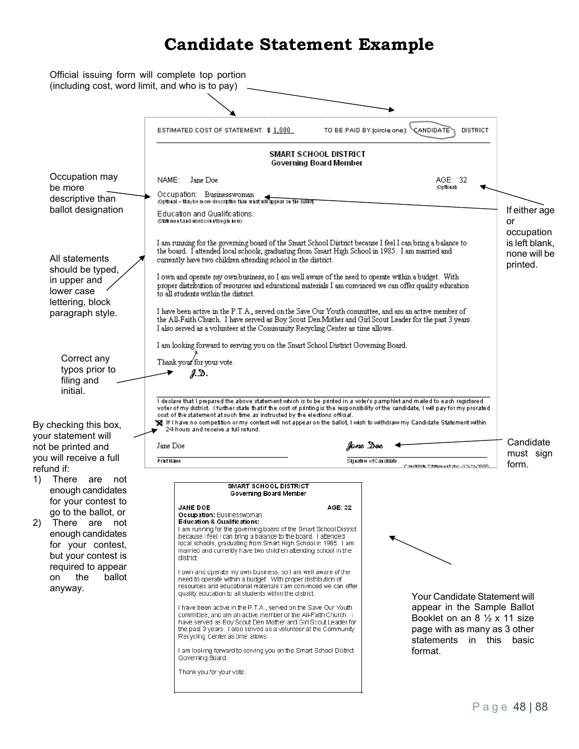# **Candidate Statement Example**

| (including cost, word limit, and who is to pay)                                                                                                                                             |                                                                                                                                                                                                                                                                                                                                                                                                                                                                                                                                                                                                                                                                                                                                                                                                                                                                                                                                                                                                                                                                |                                                                                                                                                                                                                                                                                                   |                                                                                                                                                                                 |                                                          |  |  |
|---------------------------------------------------------------------------------------------------------------------------------------------------------------------------------------------|----------------------------------------------------------------------------------------------------------------------------------------------------------------------------------------------------------------------------------------------------------------------------------------------------------------------------------------------------------------------------------------------------------------------------------------------------------------------------------------------------------------------------------------------------------------------------------------------------------------------------------------------------------------------------------------------------------------------------------------------------------------------------------------------------------------------------------------------------------------------------------------------------------------------------------------------------------------------------------------------------------------------------------------------------------------|---------------------------------------------------------------------------------------------------------------------------------------------------------------------------------------------------------------------------------------------------------------------------------------------------|---------------------------------------------------------------------------------------------------------------------------------------------------------------------------------|----------------------------------------------------------|--|--|
|                                                                                                                                                                                             |                                                                                                                                                                                                                                                                                                                                                                                                                                                                                                                                                                                                                                                                                                                                                                                                                                                                                                                                                                                                                                                                |                                                                                                                                                                                                                                                                                                   |                                                                                                                                                                                 |                                                          |  |  |
|                                                                                                                                                                                             | ESTIMATED COST OF STATEMENT: \$ 1,000                                                                                                                                                                                                                                                                                                                                                                                                                                                                                                                                                                                                                                                                                                                                                                                                                                                                                                                                                                                                                          | TO BE PAID BY (circle one):                                                                                                                                                                                                                                                                       | CANDIDATE<br>DISTRICT                                                                                                                                                           |                                                          |  |  |
|                                                                                                                                                                                             | SMART SCHOOL DISTRICT<br>Governing Board Member                                                                                                                                                                                                                                                                                                                                                                                                                                                                                                                                                                                                                                                                                                                                                                                                                                                                                                                                                                                                                |                                                                                                                                                                                                                                                                                                   |                                                                                                                                                                                 |                                                          |  |  |
| Occupation may<br>be more                                                                                                                                                                   | Jane Doe<br>NAME:                                                                                                                                                                                                                                                                                                                                                                                                                                                                                                                                                                                                                                                                                                                                                                                                                                                                                                                                                                                                                                              |                                                                                                                                                                                                                                                                                                   | AGE: 32<br><b>Optional</b>                                                                                                                                                      |                                                          |  |  |
| descriptive than                                                                                                                                                                            | Occupation: Businesswoman<br>@ptonal - Maybe more descriptue than what will appear on the ballot                                                                                                                                                                                                                                                                                                                                                                                                                                                                                                                                                                                                                                                                                                                                                                                                                                                                                                                                                               |                                                                                                                                                                                                                                                                                                   |                                                                                                                                                                                 |                                                          |  |  |
| ballot designation                                                                                                                                                                          | Education and Qualifications:<br>(Statement and word countbegin here)                                                                                                                                                                                                                                                                                                                                                                                                                                                                                                                                                                                                                                                                                                                                                                                                                                                                                                                                                                                          |                                                                                                                                                                                                                                                                                                   |                                                                                                                                                                                 | If either age<br>or                                      |  |  |
| All statements<br>should be typed,                                                                                                                                                          | I am running for the governing board of the Smart School District because I feel I can bring a balance to<br>the board. I attended local schools, graduating from Smart High School in 1985. I am married and<br>currently have two children attending school in the district.                                                                                                                                                                                                                                                                                                                                                                                                                                                                                                                                                                                                                                                                                                                                                                                 |                                                                                                                                                                                                                                                                                                   |                                                                                                                                                                                 | occupation<br>is left blank,<br>none will be<br>printed. |  |  |
| in upper and<br>lower case<br>lettering, block                                                                                                                                              | I own and operate my own business, so I am well aware of the need to operate within a budget. With<br>proper distribution of resources and educational materials I am convinced we can offer quality education<br>to all students within the district.                                                                                                                                                                                                                                                                                                                                                                                                                                                                                                                                                                                                                                                                                                                                                                                                         |                                                                                                                                                                                                                                                                                                   |                                                                                                                                                                                 |                                                          |  |  |
| paragraph style.                                                                                                                                                                            |                                                                                                                                                                                                                                                                                                                                                                                                                                                                                                                                                                                                                                                                                                                                                                                                                                                                                                                                                                                                                                                                | I have been active in the P.T.A., served on the Save Our Youth committee, and am an active member of<br>the All-Faith Church. I have served as Boy Scout Den Mother and Girl Scout Leader for the past 3 years.<br>I also served as a volunteer at the Community Recycling Center as time allows. |                                                                                                                                                                                 |                                                          |  |  |
|                                                                                                                                                                                             | I am looking forward to serving you on the Smart School District Governing Board.                                                                                                                                                                                                                                                                                                                                                                                                                                                                                                                                                                                                                                                                                                                                                                                                                                                                                                                                                                              |                                                                                                                                                                                                                                                                                                   |                                                                                                                                                                                 |                                                          |  |  |
| Correct any<br>typos prior to                                                                                                                                                               | Thank your for your vote.                                                                                                                                                                                                                                                                                                                                                                                                                                                                                                                                                                                                                                                                                                                                                                                                                                                                                                                                                                                                                                      |                                                                                                                                                                                                                                                                                                   |                                                                                                                                                                                 |                                                          |  |  |
| filing and                                                                                                                                                                                  | J.D.                                                                                                                                                                                                                                                                                                                                                                                                                                                                                                                                                                                                                                                                                                                                                                                                                                                                                                                                                                                                                                                           |                                                                                                                                                                                                                                                                                                   |                                                                                                                                                                                 |                                                          |  |  |
| initial.<br>By checking this box,<br>your statement will                                                                                                                                    | I declare that I prepared the above statement which is to be printed in a voter's pamphlet and mailed to each registered.<br>voter of my district. I further state that if the cost of printing is the responsibility of the candidate, I will pay for my prorated.<br>cost of the statement at such time as instructed by the elections official.<br>❤️ If I have no competition or my contest will not appear on the ballot, I wish to withdraw my Candidate Statement within<br>24 hours and receive a full refund.                                                                                                                                                                                                                                                                                                                                                                                                                                                                                                                                         |                                                                                                                                                                                                                                                                                                   |                                                                                                                                                                                 | Candidate                                                |  |  |
| not be printed and<br>you will receive a full                                                                                                                                               | Jane Doe                                                                                                                                                                                                                                                                                                                                                                                                                                                                                                                                                                                                                                                                                                                                                                                                                                                                                                                                                                                                                                                       | Jane Doe                                                                                                                                                                                                                                                                                          |                                                                                                                                                                                 | must sign                                                |  |  |
| refund if:                                                                                                                                                                                  | PrintName                                                                                                                                                                                                                                                                                                                                                                                                                                                                                                                                                                                                                                                                                                                                                                                                                                                                                                                                                                                                                                                      | Signature of Candidate                                                                                                                                                                                                                                                                            | Condidate Statement doc /12-21-2009                                                                                                                                             | form.                                                    |  |  |
| There<br>1)<br>are<br>not<br>enough candidates                                                                                                                                              | <b>SMART SCHOOL DISTRICT</b><br>Governing Board Member                                                                                                                                                                                                                                                                                                                                                                                                                                                                                                                                                                                                                                                                                                                                                                                                                                                                                                                                                                                                         |                                                                                                                                                                                                                                                                                                   |                                                                                                                                                                                 |                                                          |  |  |
| for your contest to<br>go to the ballot, or<br>2)<br>There are not<br>enough candidates<br>for your contest,<br>but your contest is<br>required to appear<br>the<br>ballot<br>on<br>anyway. | <b>JANE DOE</b><br>Occupation: Businesswoman<br>Education & Qualifications:<br>I am running for the governing board of the Smart School District<br>because I feel I can bring a balance to the board. I attended<br>local schools, graduating from Smart High School in 1985. I am<br>married and currently have two children attending school in the<br>district.<br>I own and operate my own business, so I am well aware of the<br>need to operate within a budget. With proper distribution of<br>resources and educational materials I am convinced we can offer<br>quality education to all students within the district.<br>Thave been active in the P.T.A., served on the Save Our Youth<br>committee, and am an active member of the AII-Faith Church. I<br>have served as Boy Scout Den Mother and Girl Scout Leader for<br>the past 3 years. I also served as a volunteer at the Community<br>Recycling Center as time allows.<br>I am looking forward to serving you on the Smart School District<br>Governing Board.<br>Thank you for your vote. | AGE: 32                                                                                                                                                                                                                                                                                           | Your Candidate Statement will<br>appear in the Sample Ballot<br>Booklet on an $8\frac{1}{2} \times 11$ size<br>page with as many as 3 other<br>statements<br>in this<br>format. | basic                                                    |  |  |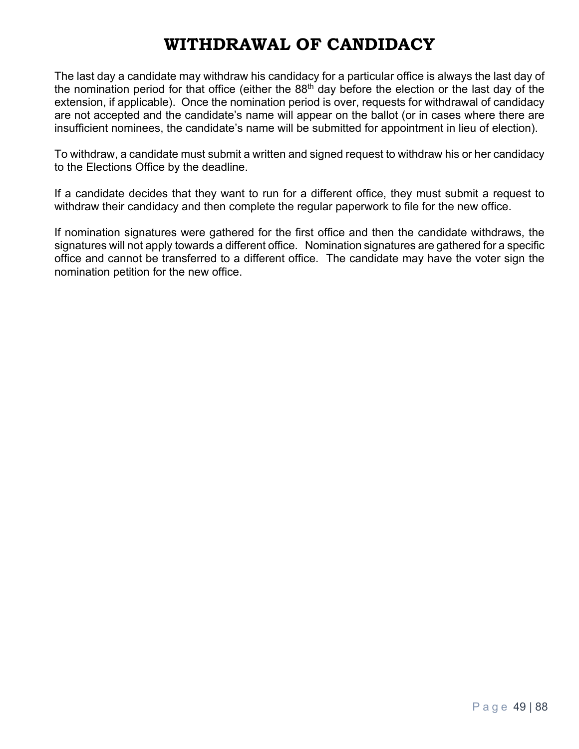# **WITHDRAWAL OF CANDIDACY**

The last day a candidate may withdraw his candidacy for a particular office is always the last day of the nomination period for that office (either the  $88<sup>th</sup>$  day before the election or the last day of the extension, if applicable). Once the nomination period is over, requests for withdrawal of candidacy are not accepted and the candidate's name will appear on the ballot (or in cases where there are insufficient nominees, the candidate's name will be submitted for appointment in lieu of election).

To withdraw, a candidate must submit a written and signed request to withdraw his or her candidacy to the Elections Office by the deadline.

If a candidate decides that they want to run for a different office, they must submit a request to withdraw their candidacy and then complete the regular paperwork to file for the new office.

If nomination signatures were gathered for the first office and then the candidate withdraws, the signatures will not apply towards a different office. Nomination signatures are gathered for a specific office and cannot be transferred to a different office. The candidate may have the voter sign the nomination petition for the new office.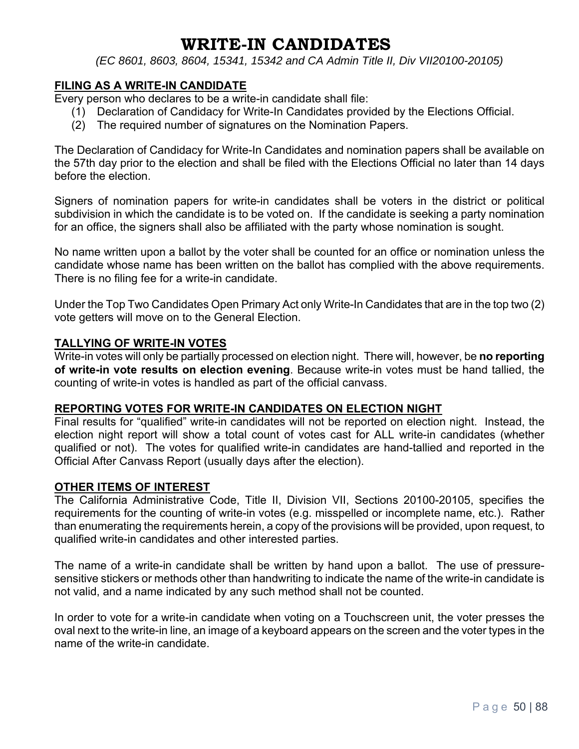## **WRITE-IN CANDIDATES**

*(EC 8601, 8603, 8604, 15341, 15342 and CA Admin Title II, Div VII20100-20105)*

#### **FILING AS A WRITE-IN CANDIDATE**

Every person who declares to be a write-in candidate shall file:

- (1) Declaration of Candidacy for Write-In Candidates provided by the Elections Official.
- (2) The required number of signatures on the Nomination Papers.

The Declaration of Candidacy for Write-In Candidates and nomination papers shall be available on the 57th day prior to the election and shall be filed with the Elections Official no later than 14 days before the election.

Signers of nomination papers for write-in candidates shall be voters in the district or political subdivision in which the candidate is to be voted on. If the candidate is seeking a party nomination for an office, the signers shall also be affiliated with the party whose nomination is sought.

No name written upon a ballot by the voter shall be counted for an office or nomination unless the candidate whose name has been written on the ballot has complied with the above requirements. There is no filing fee for a write-in candidate.

Under the Top Two Candidates Open Primary Act only Write-In Candidates that are in the top two (2) vote getters will move on to the General Election.

#### **TALLYING OF WRITE-IN VOTES**

Write-in votes will only be partially processed on election night. There will, however, be **no reporting of write-in vote results on election evening**. Because write-in votes must be hand tallied, the counting of write-in votes is handled as part of the official canvass.

#### **REPORTING VOTES FOR WRITE-IN CANDIDATES ON ELECTION NIGHT**

Final results for "qualified" write-in candidates will not be reported on election night. Instead, the election night report will show a total count of votes cast for ALL write-in candidates (whether qualified or not). The votes for qualified write-in candidates are hand-tallied and reported in the Official After Canvass Report (usually days after the election).

#### **OTHER ITEMS OF INTEREST**

The California Administrative Code, Title II, Division VII, Sections 20100-20105, specifies the requirements for the counting of write-in votes (e.g. misspelled or incomplete name, etc.). Rather than enumerating the requirements herein, a copy of the provisions will be provided, upon request, to qualified write-in candidates and other interested parties.

The name of a write-in candidate shall be written by hand upon a ballot. The use of pressuresensitive stickers or methods other than handwriting to indicate the name of the write-in candidate is not valid, and a name indicated by any such method shall not be counted.

In order to vote for a write-in candidate when voting on a Touchscreen unit, the voter presses the oval next to the write-in line, an image of a keyboard appears on the screen and the voter types in the name of the write-in candidate.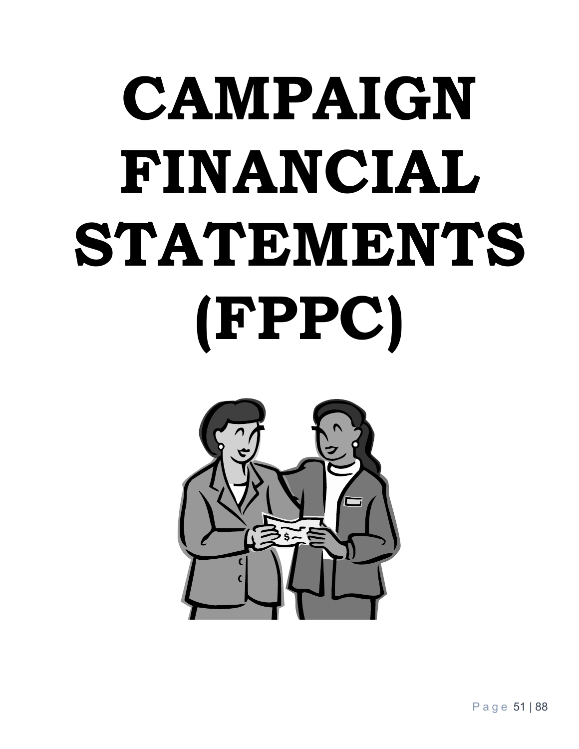# **CAMPAIGN FINANCIAL STATEMENTS (FPPC)**

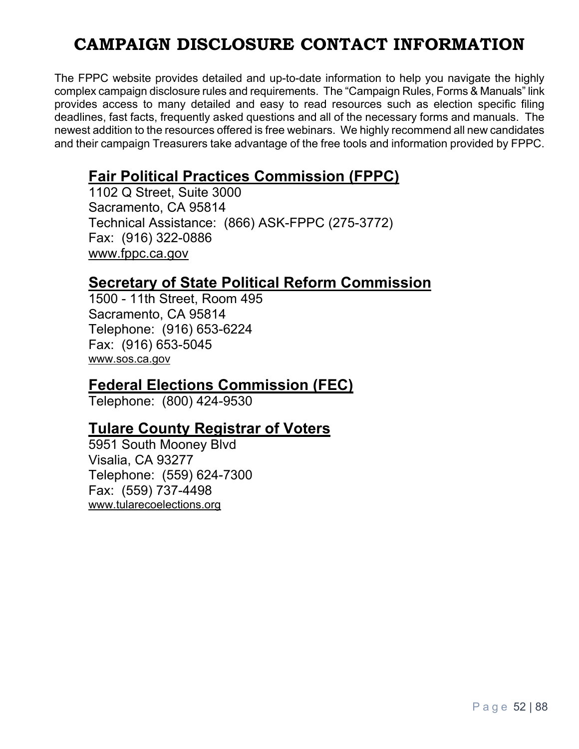# **CAMPAIGN DISCLOSURE CONTACT INFORMATION**

The FPPC website provides detailed and up-to-date information to help you navigate the highly complex campaign disclosure rules and requirements. The "Campaign Rules, Forms & Manuals" link provides access to many detailed and easy to read resources such as election specific filing deadlines, fast facts, frequently asked questions and all of the necessary forms and manuals. The newest addition to the resources offered is free webinars. We highly recommend all new candidates and their campaign Treasurers take advantage of the free tools and information provided by FPPC.

## **Fair Political Practices Commission (FPPC)**

1102 Q Street, Suite 3000 Sacramento, CA 95814 Technical Assistance: (866) ASK-FPPC (275-3772) Fax: (916) 322-0886 www.fppc.ca.gov

## **Secretary of State Political Reform Commission**

1500 - 11th Street, Room 495 Sacramento, CA 95814 Telephone: (916) 653-6224 Fax: (916) 653-5045 www.sos.ca.gov

## **Federal Elections Commission (FEC)**

Telephone: (800) 424-9530

## **Tulare County Registrar of Voters**

5951 South Mooney Blvd Visalia, CA 93277 Telephone: (559) 624-7300 Fax: (559) 737-4498 www.tularecoelections.org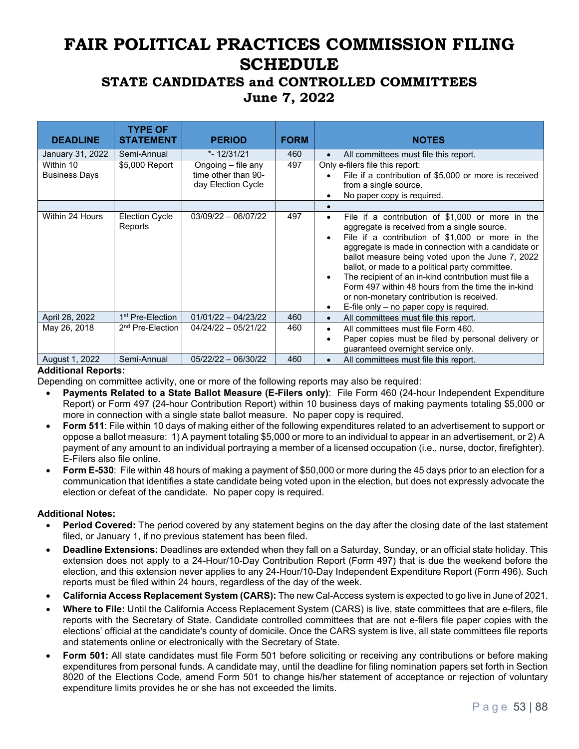# **FAIR POLITICAL PRACTICES COMMISSION FILING SCHEDULE**

## **STATE CANDIDATES and CONTROLLED COMMITTEES June 7, 2022**

| <b>DEADLINE</b>                   | <b>TYPE OF</b><br><b>STATEMENT</b> | <b>PERIOD</b>                                                   | <b>FORM</b> | <b>NOTES</b>                                                                                                                                                                                                                                                                                                                                                                                                                                                                                                                          |
|-----------------------------------|------------------------------------|-----------------------------------------------------------------|-------------|---------------------------------------------------------------------------------------------------------------------------------------------------------------------------------------------------------------------------------------------------------------------------------------------------------------------------------------------------------------------------------------------------------------------------------------------------------------------------------------------------------------------------------------|
| January 31, 2022                  | Semi-Annual                        | $* - 12/31/21$                                                  | 460         | All committees must file this report.                                                                                                                                                                                                                                                                                                                                                                                                                                                                                                 |
| Within 10<br><b>Business Days</b> | \$5,000 Report                     | Ongoing – file any<br>time other than 90-<br>day Election Cycle | 497         | Only e-filers file this report:<br>File if a contribution of \$5,000 or more is received<br>from a single source.<br>No paper copy is required.                                                                                                                                                                                                                                                                                                                                                                                       |
|                                   |                                    |                                                                 |             |                                                                                                                                                                                                                                                                                                                                                                                                                                                                                                                                       |
| Within 24 Hours                   | <b>Election Cycle</b><br>Reports   | $03/09/22 - 06/07/22$                                           | 497         | File if a contribution of \$1,000 or more in the<br>$\bullet$<br>aggregate is received from a single source.<br>File if a contribution of \$1,000 or more in the<br>aggregate is made in connection with a candidate or<br>ballot measure being voted upon the June 7, 2022<br>ballot, or made to a political party committee.<br>The recipient of an in-kind contribution must file a<br>Form 497 within 48 hours from the time the in-kind<br>or non-monetary contribution is received.<br>E-file only - no paper copy is required. |
| April 28, 2022                    | 1 <sup>st</sup> Pre-Election       | $01/01/22 - 04/23/22$                                           | 460         | All committees must file this report.<br>$\bullet$                                                                                                                                                                                                                                                                                                                                                                                                                                                                                    |
| May 26, 2018                      | 2 <sup>nd</sup> Pre-Election       | $04/24/22 - 05/21/22$                                           | 460         | All committees must file Form 460.<br>$\bullet$<br>Paper copies must be filed by personal delivery or<br>guaranteed overnight service only.                                                                                                                                                                                                                                                                                                                                                                                           |
| August 1, 2022                    | Semi-Annual                        | $05/22/22 - 06/30/22$                                           | 460         | All committees must file this report.<br>$\bullet$                                                                                                                                                                                                                                                                                                                                                                                                                                                                                    |

#### **Additional Reports:**

Depending on committee activity, one or more of the following reports may also be required:

- **Payments Related to a State Ballot Measure (E-Filers only)**: File Form 460 (24-hour Independent Expenditure Report) or Form 497 (24-hour Contribution Report) within 10 business days of making payments totaling \$5,000 or more in connection with a single state ballot measure. No paper copy is required.
- **Form 511**: File within 10 days of making either of the following expenditures related to an advertisement to support or oppose a ballot measure: 1) A payment totaling \$5,000 or more to an individual to appear in an advertisement, or 2) A payment of any amount to an individual portraying a member of a licensed occupation (i.e., nurse, doctor, firefighter). E-Filers also file online.
- **Form E-530**: File within 48 hours of making a payment of \$50,000 or more during the 45 days prior to an election for a communication that identifies a state candidate being voted upon in the election, but does not expressly advocate the election or defeat of the candidate. No paper copy is required.

#### **Additional Notes:**

- **Period Covered:** The period covered by any statement begins on the day after the closing date of the last statement filed, or January 1, if no previous statement has been filed.
- **Deadline Extensions:** Deadlines are extended when they fall on a Saturday, Sunday, or an official state holiday. This extension does not apply to a 24-Hour/10-Day Contribution Report (Form 497) that is due the weekend before the election, and this extension never applies to any 24-Hour/10-Day Independent Expenditure Report (Form 496). Such reports must be filed within 24 hours, regardless of the day of the week.
- **California Access Replacement System (CARS):** The new Cal-Access system is expected to go live in June of 2021.
- **Where to File:** Until the California Access Replacement System (CARS) is live, state committees that are e-filers, file reports with the Secretary of State. Candidate controlled committees that are not e-filers file paper copies with the elections' official at the candidate's county of domicile. Once the CARS system is live, all state committees file reports and statements online or electronically with the Secretary of State.
- **Form 501:** All state candidates must file Form 501 before soliciting or receiving any contributions or before making expenditures from personal funds. A candidate may, until the deadline for filing nomination papers set forth in Section 8020 of the Elections Code, amend Form 501 to change his/her statement of acceptance or rejection of voluntary expenditure limits provides he or she has not exceeded the limits.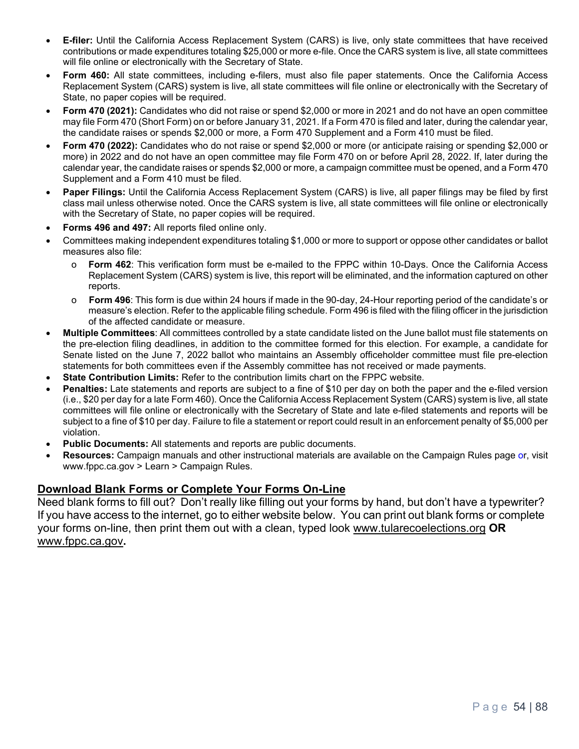- **E-filer:** Until the California Access Replacement System (CARS) is live, only state committees that have received contributions or made expenditures totaling \$25,000 or more e-file. Once the CARS system is live, all state committees will file online or electronically with the Secretary of State.
- **Form 460:** All state committees, including e-filers, must also file paper statements. Once the California Access Replacement System (CARS) system is live, all state committees will file online or electronically with the Secretary of State, no paper copies will be required.
- **Form 470 (2021):** Candidates who did not raise or spend \$2,000 or more in 2021 and do not have an open committee may file Form 470 (Short Form) on or before January 31, 2021. If a Form 470 is filed and later, during the calendar year, the candidate raises or spends \$2,000 or more, a Form 470 Supplement and a Form 410 must be filed.
- **Form 470 (2022):** Candidates who do not raise or spend \$2,000 or more (or anticipate raising or spending \$2,000 or more) in 2022 and do not have an open committee may file Form 470 on or before April 28, 2022. If, later during the calendar year, the candidate raises or spends \$2,000 or more, a campaign committee must be opened, and a Form 470 Supplement and a Form 410 must be filed.
- **Paper Filings:** Until the California Access Replacement System (CARS) is live, all paper filings may be filed by first class mail unless otherwise noted. Once the CARS system is live, all state committees will file online or electronically with the Secretary of State, no paper copies will be required.
- **Forms 496 and 497:** All reports filed online only.
- Committees making independent expenditures totaling \$1,000 or more to support or oppose other candidates or ballot measures also file:
	- o **Form 462**: This verification form must be e-mailed to the FPPC within 10-Days. Once the California Access Replacement System (CARS) system is live, this report will be eliminated, and the information captured on other reports.
	- o **Form 496**: This form is due within 24 hours if made in the 90-day, 24-Hour reporting period of the candidate's or measure's election. Refer to the applicable filing schedule. Form 496 is filed with the filing officer in the jurisdiction of the affected candidate or measure.
- **Multiple Committees**: All committees controlled by a state candidate listed on the June ballot must file statements on the pre-election filing deadlines, in addition to the committee formed for this election. For example, a candidate for Senate listed on the June 7, 2022 ballot who maintains an Assembly officeholder committee must file pre-election statements for both committees even if the Assembly committee has not received or made payments.
- **State Contribution Limits:** Refer to the contribution limits chart on the FPPC website.
- **Penalties:** Late statements and reports are subject to a fine of \$10 per day on both the paper and the e-filed version (i.e., \$20 per day for a late Form 460). Once the California Access Replacement System (CARS) system is live, all state committees will file online or electronically with the Secretary of State and late e-filed statements and reports will be subject to a fine of \$10 per day. Failure to file a statement or report could result in an enforcement penalty of \$5,000 per violation.
- **Public Documents:** All statements and reports are public documents.
- **Resources:** Campaign manuals and other instructional materials are available on the Campaign Rules page or, visit www.fppc.ca.gov > Learn > Campaign Rules.

#### **Download Blank Forms or Complete Your Forms On-Line**

Need blank forms to fill out? Don't really like filling out your forms by hand, but don't have a typewriter? If you have access to the internet, go to either website below. You can print out blank forms or complete your forms on-line, then print them out with a clean, typed look www.tularecoelections.org **OR**  www.fppc.ca.gov**.**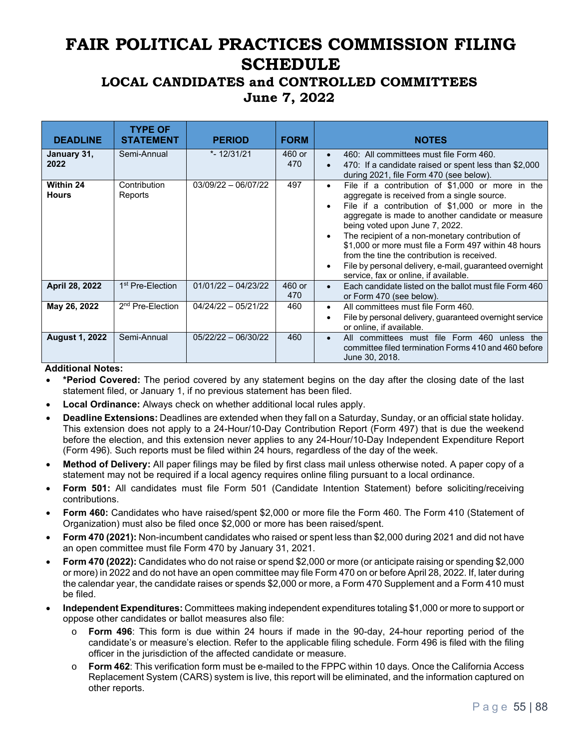# **FAIR POLITICAL PRACTICES COMMISSION FILING SCHEDULE**

## **LOCAL CANDIDATES and CONTROLLED COMMITTEES June 7, 2022**

| <b>DEADLINE</b>           | <b>TYPE OF</b><br><b>STATEMENT</b> | <b>PERIOD</b>         | <b>FORM</b>   | <b>NOTES</b>                                                                                                                                                                                                                                                                                                                                                                                                                                                                                                                                                 |
|---------------------------|------------------------------------|-----------------------|---------------|--------------------------------------------------------------------------------------------------------------------------------------------------------------------------------------------------------------------------------------------------------------------------------------------------------------------------------------------------------------------------------------------------------------------------------------------------------------------------------------------------------------------------------------------------------------|
| January 31,<br>2022       | Semi-Annual                        | $* - 12/31/21$        | 460 or<br>470 | 460: All committees must file Form 460.<br>$\bullet$<br>470: If a candidate raised or spent less than \$2,000<br>$\bullet$<br>during 2021, file Form 470 (see below).                                                                                                                                                                                                                                                                                                                                                                                        |
| Within 24<br><b>Hours</b> | Contribution<br>Reports            | $03/09/22 - 06/07/22$ | 497           | File if a contribution of \$1,000 or more in the<br>$\bullet$<br>aggregate is received from a single source.<br>File if a contribution of \$1,000 or more in the<br>$\bullet$<br>aggregate is made to another candidate or measure<br>being voted upon June 7, 2022.<br>The recipient of a non-monetary contribution of<br>$\bullet$<br>\$1,000 or more must file a Form 497 within 48 hours<br>from the tine the contribution is received.<br>File by personal delivery, e-mail, quaranteed overnight<br>$\bullet$<br>service, fax or online, if available. |
| April 28, 2022            | 1 <sup>st</sup> Pre-Election       | $01/01/22 - 04/23/22$ | 460 or<br>470 | Each candidate listed on the ballot must file Form 460<br>$\bullet$<br>or Form 470 (see below).                                                                                                                                                                                                                                                                                                                                                                                                                                                              |
| May 26, 2022              | 2 <sup>nd</sup> Pre-Election       | $04/24/22 - 05/21/22$ | 460           | All committees must file Form 460.<br>$\bullet$<br>File by personal delivery, guaranteed overnight service<br>$\bullet$<br>or online, if available.                                                                                                                                                                                                                                                                                                                                                                                                          |
| <b>August 1, 2022</b>     | Semi-Annual                        | $05/22/22 - 06/30/22$ | 460           | All committees must file Form 460 unless the<br>$\bullet$<br>committee filed termination Forms 410 and 460 before<br>June 30, 2018.                                                                                                                                                                                                                                                                                                                                                                                                                          |

#### **Additional Notes:**

- **\*Period Covered:** The period covered by any statement begins on the day after the closing date of the last statement filed, or January 1, if no previous statement has been filed.
- **Local Ordinance:** Always check on whether additional local rules apply.
- **Deadline Extensions:** Deadlines are extended when they fall on a Saturday, Sunday, or an official state holiday. This extension does not apply to a 24-Hour/10-Day Contribution Report (Form 497) that is due the weekend before the election, and this extension never applies to any 24-Hour/10-Day Independent Expenditure Report (Form 496). Such reports must be filed within 24 hours, regardless of the day of the week.
- **Method of Delivery:** All paper filings may be filed by first class mail unless otherwise noted. A paper copy of a statement may not be required if a local agency requires online filing pursuant to a local ordinance.
- **Form 501:** All candidates must file Form 501 (Candidate Intention Statement) before soliciting/receiving contributions.
- **Form 460:** Candidates who have raised/spent \$2,000 or more file the Form 460. The Form 410 (Statement of Organization) must also be filed once \$2,000 or more has been raised/spent.
- **Form 470 (2021):** Non-incumbent candidates who raised or spent less than \$2,000 during 2021 and did not have an open committee must file Form 470 by January 31, 2021.
- **Form 470 (2022):** Candidates who do not raise or spend \$2,000 or more (or anticipate raising or spending \$2,000 or more) in 2022 and do not have an open committee may file Form 470 on or before April 28, 2022. If, later during the calendar year, the candidate raises or spends \$2,000 or more, a Form 470 Supplement and a Form 410 must be filed.
- **Independent Expenditures:** Committees making independent expenditures totaling \$1,000 or more to support or oppose other candidates or ballot measures also file:
	- **Form 496**: This form is due within 24 hours if made in the 90-day, 24-hour reporting period of the candidate's or measure's election. Refer to the applicable filing schedule. Form 496 is filed with the filing officer in the jurisdiction of the affected candidate or measure.
	- **Form 462:** This verification form must be e-mailed to the FPPC within 10 days. Once the California Access Replacement System (CARS) system is live, this report will be eliminated, and the information captured on other reports.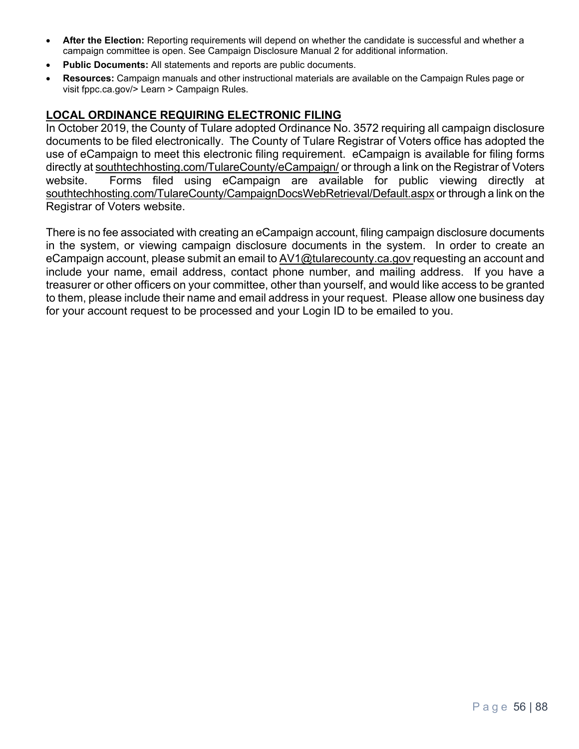- **After the Election:** Reporting requirements will depend on whether the candidate is successful and whether a campaign committee is open. See Campaign Disclosure Manual 2 for additional information.
- **Public Documents:** All statements and reports are public documents.
- **Resources:** Campaign manuals and other instructional materials are available on the Campaign Rules page or visit fppc.ca.gov/> Learn > Campaign Rules.

#### **LOCAL ORDINANCE REQUIRING ELECTRONIC FILING**

In October 2019, the County of Tulare adopted Ordinance No. 3572 requiring all campaign disclosure documents to be filed electronically. The County of Tulare Registrar of Voters office has adopted the use of eCampaign to meet this electronic filing requirement. eCampaign is available for filing forms directly at southtechhosting.com/TulareCounty/eCampaign/ or through a link on the Registrar of Voters website. Forms filed using eCampaign are available for public viewing directly at southtechhosting.com/TulareCounty/CampaignDocsWebRetrieval/Default.aspx or through a link on the Registrar of Voters website.

There is no fee associated with creating an eCampaign account, filing campaign disclosure documents in the system, or viewing campaign disclosure documents in the system. In order to create an eCampaign account, please submit an email to AV1@tularecounty.ca.gov requesting an account and include your name, email address, contact phone number, and mailing address. If you have a treasurer or other officers on your committee, other than yourself, and would like access to be granted to them, please include their name and email address in your request. Please allow one business day for your account request to be processed and your Login ID to be emailed to you.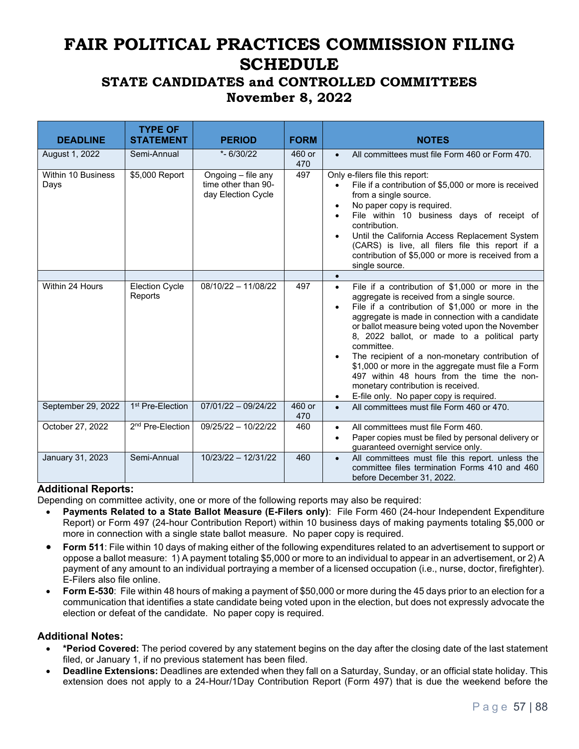# **FAIR POLITICAL PRACTICES COMMISSION FILING SCHEDULE**

## **STATE CANDIDATES and CONTROLLED COMMITTEES November 8, 2022**

| <b>DEADLINE</b>            | <b>TYPE OF</b><br><b>STATEMENT</b> | <b>PERIOD</b>                                                   | <b>FORM</b>   | <b>NOTES</b>                                                                                                                                                                                                                                                                                                                                                                                                                                                                                                                                                                                           |
|----------------------------|------------------------------------|-----------------------------------------------------------------|---------------|--------------------------------------------------------------------------------------------------------------------------------------------------------------------------------------------------------------------------------------------------------------------------------------------------------------------------------------------------------------------------------------------------------------------------------------------------------------------------------------------------------------------------------------------------------------------------------------------------------|
| August 1, 2022             | Semi-Annual                        | $* - 6/30/22$                                                   | 460 or<br>470 | All committees must file Form 460 or Form 470.<br>$\bullet$                                                                                                                                                                                                                                                                                                                                                                                                                                                                                                                                            |
| Within 10 Business<br>Days | \$5,000 Report                     | Ongoing - file any<br>time other than 90-<br>day Election Cycle | 497           | Only e-filers file this report:<br>File if a contribution of \$5,000 or more is received<br>from a single source.<br>No paper copy is required.<br>$\bullet$<br>File within 10 business days of receipt of<br>$\bullet$<br>contribution.<br>Until the California Access Replacement System<br>(CARS) is live, all filers file this report if a<br>contribution of \$5,000 or more is received from a<br>single source.                                                                                                                                                                                 |
|                            |                                    |                                                                 |               | $\bullet$                                                                                                                                                                                                                                                                                                                                                                                                                                                                                                                                                                                              |
| Within 24 Hours            | <b>Election Cycle</b><br>Reports   | $08/10/22 - 11/08/22$                                           | 497           | File if a contribution of \$1,000 or more in the<br>$\bullet$<br>aggregate is received from a single source.<br>File if a contribution of \$1,000 or more in the<br>$\bullet$<br>aggregate is made in connection with a candidate<br>or ballot measure being voted upon the November<br>8, 2022 ballot, or made to a political party<br>committee.<br>The recipient of a non-monetary contribution of<br>\$1,000 or more in the aggregate must file a Form<br>497 within 48 hours from the time the non-<br>monetary contribution is received.<br>E-file only. No paper copy is required.<br>$\bullet$ |
| September 29, 2022         | 1 <sup>st</sup> Pre-Election       | $07/01/22 - 09/24/22$                                           | 460 or<br>470 | All committees must file Form 460 or 470.<br>$\bullet$                                                                                                                                                                                                                                                                                                                                                                                                                                                                                                                                                 |
| October 27, 2022           | 2 <sup>nd</sup> Pre-Election       | $09/25/22 - 10/22/22$                                           | 460           | All committees must file Form 460.<br>$\bullet$<br>Paper copies must be filed by personal delivery or<br>$\bullet$<br>guaranteed overnight service only.                                                                                                                                                                                                                                                                                                                                                                                                                                               |
| January 31, 2023           | Semi-Annual                        | $10/23/22 - 12/31/22$                                           | 460           | All committees must file this report. unless the<br>$\bullet$<br>committee files termination Forms 410 and 460<br>before December 31, 2022.                                                                                                                                                                                                                                                                                                                                                                                                                                                            |

#### **Additional Reports:**

Depending on committee activity, one or more of the following reports may also be required:

- **Payments Related to a State Ballot Measure (E-Filers only)**: File Form 460 (24-hour Independent Expenditure Report) or Form 497 (24-hour Contribution Report) within 10 business days of making payments totaling \$5,000 or more in connection with a single state ballot measure. No paper copy is required.
- **Form 511**: File within 10 days of making either of the following expenditures related to an advertisement to support or oppose a ballot measure: 1) A payment totaling \$5,000 or more to an individual to appear in an advertisement, or 2) A payment of any amount to an individual portraying a member of a licensed occupation (i.e., nurse, doctor, firefighter). E-Filers also file online.
- **Form E-530**: File within 48 hours of making a payment of \$50,000 or more during the 45 days prior to an election for a communication that identifies a state candidate being voted upon in the election, but does not expressly advocate the election or defeat of the candidate. No paper copy is required.

#### **Additional Notes:**

- **\*Period Covered:** The period covered by any statement begins on the day after the closing date of the last statement filed, or January 1, if no previous statement has been filed.
- **Deadline Extensions:** Deadlines are extended when they fall on a Saturday, Sunday, or an official state holiday. This extension does not apply to a 24-Hour/1Day Contribution Report (Form 497) that is due the weekend before the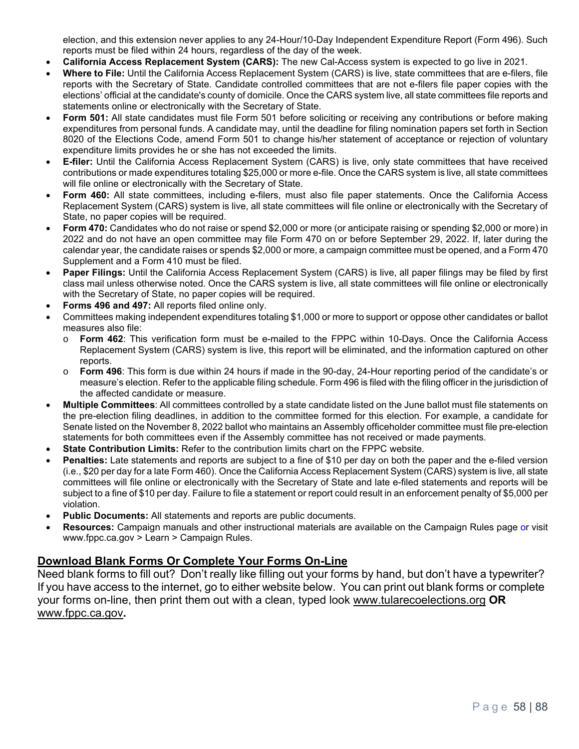election, and this extension never applies to any 24-Hour/10-Day Independent Expenditure Report (Form 496). Such reports must be filed within 24 hours, regardless of the day of the week.

- **California Access Replacement System (CARS):** The new Cal-Access system is expected to go live in 2021.
- **Where to File:** Until the California Access Replacement System (CARS) is live, state committees that are e-filers, file reports with the Secretary of State. Candidate controlled committees that are not e-filers file paper copies with the elections' official at the candidate's county of domicile. Once the CARS system live, all state committees file reports and statements online or electronically with the Secretary of State.
- **Form 501:** All state candidates must file Form 501 before soliciting or receiving any contributions or before making expenditures from personal funds. A candidate may, until the deadline for filing nomination papers set forth in Section 8020 of the Elections Code, amend Form 501 to change his/her statement of acceptance or rejection of voluntary expenditure limits provides he or she has not exceeded the limits.
- **E-filer:** Until the California Access Replacement System (CARS) is live, only state committees that have received contributions or made expenditures totaling \$25,000 or more e-file. Once the CARS system is live, all state committees will file online or electronically with the Secretary of State.
- **Form 460:** All state committees, including e-filers, must also file paper statements. Once the California Access Replacement System (CARS) system is live, all state committees will file online or electronically with the Secretary of State, no paper copies will be required.
- **Form 470:** Candidates who do not raise or spend \$2,000 or more (or anticipate raising or spending \$2,000 or more) in 2022 and do not have an open committee may file Form 470 on or before September 29, 2022. If, later during the calendar year, the candidate raises or spends \$2,000 or more, a campaign committee must be opened, and a Form 470 Supplement and a Form 410 must be filed.
- **Paper Filings:** Until the California Access Replacement System (CARS) is live, all paper filings may be filed by first class mail unless otherwise noted. Once the CARS system is live, all state committees will file online or electronically with the Secretary of State, no paper copies will be required.
- **Forms 496 and 497:** All reports filed online only.
- Committees making independent expenditures totaling \$1,000 or more to support or oppose other candidates or ballot measures also file:
	- o **Form 462**: This verification form must be e-mailed to the FPPC within 10-Days. Once the California Access Replacement System (CARS) system is live, this report will be eliminated, and the information captured on other reports.
	- o **Form 496**: This form is due within 24 hours if made in the 90-day, 24-Hour reporting period of the candidate's or measure's election. Refer to the applicable filing schedule. Form 496 is filed with the filing officer in the jurisdiction of the affected candidate or measure.
- **Multiple Committees**: All committees controlled by a state candidate listed on the June ballot must file statements on the pre-election filing deadlines, in addition to the committee formed for this election. For example, a candidate for Senate listed on the November 8, 2022 ballot who maintains an Assembly officeholder committee must file pre-election statements for both committees even if the Assembly committee has not received or made payments.
- **State Contribution Limits:** Refer to the contribution limits chart on the FPPC website.
- **Penalties:** Late statements and reports are subject to a fine of \$10 per day on both the paper and the e-filed version (i.e., \$20 per day for a late Form 460). Once the California Access Replacement System (CARS) system is live, all state committees will file online or electronically with the Secretary of State and late e-filed statements and reports will be subject to a fine of \$10 per day. Failure to file a statement or report could result in an enforcement penalty of \$5,000 per violation.
- **Public Documents:** All statements and reports are public documents.
- **Resources:** Campaign manuals and other instructional materials are available on the Campaign Rules page or visit www.fppc.ca.gov > Learn > Campaign Rules.

#### **Download Blank Forms Or Complete Your Forms On-Line**

Need blank forms to fill out? Don't really like filling out your forms by hand, but don't have a typewriter? If you have access to the internet, go to either website below. You can print out blank forms or complete your forms on-line, then print them out with a clean, typed look www.tularecoelections.org **OR**  www.fppc.ca.gov**.**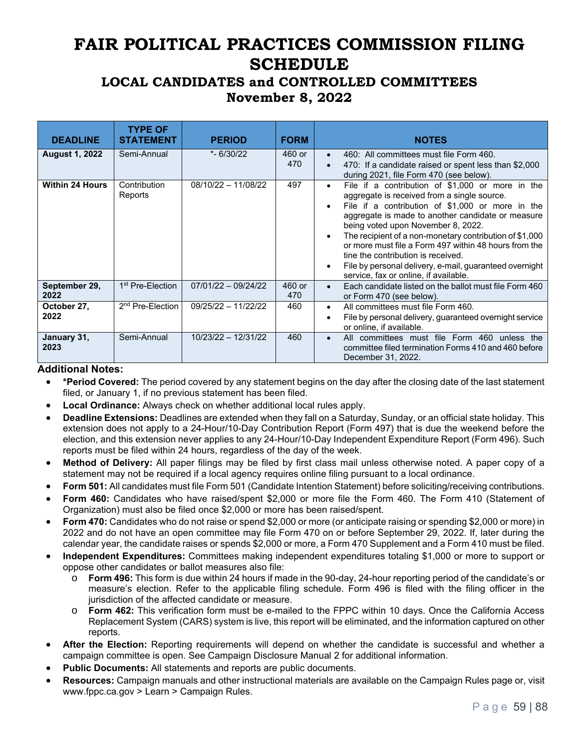# **FAIR POLITICAL PRACTICES COMMISSION FILING SCHEDULE**

## **LOCAL CANDIDATES and CONTROLLED COMMITTEES November 8, 2022**

| <b>DEADLINE</b>        | <b>TYPE OF</b><br><b>STATEMENT</b> | <b>PERIOD</b>         | <b>FORM</b>   | <b>NOTES</b>                                                                                                                                                                                                                                                                                                                                                                                                                                                                                                                                                     |
|------------------------|------------------------------------|-----------------------|---------------|------------------------------------------------------------------------------------------------------------------------------------------------------------------------------------------------------------------------------------------------------------------------------------------------------------------------------------------------------------------------------------------------------------------------------------------------------------------------------------------------------------------------------------------------------------------|
| <b>August 1, 2022</b>  | Semi-Annual                        | $* - 6/30/22$         | 460 or<br>470 | 460: All committees must file Form 460.<br>$\bullet$<br>470: If a candidate raised or spent less than \$2,000<br>$\bullet$<br>during 2021, file Form 470 (see below).                                                                                                                                                                                                                                                                                                                                                                                            |
| <b>Within 24 Hours</b> | Contribution<br>Reports            | $08/10/22 - 11/08/22$ | 497           | File if a contribution of \$1,000 or more in the<br>$\bullet$<br>aggregate is received from a single source.<br>File if a contribution of \$1,000 or more in the<br>$\bullet$<br>aggregate is made to another candidate or measure<br>being voted upon November 8, 2022.<br>The recipient of a non-monetary contribution of \$1,000<br>$\bullet$<br>or more must file a Form 497 within 48 hours from the<br>tine the contribution is received.<br>File by personal delivery, e-mail, quaranteed overnight<br>$\bullet$<br>service, fax or online, if available. |
| September 29,<br>2022  | 1 <sup>st</sup> Pre-Election       | $07/01/22 - 09/24/22$ | 460 or<br>470 | Each candidate listed on the ballot must file Form 460<br>$\bullet$<br>or Form 470 (see below).                                                                                                                                                                                                                                                                                                                                                                                                                                                                  |
| October 27,<br>2022    | 2 <sup>nd</sup> Pre-Election       | 09/25/22 - 11/22/22   | 460           | All committees must file Form 460.<br>$\bullet$<br>File by personal delivery, guaranteed overnight service<br>$\bullet$<br>or online, if available.                                                                                                                                                                                                                                                                                                                                                                                                              |
| January 31,<br>2023    | Semi-Annual                        | 10/23/22 - 12/31/22   | 460           | All committees must file Form 460 unless the<br>$\bullet$<br>committee filed termination Forms 410 and 460 before<br>December 31, 2022.                                                                                                                                                                                                                                                                                                                                                                                                                          |

#### **Additional Notes:**

- **\*Period Covered:** The period covered by any statement begins on the day after the closing date of the last statement filed, or January 1, if no previous statement has been filed.
- **Local Ordinance:** Always check on whether additional local rules apply.
- **Deadline Extensions:** Deadlines are extended when they fall on a Saturday, Sunday, or an official state holiday. This extension does not apply to a 24-Hour/10-Day Contribution Report (Form 497) that is due the weekend before the election, and this extension never applies to any 24-Hour/10-Day Independent Expenditure Report (Form 496). Such reports must be filed within 24 hours, regardless of the day of the week.
- **Method of Delivery:** All paper filings may be filed by first class mail unless otherwise noted. A paper copy of a statement may not be required if a local agency requires online filing pursuant to a local ordinance.
- **Form 501:** All candidates must file Form 501 (Candidate Intention Statement) before soliciting/receiving contributions.
- **Form 460:** Candidates who have raised/spent \$2,000 or more file the Form 460. The Form 410 (Statement of Organization) must also be filed once \$2,000 or more has been raised/spent.
- **Form 470:** Candidates who do not raise or spend \$2,000 or more (or anticipate raising or spending \$2,000 or more) in 2022 and do not have an open committee may file Form 470 on or before September 29, 2022. If, later during the calendar year, the candidate raises or spends \$2,000 or more, a Form 470 Supplement and a Form 410 must be filed.
- **Independent Expenditures:** Committees making independent expenditures totaling \$1,000 or more to support or oppose other candidates or ballot measures also file:
	- o **Form 496:** This form is due within 24 hours if made in the 90-day, 24-hour reporting period of the candidate's or measure's election. Refer to the applicable filing schedule. Form 496 is filed with the filing officer in the jurisdiction of the affected candidate or measure.
	- **Form 462:** This verification form must be e-mailed to the FPPC within 10 days. Once the California Access Replacement System (CARS) system is live, this report will be eliminated, and the information captured on other reports.
- **After the Election:** Reporting requirements will depend on whether the candidate is successful and whether a campaign committee is open. See Campaign Disclosure Manual 2 for additional information.
- **Public Documents:** All statements and reports are public documents.
- **Resources:** Campaign manuals and other instructional materials are available on the Campaign Rules page or, visit www.fppc.ca.gov > Learn > Campaign Rules.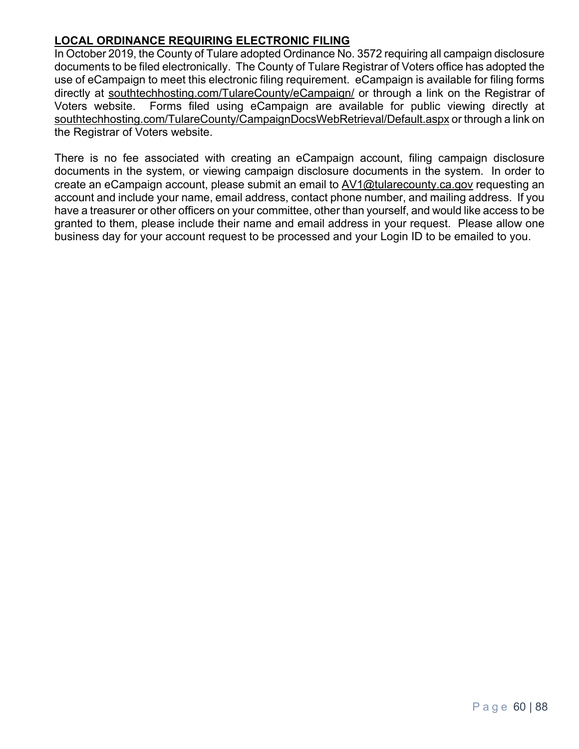## **LOCAL ORDINANCE REQUIRING ELECTRONIC FILING**

In October 2019, the County of Tulare adopted Ordinance No. 3572 requiring all campaign disclosure documents to be filed electronically. The County of Tulare Registrar of Voters office has adopted the use of eCampaign to meet this electronic filing requirement. eCampaign is available for filing forms directly at southtechhosting.com/TulareCounty/eCampaign/ or through a link on the Registrar of Voters website. Forms filed using eCampaign are available for public viewing directly at southtechhosting.com/TulareCounty/CampaignDocsWebRetrieval/Default.aspx or through a link on the Registrar of Voters website.

There is no fee associated with creating an eCampaign account, filing campaign disclosure documents in the system, or viewing campaign disclosure documents in the system. In order to create an eCampaign account, please submit an email to AV1@tularecounty.ca.gov requesting an account and include your name, email address, contact phone number, and mailing address. If you have a treasurer or other officers on your committee, other than yourself, and would like access to be granted to them, please include their name and email address in your request. Please allow one business day for your account request to be processed and your Login ID to be emailed to you.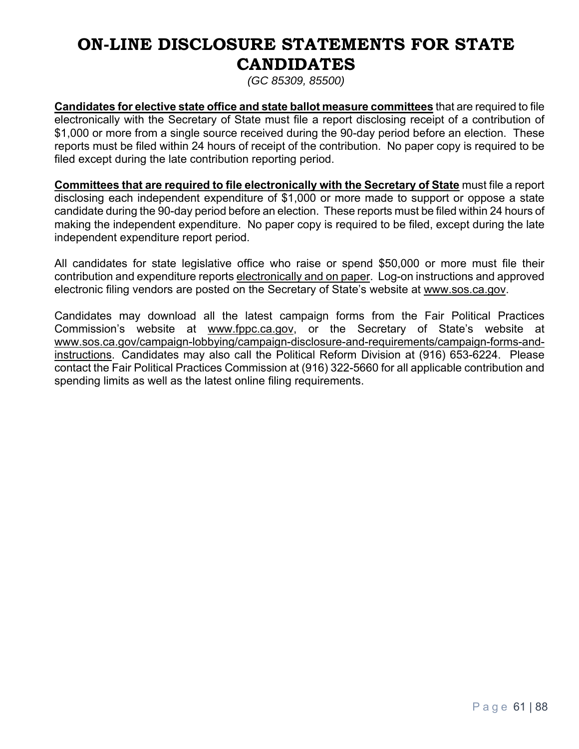# **ON-LINE DISCLOSURE STATEMENTS FOR STATE CANDIDATES**

*(GC 85309, 85500)*

**Candidates for elective state office and state ballot measure committees** that are required to file electronically with the Secretary of State must file a report disclosing receipt of a contribution of \$1,000 or more from a single source received during the 90-day period before an election. These reports must be filed within 24 hours of receipt of the contribution. No paper copy is required to be filed except during the late contribution reporting period.

**Committees that are required to file electronically with the Secretary of State** must file a report disclosing each independent expenditure of \$1,000 or more made to support or oppose a state candidate during the 90-day period before an election. These reports must be filed within 24 hours of making the independent expenditure. No paper copy is required to be filed, except during the late independent expenditure report period.

All candidates for state legislative office who raise or spend \$50,000 or more must file their contribution and expenditure reports electronically and on paper. Log-on instructions and approved electronic filing vendors are posted on the Secretary of State's website at www.sos.ca.gov.

Candidates may download all the latest campaign forms from the Fair Political Practices Commission's website at www.fppc.ca.gov, or the Secretary of State's website at www.sos.ca.gov/campaign-lobbying/campaign-disclosure-and-requirements/campaign-forms-andinstructions. Candidates may also call the Political Reform Division at (916) 653-6224. Please contact the Fair Political Practices Commission at (916) 322-5660 for all applicable contribution and spending limits as well as the latest online filing requirements.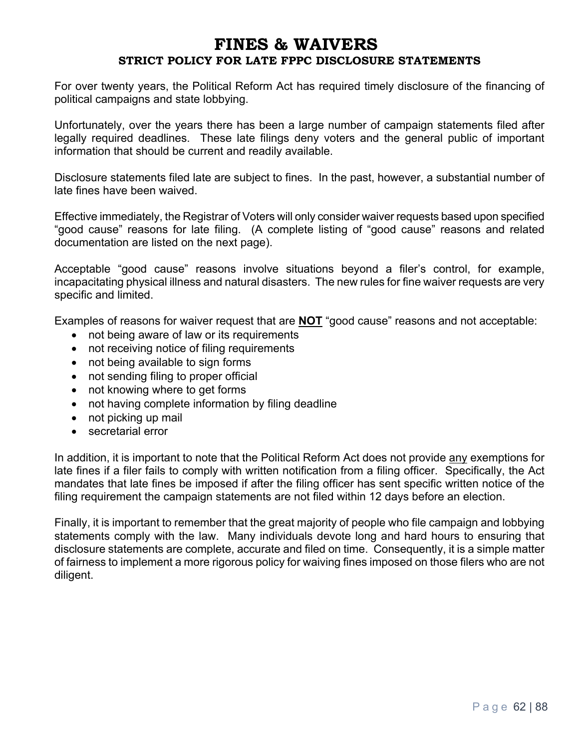## **FINES & WAIVERS STRICT POLICY FOR LATE FPPC DISCLOSURE STATEMENTS**

For over twenty years, the Political Reform Act has required timely disclosure of the financing of political campaigns and state lobbying.

Unfortunately, over the years there has been a large number of campaign statements filed after legally required deadlines. These late filings deny voters and the general public of important information that should be current and readily available.

Disclosure statements filed late are subject to fines. In the past, however, a substantial number of late fines have been waived.

Effective immediately, the Registrar of Voters will only consider waiver requests based upon specified "good cause" reasons for late filing. (A complete listing of "good cause" reasons and related documentation are listed on the next page).

Acceptable "good cause" reasons involve situations beyond a filer's control, for example, incapacitating physical illness and natural disasters. The new rules for fine waiver requests are very specific and limited.

Examples of reasons for waiver request that are **NOT** "good cause" reasons and not acceptable:

- not being aware of law or its requirements
- not receiving notice of filing requirements
- not being available to sign forms
- not sending filing to proper official
- not knowing where to get forms
- not having complete information by filing deadline
- not picking up mail
- secretarial error

In addition, it is important to note that the Political Reform Act does not provide any exemptions for late fines if a filer fails to comply with written notification from a filing officer. Specifically, the Act mandates that late fines be imposed if after the filing officer has sent specific written notice of the filing requirement the campaign statements are not filed within 12 days before an election.

Finally, it is important to remember that the great majority of people who file campaign and lobbying statements comply with the law. Many individuals devote long and hard hours to ensuring that disclosure statements are complete, accurate and filed on time. Consequently, it is a simple matter of fairness to implement a more rigorous policy for waiving fines imposed on those filers who are not diligent.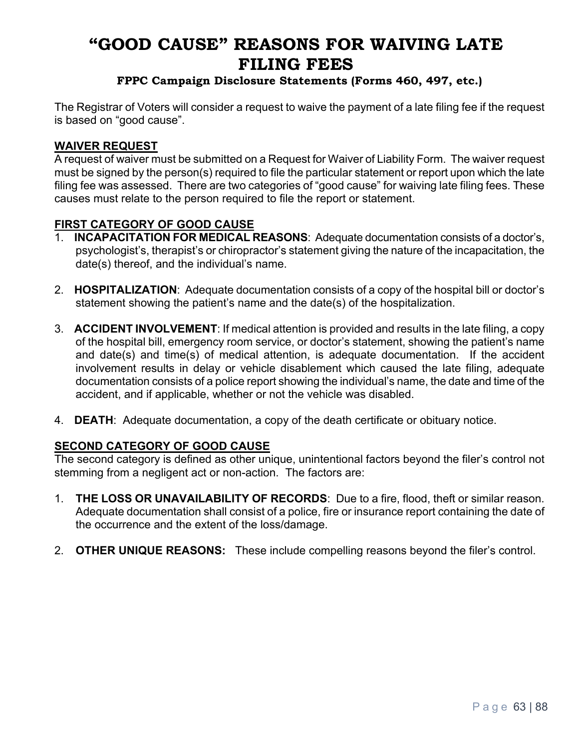# **"GOOD CAUSE" REASONS FOR WAIVING LATE FILING FEES**

## **FPPC Campaign Disclosure Statements (Forms 460, 497, etc.)**

The Registrar of Voters will consider a request to waive the payment of a late filing fee if the request is based on "good cause".

#### **WAIVER REQUEST**

A request of waiver must be submitted on a Request for Waiver of Liability Form. The waiver request must be signed by the person(s) required to file the particular statement or report upon which the late filing fee was assessed. There are two categories of "good cause" for waiving late filing fees. These causes must relate to the person required to file the report or statement.

#### **FIRST CATEGORY OF GOOD CAUSE**

- **INCAPACITATION FOR MEDICAL REASONS:** Adequate documentation consists of a doctor's, psychologist's, therapist's or chiropractor's statement giving the nature of the incapacitation, the date(s) thereof, and the individual's name.
- 2. **HOSPITALIZATION**: Adequate documentation consists of a copy of the hospital bill or doctor's statement showing the patient's name and the date(s) of the hospitalization.
- 3. **ACCIDENT INVOLVEMENT**: If medical attention is provided and results in the late filing, a copy of the hospital bill, emergency room service, or doctor's statement, showing the patient's name and date(s) and time(s) of medical attention, is adequate documentation. If the accident involvement results in delay or vehicle disablement which caused the late filing, adequate documentation consists of a police report showing the individual's name, the date and time of the accident, and if applicable, whether or not the vehicle was disabled.
- 4. **DEATH**: Adequate documentation, a copy of the death certificate or obituary notice.

#### **SECOND CATEGORY OF GOOD CAUSE**

The second category is defined as other unique, unintentional factors beyond the filer's control not stemming from a negligent act or non-action. The factors are:

- 1. **THE LOSS OR UNAVAILABILITY OF RECORDS**: Due to a fire, flood, theft or similar reason. Adequate documentation shall consist of a police, fire or insurance report containing the date of the occurrence and the extent of the loss/damage.
- 2. **OTHER UNIQUE REASONS:** These include compelling reasons beyond the filer's control.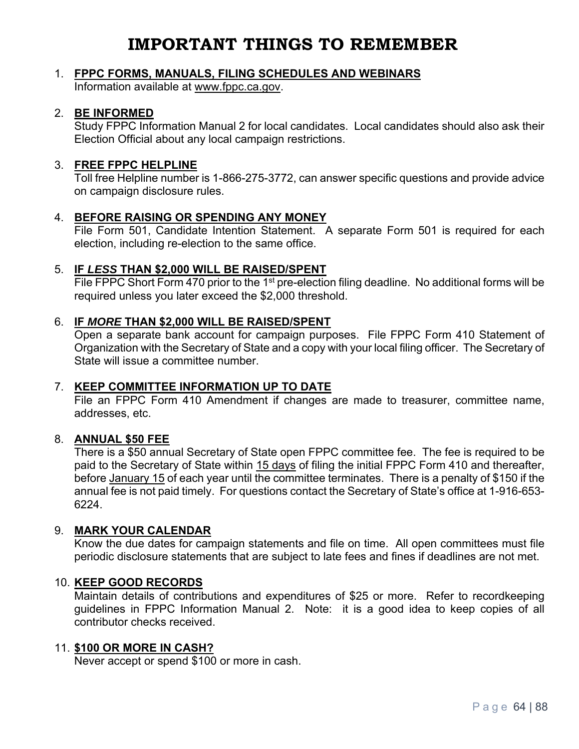# **IMPORTANT THINGS TO REMEMBER**

## 1. **FPPC FORMS, MANUALS, FILING SCHEDULES AND WEBINARS**

Information available at www.fppc.ca.gov.

#### 2. **BE INFORMED**

Study FPPC Information Manual 2 for local candidates. Local candidates should also ask their Election Official about any local campaign restrictions.

#### 3. **FREE FPPC HELPLINE**

Toll free Helpline number is 1-866-275-3772, can answer specific questions and provide advice on campaign disclosure rules.

#### 4. **BEFORE RAISING OR SPENDING ANY MONEY**

File Form 501, Candidate Intention Statement. A separate Form 501 is required for each election, including re-election to the same office.

#### 5. **IF** *LESS* **THAN \$2,000 WILL BE RAISED/SPENT**

File FPPC Short Form 470 prior to the 1<sup>st</sup> pre-election filing deadline. No additional forms will be required unless you later exceed the \$2,000 threshold.

#### 6. **IF** *MORE* **THAN \$2,000 WILL BE RAISED/SPENT**

Open a separate bank account for campaign purposes. File FPPC Form 410 Statement of Organization with the Secretary of State and a copy with your local filing officer. The Secretary of State will issue a committee number.

#### 7. **KEEP COMMITTEE INFORMATION UP TO DATE**

File an FPPC Form 410 Amendment if changes are made to treasurer, committee name, addresses, etc.

#### 8. **ANNUAL \$50 FEE**

There is a \$50 annual Secretary of State open FPPC committee fee. The fee is required to be paid to the Secretary of State within 15 days of filing the initial FPPC Form 410 and thereafter, before January 15 of each year until the committee terminates. There is a penalty of \$150 if the annual fee is not paid timely. For questions contact the Secretary of State's office at 1-916-653- 6224.

#### 9. **MARK YOUR CALENDAR**

Know the due dates for campaign statements and file on time. All open committees must file periodic disclosure statements that are subject to late fees and fines if deadlines are not met.

#### 10. **KEEP GOOD RECORDS**

Maintain details of contributions and expenditures of \$25 or more. Refer to recordkeeping guidelines in FPPC Information Manual 2. Note: it is a good idea to keep copies of all contributor checks received.

#### 11. **\$100 OR MORE IN CASH?**

Never accept or spend \$100 or more in cash.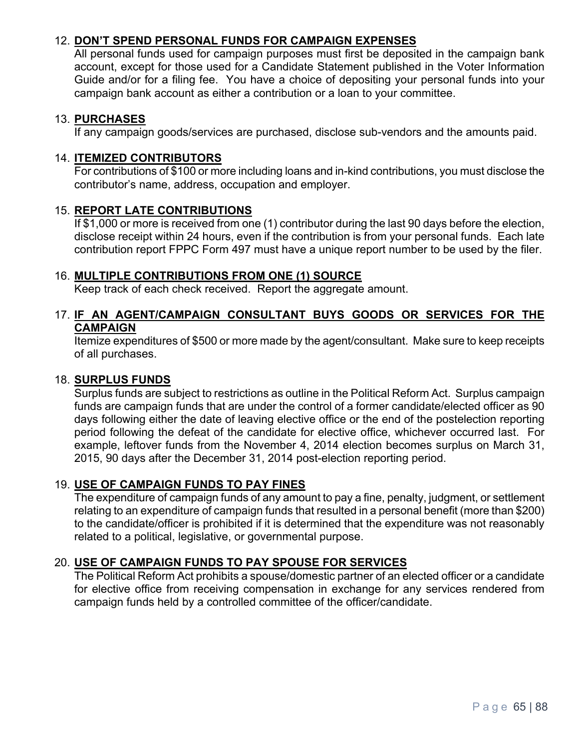## 12. **DON'T SPEND PERSONAL FUNDS FOR CAMPAIGN EXPENSES**

All personal funds used for campaign purposes must first be deposited in the campaign bank account, except for those used for a Candidate Statement published in the Voter Information Guide and/or for a filing fee. You have a choice of depositing your personal funds into your campaign bank account as either a contribution or a loan to your committee.

#### 13. **PURCHASES**

If any campaign goods/services are purchased, disclose sub-vendors and the amounts paid.

#### 14. **ITEMIZED CONTRIBUTORS**

For contributions of \$100 or more including loans and in-kind contributions, you must disclose the contributor's name, address, occupation and employer.

#### 15. **REPORT LATE CONTRIBUTIONS**

If \$1,000 or more is received from one (1) contributor during the last 90 days before the election, disclose receipt within 24 hours, even if the contribution is from your personal funds. Each late contribution report FPPC Form 497 must have a unique report number to be used by the filer.

#### 16. **MULTIPLE CONTRIBUTIONS FROM ONE (1) SOURCE**

Keep track of each check received. Report the aggregate amount.

#### 17. **IF AN AGENT/CAMPAIGN CONSULTANT BUYS GOODS OR SERVICES FOR THE CAMPAIGN**

Itemize expenditures of \$500 or more made by the agent/consultant. Make sure to keep receipts of all purchases.

#### 18. **SURPLUS FUNDS**

Surplus funds are subject to restrictions as outline in the Political Reform Act. Surplus campaign funds are campaign funds that are under the control of a former candidate/elected officer as 90 days following either the date of leaving elective office or the end of the postelection reporting period following the defeat of the candidate for elective office, whichever occurred last. For example, leftover funds from the November 4, 2014 election becomes surplus on March 31, 2015, 90 days after the December 31, 2014 post-election reporting period.

#### 19. **USE OF CAMPAIGN FUNDS TO PAY FINES**

The expenditure of campaign funds of any amount to pay a fine, penalty, judgment, or settlement relating to an expenditure of campaign funds that resulted in a personal benefit (more than \$200) to the candidate/officer is prohibited if it is determined that the expenditure was not reasonably related to a political, legislative, or governmental purpose.

#### 20. **USE OF CAMPAIGN FUNDS TO PAY SPOUSE FOR SERVICES**

The Political Reform Act prohibits a spouse/domestic partner of an elected officer or a candidate for elective office from receiving compensation in exchange for any services rendered from campaign funds held by a controlled committee of the officer/candidate.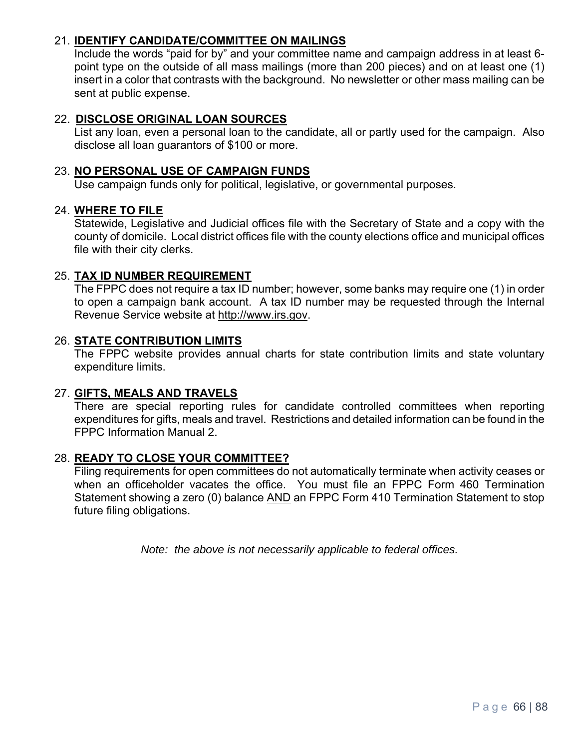#### 21. **IDENTIFY CANDIDATE/COMMITTEE ON MAILINGS**

Include the words "paid for by" and your committee name and campaign address in at least 6 point type on the outside of all mass mailings (more than 200 pieces) and on at least one (1) insert in a color that contrasts with the background. No newsletter or other mass mailing can be sent at public expense.

#### 22. **DISCLOSE ORIGINAL LOAN SOURCES**

List any loan, even a personal loan to the candidate, all or partly used for the campaign. Also disclose all loan guarantors of \$100 or more.

#### 23. **NO PERSONAL USE OF CAMPAIGN FUNDS**

Use campaign funds only for political, legislative, or governmental purposes.

#### 24. **WHERE TO FILE**

Statewide, Legislative and Judicial offices file with the Secretary of State and a copy with the county of domicile. Local district offices file with the county elections office and municipal offices file with their city clerks.

#### 25. **TAX ID NUMBER REQUIREMENT**

The FPPC does not require a tax ID number; however, some banks may require one (1) in order to open a campaign bank account. A tax ID number may be requested through the Internal Revenue Service website at http://www.irs.gov.

#### 26. **STATE CONTRIBUTION LIMITS**

The FPPC website provides annual charts for state contribution limits and state voluntary expenditure limits.

#### 27. **GIFTS, MEALS AND TRAVELS**

There are special reporting rules for candidate controlled committees when reporting expenditures for gifts, meals and travel. Restrictions and detailed information can be found in the FPPC Information Manual 2.

#### 28. **READY TO CLOSE YOUR COMMITTEE?**

Filing requirements for open committees do not automatically terminate when activity ceases or when an officeholder vacates the office. You must file an FPPC Form 460 Termination Statement showing a zero (0) balance AND an FPPC Form 410 Termination Statement to stop future filing obligations.

*Note: the above is not necessarily applicable to federal offices.*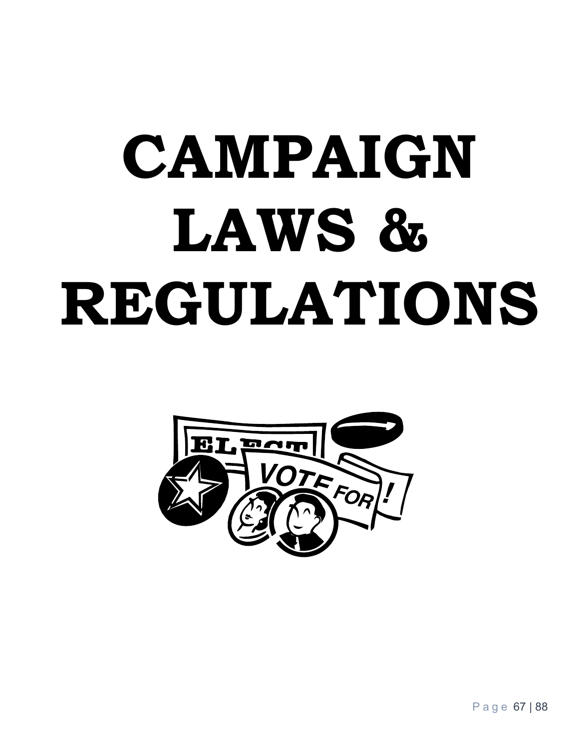# **CAMPAIGN**  LAWS & **REGULATIONS**



Page 67 | 88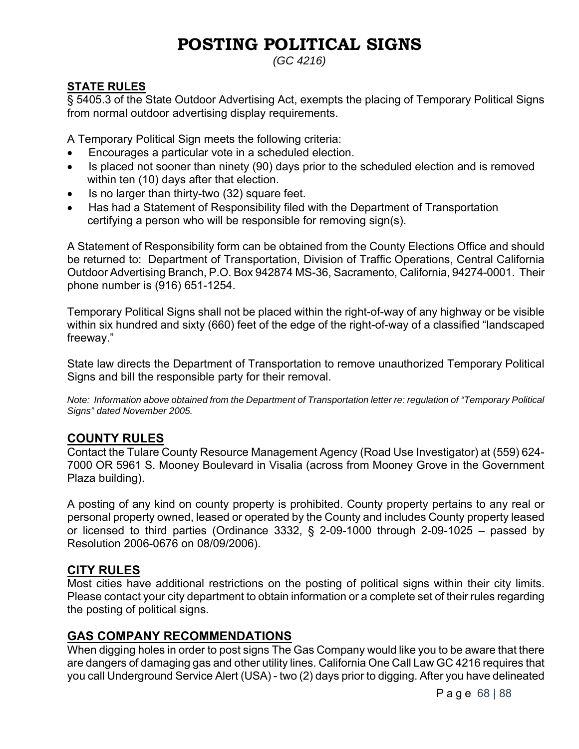# **POSTING POLITICAL SIGNS**

*(GC 4216)*

## **STATE RULES**

§ 5405.3 of the State Outdoor Advertising Act, exempts the placing of Temporary Political Signs from normal outdoor advertising display requirements.

A Temporary Political Sign meets the following criteria:

- Encourages a particular vote in a scheduled election.
- Is placed not sooner than ninety (90) days prior to the scheduled election and is removed within ten (10) days after that election.
- Is no larger than thirty-two (32) square feet.
- Has had a Statement of Responsibility filed with the Department of Transportation certifying a person who will be responsible for removing sign(s).

A Statement of Responsibility form can be obtained from the County Elections Office and should be returned to: Department of Transportation, Division of Traffic Operations, Central California Outdoor Advertising Branch, P.O. Box 942874 MS-36, Sacramento, California, 94274-0001. Their phone number is (916) 651-1254.

Temporary Political Signs shall not be placed within the right-of-way of any highway or be visible within six hundred and sixty (660) feet of the edge of the right-of-way of a classified "landscaped freeway."

State law directs the Department of Transportation to remove unauthorized Temporary Political Signs and bill the responsible party for their removal.

*Note: Information above obtained from the Department of Transportation letter re: regulation of "Temporary Political Signs" dated November 2005.* 

## **COUNTY RULES**

Contact the Tulare County Resource Management Agency (Road Use Investigator) at (559) 624- 7000 OR 5961 S. Mooney Boulevard in Visalia (across from Mooney Grove in the Government Plaza building).

A posting of any kind on county property is prohibited. County property pertains to any real or personal property owned, leased or operated by the County and includes County property leased or licensed to third parties (Ordinance 3332,  $\S$  2-09-1000 through 2-09-1025 – passed by Resolution 2006-0676 on 08/09/2006).

## **CITY RULES**

Most cities have additional restrictions on the posting of political signs within their city limits. Please contact your city department to obtain information or a complete set of their rules regarding the posting of political signs.

## **GAS COMPANY RECOMMENDATIONS**

When digging holes in order to post signs The Gas Company would like you to be aware that there are dangers of damaging gas and other utility lines. California One Call Law GC 4216 requires that you call Underground Service Alert (USA) - two (2) days prior to digging. After you have delineated

Page 68 | 88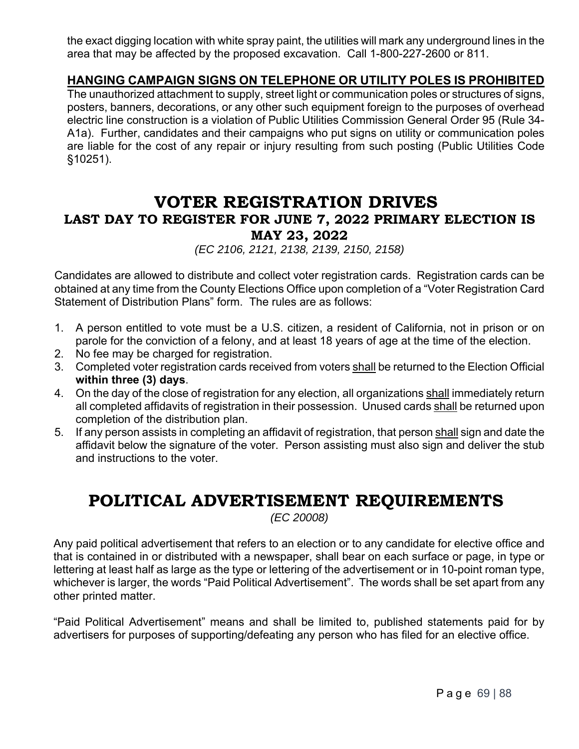the exact digging location with white spray paint, the utilities will mark any underground lines in the area that may be affected by the proposed excavation. Call 1-800-227-2600 or 811.

## **HANGING CAMPAIGN SIGNS ON TELEPHONE OR UTILITY POLES IS PROHIBITED**

The unauthorized attachment to supply, street light or communication poles or structures of signs, posters, banners, decorations, or any other such equipment foreign to the purposes of overhead electric line construction is a violation of Public Utilities Commission General Order 95 (Rule 34- A1a). Further, candidates and their campaigns who put signs on utility or communication poles are liable for the cost of any repair or injury resulting from such posting (Public Utilities Code §10251).

## **VOTER REGISTRATION DRIVES LAST DAY TO REGISTER FOR JUNE 7, 2022 PRIMARY ELECTION IS MAY 23, 2022**

*(EC 2106, 2121, 2138, 2139, 2150, 2158)*

Candidates are allowed to distribute and collect voter registration cards. Registration cards can be obtained at any time from the County Elections Office upon completion of a "Voter Registration Card Statement of Distribution Plans" form. The rules are as follows:

- 1. A person entitled to vote must be a U.S. citizen, a resident of California, not in prison or on parole for the conviction of a felony, and at least 18 years of age at the time of the election.
- 2. No fee may be charged for registration.
- 3. Completed voter registration cards received from voters shall be returned to the Election Official **within three (3) days**.
- 4. On the day of the close of registration for any election, all organizations shall immediately return all completed affidavits of registration in their possession. Unused cards shall be returned upon completion of the distribution plan.
- 5. If any person assists in completing an affidavit of registration, that person shall sign and date the affidavit below the signature of the voter. Person assisting must also sign and deliver the stub and instructions to the voter.

# **POLITICAL ADVERTISEMENT REQUIREMENTS**

*(EC 20008)*

Any paid political advertisement that refers to an election or to any candidate for elective office and that is contained in or distributed with a newspaper, shall bear on each surface or page, in type or lettering at least half as large as the type or lettering of the advertisement or in 10-point roman type, whichever is larger, the words "Paid Political Advertisement". The words shall be set apart from any other printed matter.

"Paid Political Advertisement" means and shall be limited to, published statements paid for by advertisers for purposes of supporting/defeating any person who has filed for an elective office.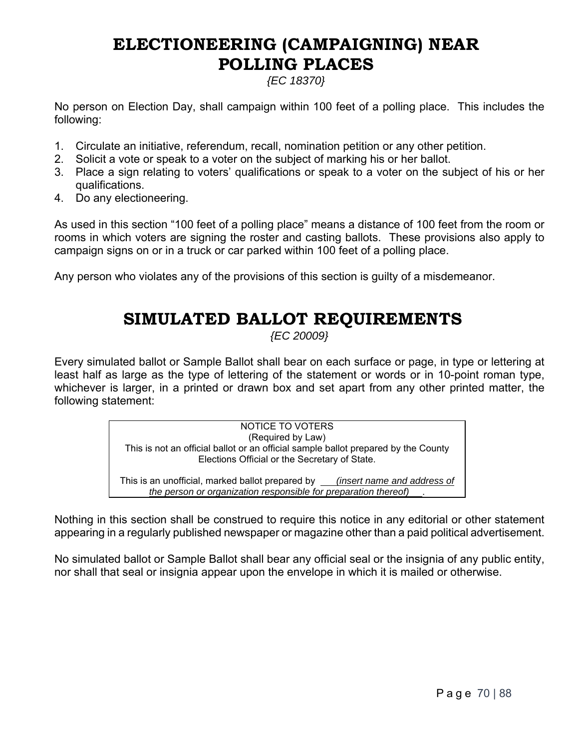# **ELECTIONEERING (CAMPAIGNING) NEAR POLLING PLACES**

## *{EC 18370}*

No person on Election Day, shall campaign within 100 feet of a polling place. This includes the following:

- 1. Circulate an initiative, referendum, recall, nomination petition or any other petition.
- 2. Solicit a vote or speak to a voter on the subject of marking his or her ballot.
- 3. Place a sign relating to voters' qualifications or speak to a voter on the subject of his or her qualifications.
- 4. Do any electioneering.

As used in this section "100 feet of a polling place" means a distance of 100 feet from the room or rooms in which voters are signing the roster and casting ballots. These provisions also apply to campaign signs on or in a truck or car parked within 100 feet of a polling place.

Any person who violates any of the provisions of this section is guilty of a misdemeanor.

# **SIMULATED BALLOT REQUIREMENTS**

*{EC 20009}*

Every simulated ballot or Sample Ballot shall bear on each surface or page, in type or lettering at least half as large as the type of lettering of the statement or words or in 10-point roman type, whichever is larger, in a printed or drawn box and set apart from any other printed matter, the following statement:

> NOTICE TO VOTERS (Required by Law) This is not an official ballot or an official sample ballot prepared by the County Elections Official or the Secretary of State. This is an unofficial, marked ballot prepared by *(insert name and address of*

*the person or organization responsible for preparation thereof)* .

Nothing in this section shall be construed to require this notice in any editorial or other statement appearing in a regularly published newspaper or magazine other than a paid political advertisement.

No simulated ballot or Sample Ballot shall bear any official seal or the insignia of any public entity, nor shall that seal or insignia appear upon the envelope in which it is mailed or otherwise.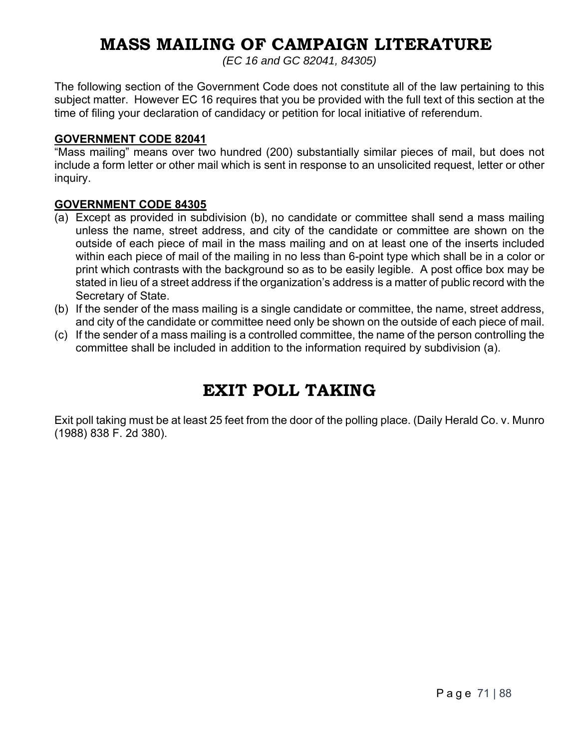# **MASS MAILING OF CAMPAIGN LITERATURE**

*(EC 16 and GC 82041, 84305)* 

The following section of the Government Code does not constitute all of the law pertaining to this subject matter. However EC 16 requires that you be provided with the full text of this section at the time of filing your declaration of candidacy or petition for local initiative of referendum.

#### **GOVERNMENT CODE 82041**

"Mass mailing" means over two hundred (200) substantially similar pieces of mail, but does not include a form letter or other mail which is sent in response to an unsolicited request, letter or other inquiry.

#### **GOVERNMENT CODE 84305**

- (a) Except as provided in subdivision (b), no candidate or committee shall send a mass mailing unless the name, street address, and city of the candidate or committee are shown on the outside of each piece of mail in the mass mailing and on at least one of the inserts included within each piece of mail of the mailing in no less than 6-point type which shall be in a color or print which contrasts with the background so as to be easily legible. A post office box may be stated in lieu of a street address if the organization's address is a matter of public record with the Secretary of State.
- (b) If the sender of the mass mailing is a single candidate or committee, the name, street address, and city of the candidate or committee need only be shown on the outside of each piece of mail.
- (c) If the sender of a mass mailing is a controlled committee, the name of the person controlling the committee shall be included in addition to the information required by subdivision (a).

## **EXIT POLL TAKING**

Exit poll taking must be at least 25 feet from the door of the polling place. (Daily Herald Co. v. Munro (1988) 838 F. 2d 380).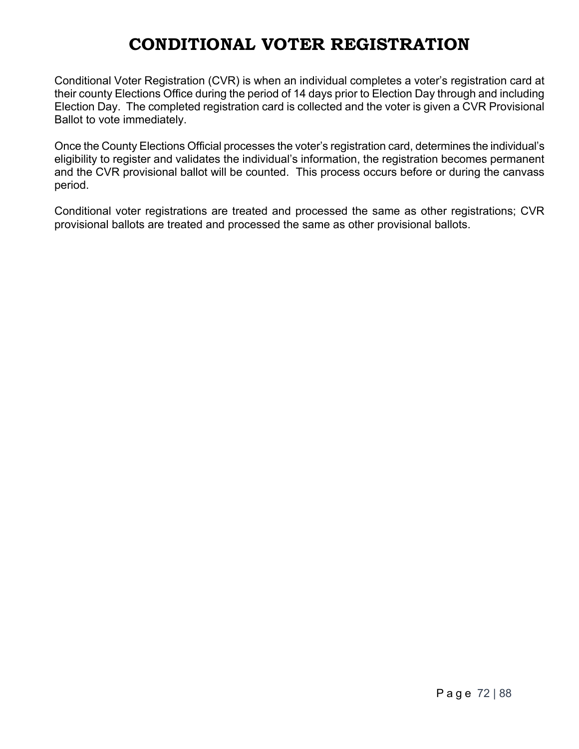# **CONDITIONAL VOTER REGISTRATION**

Conditional Voter Registration (CVR) is when an individual completes a voter's registration card at their county Elections Office during the period of 14 days prior to Election Day through and including Election Day. The completed registration card is collected and the voter is given a CVR Provisional Ballot to vote immediately.

Once the County Elections Official processes the voter's registration card, determines the individual's eligibility to register and validates the individual's information, the registration becomes permanent and the CVR provisional ballot will be counted. This process occurs before or during the canvass period.

Conditional voter registrations are treated and processed the same as other registrations; CVR provisional ballots are treated and processed the same as other provisional ballots.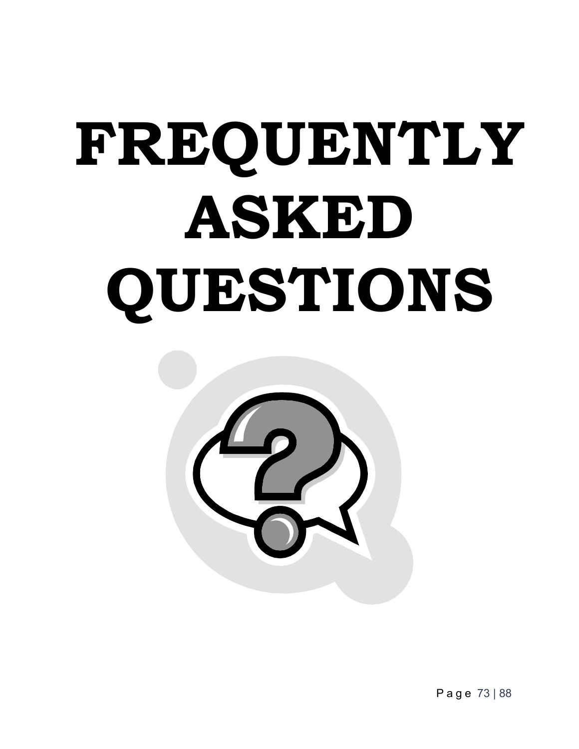# **FREQUENTLY ASKED QUESTIONS**



Page 73 | 88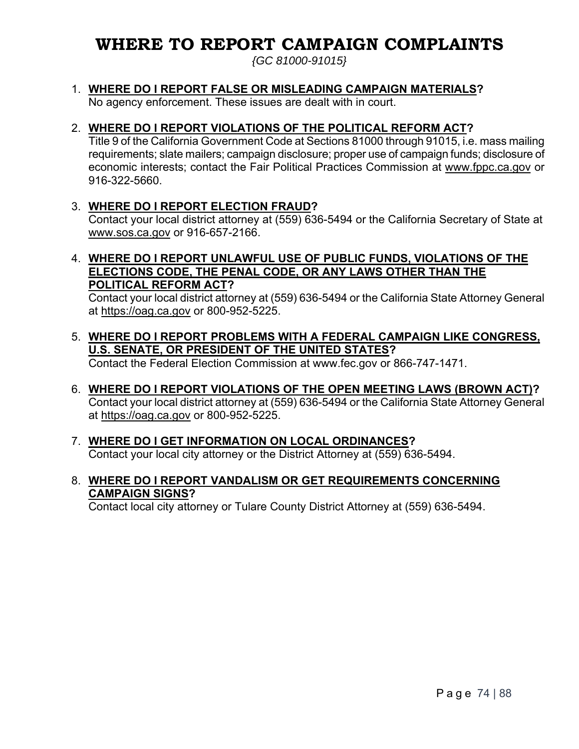# **WHERE TO REPORT CAMPAIGN COMPLAINTS**

*{GC 81000-91015}* 

#### 1. **WHERE DO I REPORT FALSE OR MISLEADING CAMPAIGN MATERIALS?**

No agency enforcement. These issues are dealt with in court.

#### 2. **WHERE DO I REPORT VIOLATIONS OF THE POLITICAL REFORM ACT?**

Title 9 of the California Government Code at Sections 81000 through 91015, i.e. mass mailing requirements; slate mailers; campaign disclosure; proper use of campaign funds; disclosure of economic interests; contact the Fair Political Practices Commission at www.fppc.ca.gov or 916-322-5660.

#### 3. **WHERE DO I REPORT ELECTION FRAUD?**

Contact your local district attorney at (559) 636-5494 or the California Secretary of State at www.sos.ca.gov or 916-657-2166.

#### 4. **WHERE DO I REPORT UNLAWFUL USE OF PUBLIC FUNDS, VIOLATIONS OF THE ELECTIONS CODE, THE PENAL CODE, OR ANY LAWS OTHER THAN THE POLITICAL REFORM ACT?**

Contact your local district attorney at (559) 636-5494 or the California State Attorney General at https://oag.ca.gov or 800-952-5225.

5. **WHERE DO I REPORT PROBLEMS WITH A FEDERAL CAMPAIGN LIKE CONGRESS, U.S. SENATE, OR PRESIDENT OF THE UNITED STATES?** 

Contact the Federal Election Commission at www.fec.gov or 866-747-1471.

- 6. **WHERE DO I REPORT VIOLATIONS OF THE OPEN MEETING LAWS (BROWN ACT)?**  Contact your local district attorney at (559) 636-5494 or the California State Attorney General at https://oag.ca.gov or 800-952-5225.
- 7. **WHERE DO I GET INFORMATION ON LOCAL ORDINANCES?** Contact your local city attorney or the District Attorney at (559) 636-5494.

#### 8. **WHERE DO I REPORT VANDALISM OR GET REQUIREMENTS CONCERNING CAMPAIGN SIGNS?**

Contact local city attorney or Tulare County District Attorney at (559) 636-5494.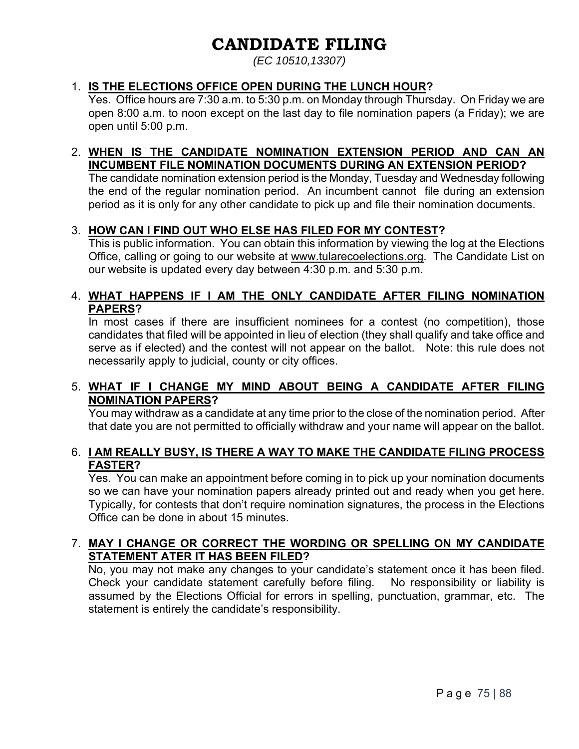# **CANDIDATE FILING**

*(EC 10510,13307)* 

#### 1. **IS THE ELECTIONS OFFICE OPEN DURING THE LUNCH HOUR?**

Yes. Office hours are 7:30 a.m. to 5:30 p.m. on Monday through Thursday. On Friday we are open 8:00 a.m. to noon except on the last day to file nomination papers (a Friday); we are open until 5:00 p.m.

#### 2. **WHEN IS THE CANDIDATE NOMINATION EXTENSION PERIOD AND CAN AN INCUMBENT FILE NOMINATION DOCUMENTS DURING AN EXTENSION PERIOD?**

The candidate nomination extension period is the Monday, Tuesday and Wednesday following the end of the regular nomination period. An incumbent cannot file during an extension period as it is only for any other candidate to pick up and file their nomination documents.

#### 3. **HOW CAN I FIND OUT WHO ELSE HAS FILED FOR MY CONTEST?**

This is public information. You can obtain this information by viewing the log at the Elections Office, calling or going to our website at www.tularecoelections.org. The Candidate List on our website is updated every day between 4:30 p.m. and 5:30 p.m.

#### 4. **WHAT HAPPENS IF I AM THE ONLY CANDIDATE AFTER FILING NOMINATION PAPERS?**

In most cases if there are insufficient nominees for a contest (no competition), those candidates that filed will be appointed in lieu of election (they shall qualify and take office and serve as if elected) and the contest will not appear on the ballot. Note: this rule does not necessarily apply to judicial, county or city offices.

#### 5. **WHAT IF I CHANGE MY MIND ABOUT BEING A CANDIDATE AFTER FILING NOMINATION PAPERS?**

You may withdraw as a candidate at any time prior to the close of the nomination period. After that date you are not permitted to officially withdraw and your name will appear on the ballot.

#### 6. **I AM REALLY BUSY, IS THERE A WAY TO MAKE THE CANDIDATE FILING PROCESS FASTER?**

Yes. You can make an appointment before coming in to pick up your nomination documents so we can have your nomination papers already printed out and ready when you get here. Typically, for contests that don't require nomination signatures, the process in the Elections Office can be done in about 15 minutes.

#### 7. **MAY I CHANGE OR CORRECT THE WORDING OR SPELLING ON MY CANDIDATE STATEMENT ATER IT HAS BEEN FILED?**

No, you may not make any changes to your candidate's statement once it has been filed. Check your candidate statement carefully before filing. No responsibility or liability is assumed by the Elections Official for errors in spelling, punctuation, grammar, etc. The statement is entirely the candidate's responsibility.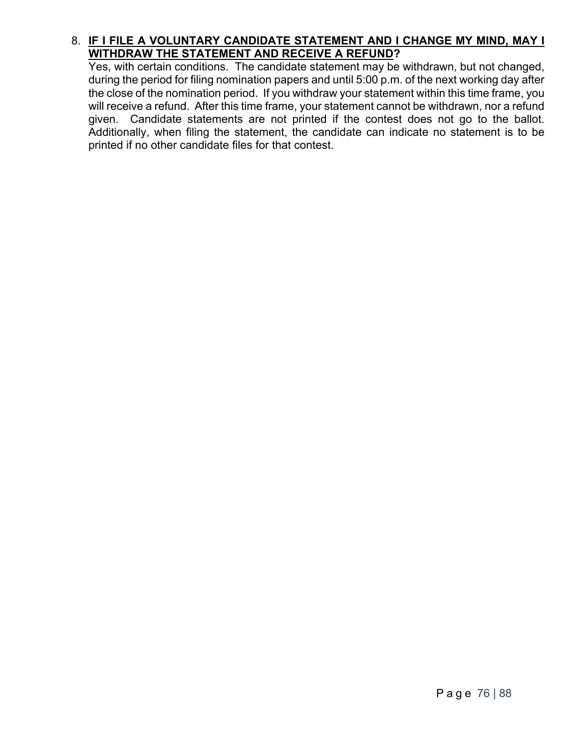#### 8. **IF I FILE A VOLUNTARY CANDIDATE STATEMENT AND I CHANGE MY MIND, MAY I WITHDRAW THE STATEMENT AND RECEIVE A REFUND?**

Yes, with certain conditions. The candidate statement may be withdrawn, but not changed, during the period for filing nomination papers and until 5:00 p.m. of the next working day after the close of the nomination period. If you withdraw your statement within this time frame, you will receive a refund. After this time frame, your statement cannot be withdrawn, nor a refund given. Candidate statements are not printed if the contest does not go to the ballot. Additionally, when filing the statement, the candidate can indicate no statement is to be printed if no other candidate files for that contest.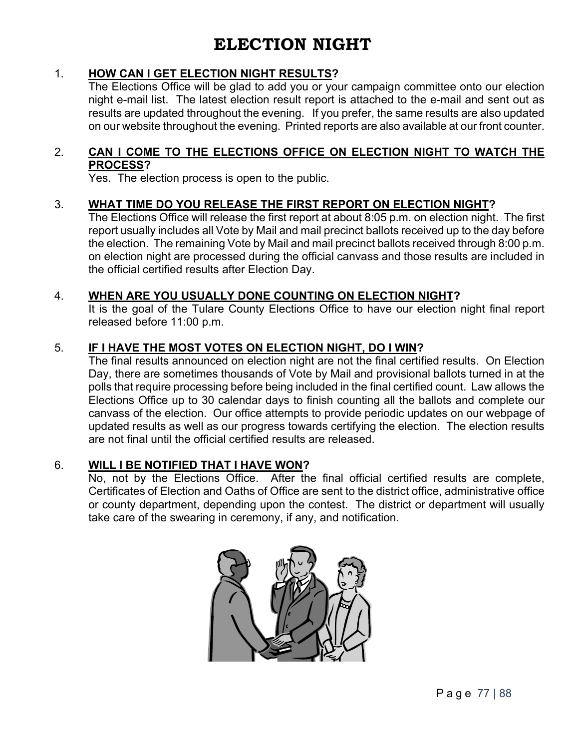#### 1. **HOW CAN I GET ELECTION NIGHT RESULTS?**

 The Elections Office will be glad to add you or your campaign committee onto our election night e-mail list. The latest election result report is attached to the e-mail and sent out as results are updated throughout the evening. If you prefer, the same results are also updated on our website throughout the evening. Printed reports are also available at our front counter.

#### 2. **CAN I COME TO THE ELECTIONS OFFICE ON ELECTION NIGHT TO WATCH THE PROCESS?**

Yes. The election process is open to the public.

#### 3. **WHAT TIME DO YOU RELEASE THE FIRST REPORT ON ELECTION NIGHT?**

 The Elections Office will release the first report at about 8:05 p.m. on election night. The first report usually includes all Vote by Mail and mail precinct ballots received up to the day before the election. The remaining Vote by Mail and mail precinct ballots received through 8:00 p.m. on election night are processed during the official canvass and those results are included in the official certified results after Election Day.

#### 4. **WHEN ARE YOU USUALLY DONE COUNTING ON ELECTION NIGHT?**

 It is the goal of the Tulare County Elections Office to have our election night final report released before 11:00 p.m.

#### 5. **IF I HAVE THE MOST VOTES ON ELECTION NIGHT, DO I WIN?**

 The final results announced on election night are not the final certified results. On Election Day, there are sometimes thousands of Vote by Mail and provisional ballots turned in at the polls that require processing before being included in the final certified count. Law allows the Elections Office up to 30 calendar days to finish counting all the ballots and complete our canvass of the election. Our office attempts to provide periodic updates on our webpage of updated results as well as our progress towards certifying the election. The election results are not final until the official certified results are released.

#### 6. **WILL I BE NOTIFIED THAT I HAVE WON?**

 No, not by the Elections Office. After the final official certified results are complete, Certificates of Election and Oaths of Office are sent to the district office, administrative office or county department, depending upon the contest. The district or department will usually take care of the swearing in ceremony, if any, and notification.

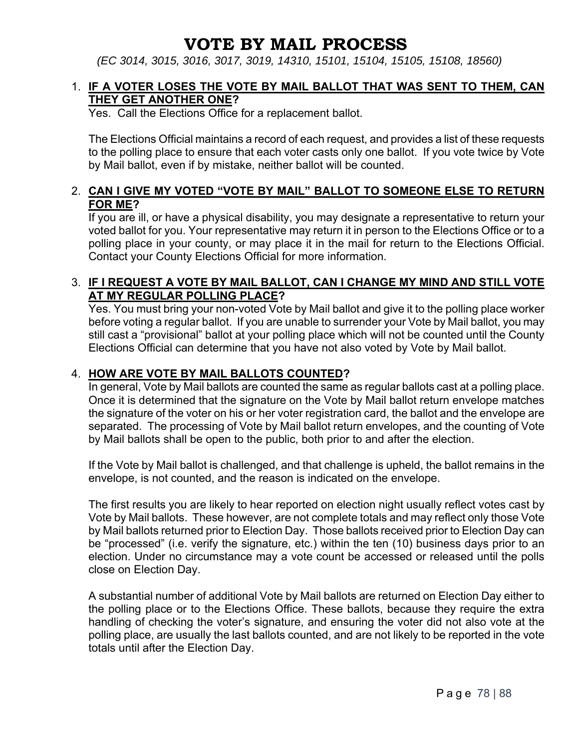### **VOTE BY MAIL PROCESS**

*(EC 3014, 3015, 3016, 3017, 3019, 14310, 15101, 15104, 15105, 15108, 18560)* 

#### 1. **IF A VOTER LOSES THE VOTE BY MAIL BALLOT THAT WAS SENT TO THEM, CAN THEY GET ANOTHER ONE?**

Yes. Call the Elections Office for a replacement ballot.

The Elections Official maintains a record of each request, and provides a list of these requests to the polling place to ensure that each voter casts only one ballot. If you vote twice by Vote by Mail ballot, even if by mistake, neither ballot will be counted.

#### 2. **CAN I GIVE MY VOTED "VOTE BY MAIL" BALLOT TO SOMEONE ELSE TO RETURN FOR ME?**

If you are ill, or have a physical disability, you may designate a representative to return your voted ballot for you. Your representative may return it in person to the Elections Office or to a polling place in your county, or may place it in the mail for return to the Elections Official. Contact your County Elections Official for more information.

#### 3. **IF I REQUEST A VOTE BY MAIL BALLOT, CAN I CHANGE MY MIND AND STILL VOTE AT MY REGULAR POLLING PLACE?**

Yes. You must bring your non-voted Vote by Mail ballot and give it to the polling place worker before voting a regular ballot. If you are unable to surrender your Vote by Mail ballot, you may still cast a "provisional" ballot at your polling place which will not be counted until the County Elections Official can determine that you have not also voted by Vote by Mail ballot.

#### 4. **HOW ARE VOTE BY MAIL BALLOTS COUNTED?**

In general, Vote by Mail ballots are counted the same as regular ballots cast at a polling place. Once it is determined that the signature on the Vote by Mail ballot return envelope matches the signature of the voter on his or her voter registration card, the ballot and the envelope are separated. The processing of Vote by Mail ballot return envelopes, and the counting of Vote by Mail ballots shall be open to the public, both prior to and after the election.

If the Vote by Mail ballot is challenged, and that challenge is upheld, the ballot remains in the envelope, is not counted, and the reason is indicated on the envelope.

The first results you are likely to hear reported on election night usually reflect votes cast by Vote by Mail ballots. These however, are not complete totals and may reflect only those Vote by Mail ballots returned prior to Election Day. Those ballots received prior to Election Day can be "processed" (i.e. verify the signature, etc.) within the ten (10) business days prior to an election. Under no circumstance may a vote count be accessed or released until the polls close on Election Day.

A substantial number of additional Vote by Mail ballots are returned on Election Day either to the polling place or to the Elections Office. These ballots, because they require the extra handling of checking the voter's signature, and ensuring the voter did not also vote at the polling place, are usually the last ballots counted, and are not likely to be reported in the vote totals until after the Election Day.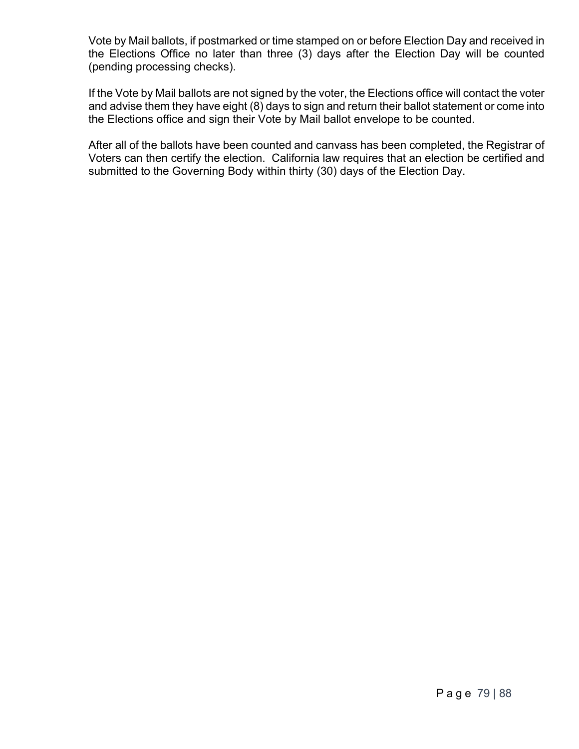Vote by Mail ballots, if postmarked or time stamped on or before Election Day and received in the Elections Office no later than three (3) days after the Election Day will be counted (pending processing checks).

If the Vote by Mail ballots are not signed by the voter, the Elections office will contact the voter and advise them they have eight (8) days to sign and return their ballot statement or come into the Elections office and sign their Vote by Mail ballot envelope to be counted.

After all of the ballots have been counted and canvass has been completed, the Registrar of Voters can then certify the election. California law requires that an election be certified and submitted to the Governing Body within thirty (30) days of the Election Day.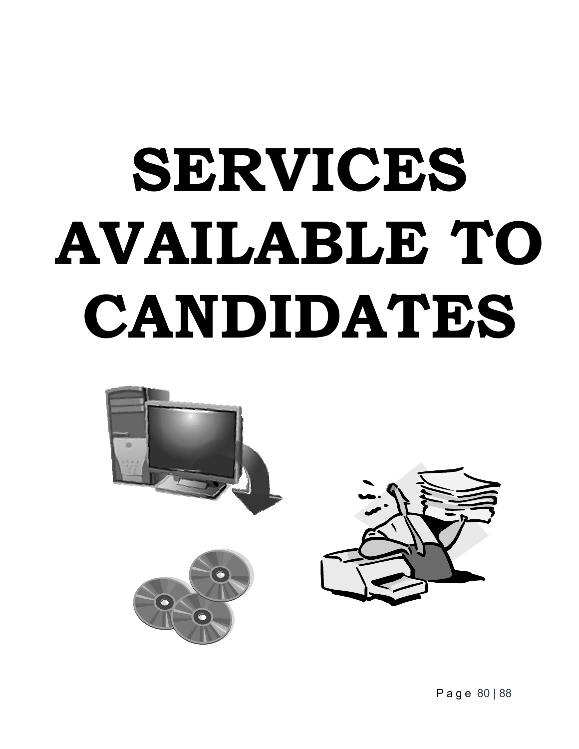# **SERVICES AVAILABLE TO CANDIDATES**



Page 80 | 88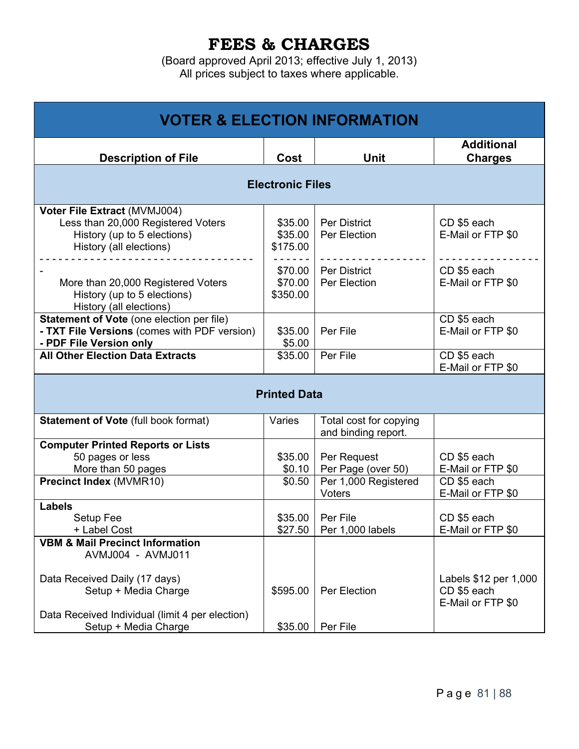## **FEES & CHARGES**

(Board approved April 2013; effective July 1, 2013) All prices subject to taxes where applicable.

| <b>VOTER &amp; ELECTION INFORMATION</b>                                                                                      |                                |                                               |                                                           |  |  |  |  |  |  |
|------------------------------------------------------------------------------------------------------------------------------|--------------------------------|-----------------------------------------------|-----------------------------------------------------------|--|--|--|--|--|--|
| <b>Description of File</b>                                                                                                   | Cost                           | <b>Unit</b>                                   | <b>Additional</b><br><b>Charges</b>                       |  |  |  |  |  |  |
| <b>Electronic Files</b>                                                                                                      |                                |                                               |                                                           |  |  |  |  |  |  |
| Voter File Extract (MVMJ004)<br>Less than 20,000 Registered Voters<br>History (up to 5 elections)<br>History (all elections) | \$35.00<br>\$35.00<br>\$175.00 | Per District<br>Per Election                  | CD \$5 each<br>E-Mail or FTP \$0                          |  |  |  |  |  |  |
| More than 20,000 Registered Voters<br>History (up to 5 elections)<br>History (all elections)                                 | \$70.00<br>\$70.00<br>\$350.00 | Per District<br>Per Election                  | CD \$5 each<br>E-Mail or FTP \$0                          |  |  |  |  |  |  |
| <b>Statement of Vote (one election per file)</b><br>- TXT File Versions (comes with PDF version)<br>- PDF File Version only  | \$35.00<br>\$5.00              | Per File                                      | CD \$5 each<br>E-Mail or FTP \$0                          |  |  |  |  |  |  |
| <b>All Other Election Data Extracts</b>                                                                                      | \$35.00                        | Per File                                      | CD \$5 each<br>E-Mail or FTP \$0                          |  |  |  |  |  |  |
|                                                                                                                              | <b>Printed Data</b>            |                                               |                                                           |  |  |  |  |  |  |
| <b>Statement of Vote (full book format)</b>                                                                                  | Varies                         | Total cost for copying<br>and binding report. |                                                           |  |  |  |  |  |  |
| <b>Computer Printed Reports or Lists</b><br>50 pages or less<br>More than 50 pages                                           | \$35.00<br>\$0.10              | Per Request<br>Per Page (over 50)             | CD \$5 each<br>E-Mail or FTP \$0                          |  |  |  |  |  |  |
| <b>Precinct Index (MVMR10)</b>                                                                                               | \$0.50                         | Per 1,000 Registered<br>Voters                | CD \$5 each<br>E-Mail or FTP \$0                          |  |  |  |  |  |  |
| <b>Labels</b><br>Setup Fee<br>+ Label Cost                                                                                   | \$35.00<br>\$27.50             | Per File<br>Per 1,000 labels                  | CD \$5 each<br>E-Mail or FTP \$0                          |  |  |  |  |  |  |
| <b>VBM &amp; Mail Precinct Information</b><br>AVMJ004 - AVMJ011                                                              |                                |                                               |                                                           |  |  |  |  |  |  |
| Data Received Daily (17 days)<br>Setup + Media Charge                                                                        | \$595.00                       | Per Election                                  | Labels \$12 per 1,000<br>CD \$5 each<br>E-Mail or FTP \$0 |  |  |  |  |  |  |
| Data Received Individual (limit 4 per election)<br>Setup + Media Charge                                                      | \$35.00                        | Per File                                      |                                                           |  |  |  |  |  |  |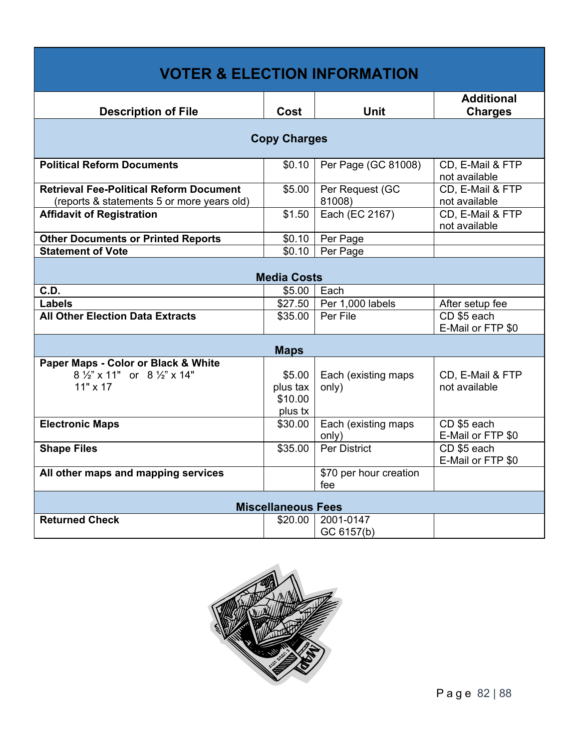| <b>VOTER &amp; ELECTION INFORMATION</b>                                                      |                                          |                               |                                     |  |  |  |  |  |  |  |
|----------------------------------------------------------------------------------------------|------------------------------------------|-------------------------------|-------------------------------------|--|--|--|--|--|--|--|
| <b>Description of File</b>                                                                   | Cost                                     | <b>Unit</b>                   | <b>Additional</b><br><b>Charges</b> |  |  |  |  |  |  |  |
| <b>Copy Charges</b>                                                                          |                                          |                               |                                     |  |  |  |  |  |  |  |
| <b>Political Reform Documents</b>                                                            | \$0.10                                   | Per Page (GC 81008)           | CD, E-Mail & FTP<br>not available   |  |  |  |  |  |  |  |
| <b>Retrieval Fee-Political Reform Document</b><br>(reports & statements 5 or more years old) | \$5.00                                   | Per Request (GC<br>81008)     | CD, E-Mail & FTP<br>not available   |  |  |  |  |  |  |  |
| <b>Affidavit of Registration</b>                                                             | \$1.50                                   | Each (EC 2167)                | CD, E-Mail & FTP<br>not available   |  |  |  |  |  |  |  |
| <b>Other Documents or Printed Reports</b>                                                    | \$0.10                                   | Per Page                      |                                     |  |  |  |  |  |  |  |
| <b>Statement of Vote</b>                                                                     | \$0.10                                   | Per Page                      |                                     |  |  |  |  |  |  |  |
| <b>Media Costs</b>                                                                           |                                          |                               |                                     |  |  |  |  |  |  |  |
| C.D.                                                                                         | \$5.00                                   | Each                          |                                     |  |  |  |  |  |  |  |
| Labels                                                                                       | \$27.50                                  | Per 1,000 labels              | After setup fee                     |  |  |  |  |  |  |  |
| <b>All Other Election Data Extracts</b>                                                      | \$35.00                                  | Per File                      | CD \$5 each<br>E-Mail or FTP \$0    |  |  |  |  |  |  |  |
|                                                                                              | <b>Maps</b>                              |                               |                                     |  |  |  |  |  |  |  |
| Paper Maps - Color or Black & White<br>8 1/2" x 11" or 8 1/2" x 14"<br>11" x 17              | \$5.00<br>plus tax<br>\$10.00<br>plus tx | Each (existing maps<br>only)  | CD, E-Mail & FTP<br>not available   |  |  |  |  |  |  |  |
| <b>Electronic Maps</b>                                                                       | \$30.00                                  | Each (existing maps<br>only)  | CD \$5 each<br>E-Mail or FTP \$0    |  |  |  |  |  |  |  |
| <b>Shape Files</b>                                                                           | \$35.00                                  | <b>Per District</b>           | CD \$5 each<br>E-Mail or FTP \$0    |  |  |  |  |  |  |  |
| All other maps and mapping services                                                          |                                          | \$70 per hour creation<br>fee |                                     |  |  |  |  |  |  |  |
|                                                                                              | <b>Miscellaneous Fees</b>                |                               |                                     |  |  |  |  |  |  |  |
| <b>Returned Check</b>                                                                        | \$20.00                                  | 2001-0147<br>GC 6157(b)       |                                     |  |  |  |  |  |  |  |

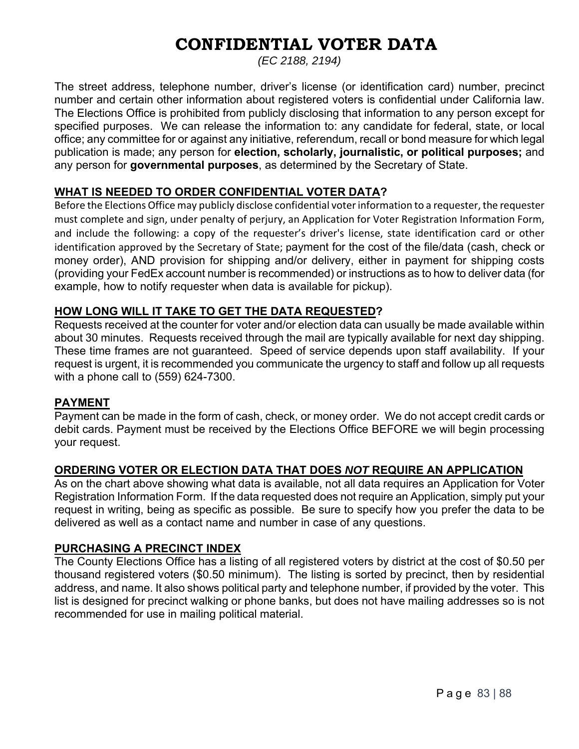# **CONFIDENTIAL VOTER DATA**

*(EC 2188, 2194)* 

The street address, telephone number, driver's license (or identification card) number, precinct number and certain other information about registered voters is confidential under California law. The Elections Office is prohibited from publicly disclosing that information to any person except for specified purposes. We can release the information to: any candidate for federal, state, or local office; any committee for or against any initiative, referendum, recall or bond measure for which legal publication is made; any person for **election, scholarly, journalistic, or political purposes;** and any person for **governmental purposes**, as determined by the Secretary of State.

#### **WHAT IS NEEDED TO ORDER CONFIDENTIAL VOTER DATA?**

Before the Elections Office may publicly disclose confidential voter information to a requester, the requester must complete and sign, under penalty of perjury, an Application for Voter Registration Information Form, and include the following: a copy of the requester's driver's license, state identification card or other identification approved by the Secretary of State; payment for the cost of the file/data (cash, check or money order), AND provision for shipping and/or delivery, either in payment for shipping costs (providing your FedEx account number is recommended) or instructions as to how to deliver data (for example, how to notify requester when data is available for pickup).

#### **HOW LONG WILL IT TAKE TO GET THE DATA REQUESTED?**

Requests received at the counter for voter and/or election data can usually be made available within about 30 minutes. Requests received through the mail are typically available for next day shipping. These time frames are not guaranteed. Speed of service depends upon staff availability. If your request is urgent, it is recommended you communicate the urgency to staff and follow up all requests with a phone call to (559) 624-7300.

#### **PAYMENT**

Payment can be made in the form of cash, check, or money order. We do not accept credit cards or debit cards. Payment must be received by the Elections Office BEFORE we will begin processing your request.

#### **ORDERING VOTER OR ELECTION DATA THAT DOES** *NOT* **REQUIRE AN APPLICATION**

As on the chart above showing what data is available, not all data requires an Application for Voter Registration Information Form. If the data requested does not require an Application, simply put your request in writing, being as specific as possible. Be sure to specify how you prefer the data to be delivered as well as a contact name and number in case of any questions.

#### **PURCHASING A PRECINCT INDEX**

The County Elections Office has a listing of all registered voters by district at the cost of \$0.50 per thousand registered voters (\$0.50 minimum). The listing is sorted by precinct, then by residential address, and name. It also shows political party and telephone number, if provided by the voter. This list is designed for precinct walking or phone banks, but does not have mailing addresses so is not recommended for use in mailing political material.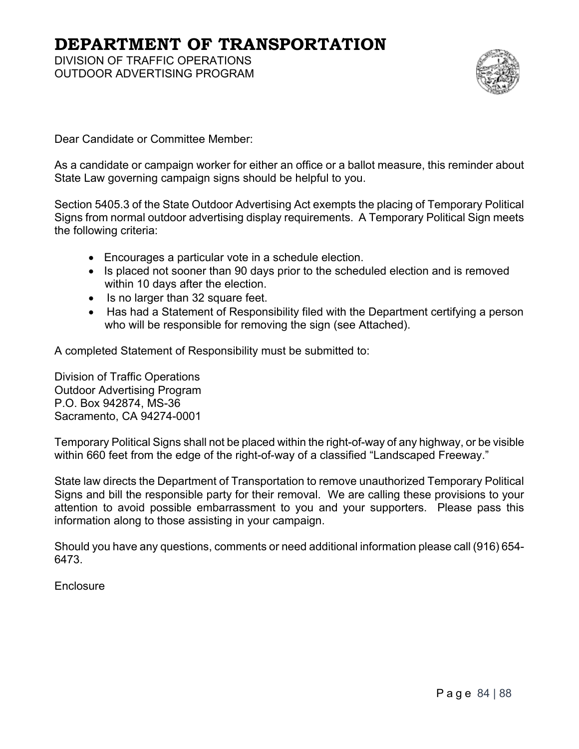## **DEPARTMENT OF TRANSPORTATION**

DIVISION OF TRAFFIC OPERATIONS OUTDOOR ADVERTISING PROGRAM



Dear Candidate or Committee Member:

As a candidate or campaign worker for either an office or a ballot measure, this reminder about State Law governing campaign signs should be helpful to you.

Section 5405.3 of the State Outdoor Advertising Act exempts the placing of Temporary Political Signs from normal outdoor advertising display requirements. A Temporary Political Sign meets the following criteria:

- Encourages a particular vote in a schedule election.
- Is placed not sooner than 90 days prior to the scheduled election and is removed within 10 days after the election.
- Is no larger than 32 square feet.
- Has had a Statement of Responsibility filed with the Department certifying a person who will be responsible for removing the sign (see Attached).

A completed Statement of Responsibility must be submitted to:

Division of Traffic Operations Outdoor Advertising Program P.O. Box 942874, MS-36 Sacramento, CA 94274-0001

Temporary Political Signs shall not be placed within the right-of-way of any highway, or be visible within 660 feet from the edge of the right-of-way of a classified "Landscaped Freeway."

State law directs the Department of Transportation to remove unauthorized Temporary Political Signs and bill the responsible party for their removal. We are calling these provisions to your attention to avoid possible embarrassment to you and your supporters. Please pass this information along to those assisting in your campaign.

Should you have any questions, comments or need additional information please call (916) 654- 6473.

Enclosure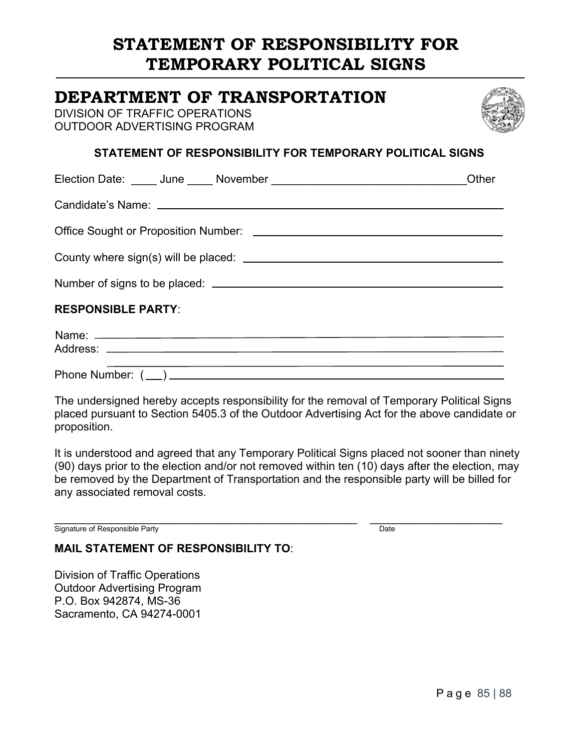# **STATEMENT OF RESPONSIBILITY FOR TEMPORARY POLITICAL SIGNS**

### **DEPARTMENT OF TRANSPORTATION**

DIVISION OF TRAFFIC OPERATIONS OUTDOOR ADVERTISING PROGRAM



#### **STATEMENT OF RESPONSIBILITY FOR TEMPORARY POLITICAL SIGNS**

|                           | Other |
|---------------------------|-------|
|                           |       |
|                           |       |
|                           |       |
|                           |       |
| <b>RESPONSIBLE PARTY:</b> |       |
|                           |       |
|                           |       |
|                           |       |

The undersigned hereby accepts responsibility for the removal of Temporary Political Signs placed pursuant to Section 5405.3 of the Outdoor Advertising Act for the above candidate or proposition.

It is understood and agreed that any Temporary Political Signs placed not sooner than ninety (90) days prior to the election and/or not removed within ten (10) days after the election, may be removed by the Department of Transportation and the responsible party will be billed for any associated removal costs.

Signature of Responsible Party **Example 2** Date

#### **MAIL STATEMENT OF RESPONSIBILITY TO**:

Division of Traffic Operations Outdoor Advertising Program P.O. Box 942874, MS-36 Sacramento, CA 94274-0001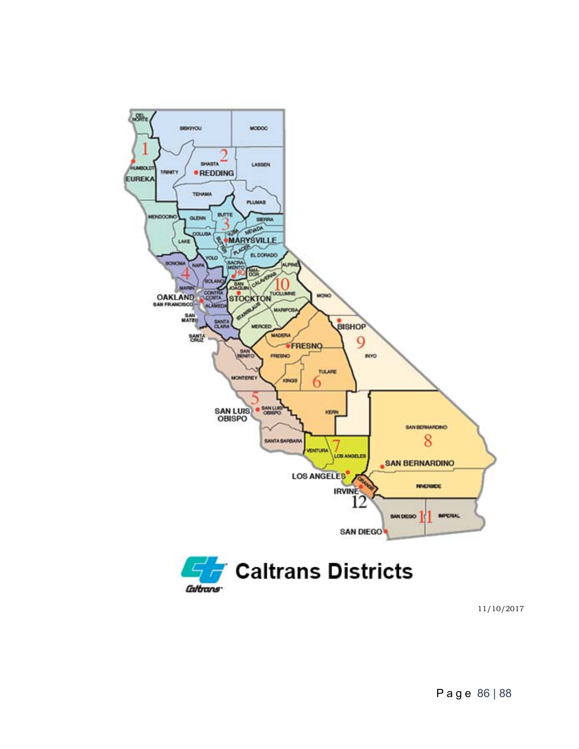

11/10/2017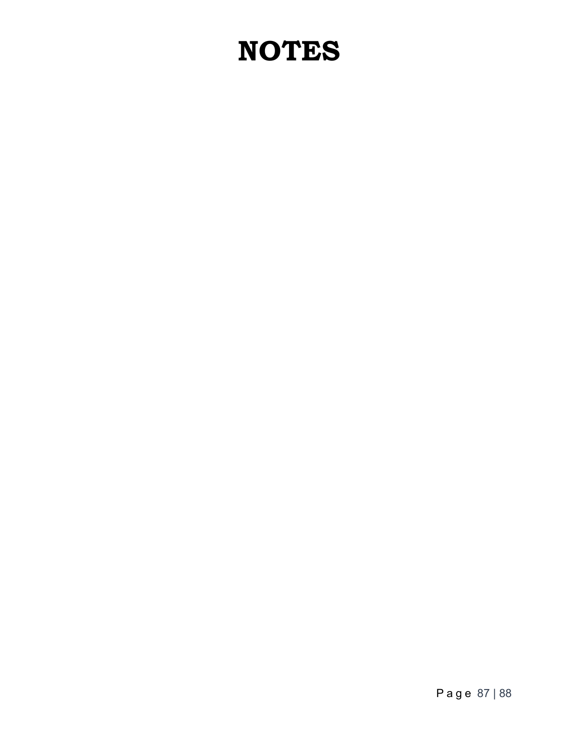# **NOTES**